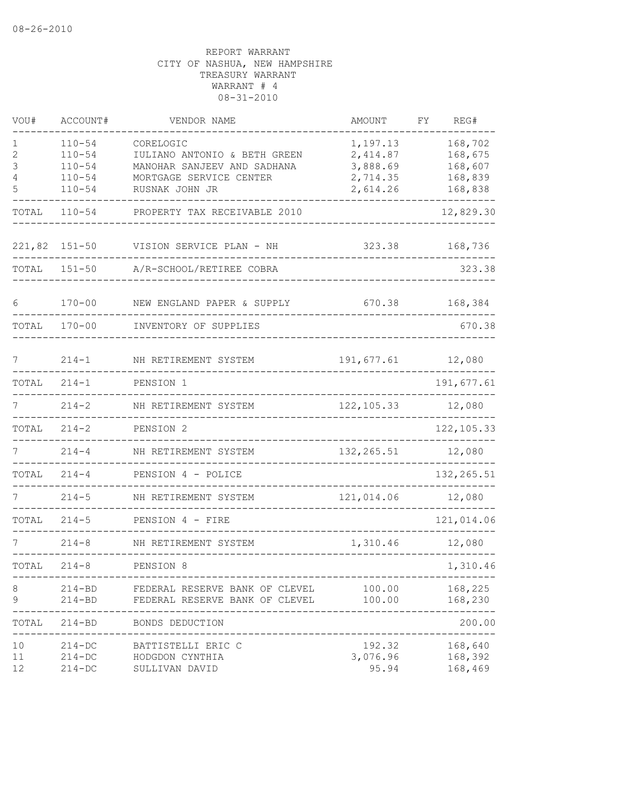| VOU#                  | ACCOUNT#                                                           | VENDOR NAME                                                                                         | AMOUNT                                                   | REG#<br>FΥ                               |
|-----------------------|--------------------------------------------------------------------|-----------------------------------------------------------------------------------------------------|----------------------------------------------------------|------------------------------------------|
| 1<br>2<br>3<br>4<br>5 | $110 - 54$<br>$110 - 54$<br>$110 - 54$<br>$110 - 54$<br>$110 - 54$ | CORELOGIC<br>IULIANO ANTONIO & BETH GREEN<br>MANOHAR SANJEEV AND SADHANA<br>MORTGAGE SERVICE CENTER | 1,197.13<br>2,414.87<br>3,888.69<br>2,714.35<br>2,614.26 | 168,702<br>168,675<br>168,607<br>168,839 |
| TOTAL                 | $110 - 54$                                                         | RUSNAK JOHN JR<br>PROPERTY TAX RECEIVABLE 2010                                                      |                                                          | 168,838<br>12,829.30                     |
|                       |                                                                    |                                                                                                     |                                                          |                                          |
| 221,82                | $151 - 50$                                                         | VISION SERVICE PLAN - NH                                                                            | 323.38                                                   | 168,736                                  |
| TOTAL                 | $151 - 50$                                                         | A/R-SCHOOL/RETIREE COBRA                                                                            |                                                          | 323.38                                   |
| 6                     | $170 - 00$                                                         | NEW ENGLAND PAPER & SUPPLY                                                                          | 670.38                                                   | 168,384                                  |
| TOTAL                 | $170 - 00$                                                         | INVENTORY OF SUPPLIES                                                                               |                                                          | 670.38                                   |
| 7                     | $214 - 1$                                                          | NH RETIREMENT SYSTEM                                                                                | 191,677.61                                               | 12,080                                   |
| TOTAL                 | $214 - 1$                                                          | PENSION 1                                                                                           |                                                          | 191,677.61                               |
| 7                     | $214 - 2$                                                          | NH RETIREMENT SYSTEM                                                                                | 122, 105.33                                              | 12,080                                   |
| TOTAL                 | $214 - 2$                                                          | PENSION 2                                                                                           |                                                          | 122, 105.33                              |
|                       | $214 - 4$                                                          | NH RETIREMENT SYSTEM                                                                                | 132, 265.51                                              | 12,080                                   |
| TOTAL                 | $214 - 4$                                                          | PENSION 4 - POLICE                                                                                  |                                                          | 132, 265.51                              |
|                       | $214 - 5$                                                          | NH RETIREMENT SYSTEM                                                                                | 121,014.06                                               | 12,080                                   |
| TOTAL                 | $214 - 5$                                                          | PENSION 4 - FIRE                                                                                    |                                                          | 121,014.06                               |
|                       | $214 - 8$                                                          | NH RETIREMENT SYSTEM                                                                                | 1,310.46                                                 | 12,080                                   |
| TOTAL                 | $214 - 8$                                                          | PENSION 8                                                                                           |                                                          | 1,310.46                                 |
| 8<br>9                | $214 - BD$                                                         | -------------------<br>214-BD FEDERAL RESERVE BANK OF CLEVEL<br>FEDERAL RESERVE BANK OF CLEVEL      | 100.00<br>100.00                                         | 168,225<br>168,230                       |
|                       | TOTAL 214-BD                                                       | BONDS DEDUCTION                                                                                     |                                                          | ----------<br>200.00                     |
| 10<br>11<br>12        | $214 - DC$<br>$214 - DC$<br>$214 - DC$                             | BATTISTELLI ERIC C<br>HODGDON CYNTHIA<br>SULLIVAN DAVID                                             | 192.32<br>3,076.96<br>95.94                              | 168,640<br>168,392<br>168,469            |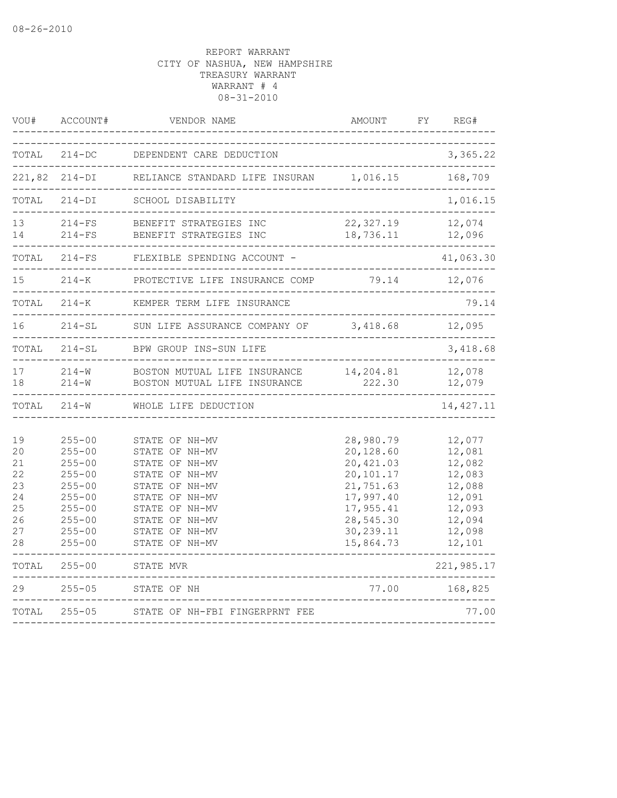| VOU#                                                     | ACCOUNT#                                                                                                                                 | VENDOR NAME                                                                                                                                                                      | AMOUNT                                                                                                                          | FY | REG#                                                                                             |
|----------------------------------------------------------|------------------------------------------------------------------------------------------------------------------------------------------|----------------------------------------------------------------------------------------------------------------------------------------------------------------------------------|---------------------------------------------------------------------------------------------------------------------------------|----|--------------------------------------------------------------------------------------------------|
| TOTAL                                                    | $214 - DC$                                                                                                                               | DEPENDENT CARE DEDUCTION                                                                                                                                                         |                                                                                                                                 |    | 3,365.22                                                                                         |
| 221,82                                                   | $214-DI$                                                                                                                                 | RELIANCE STANDARD LIFE INSURAN                                                                                                                                                   | 1,016.15                                                                                                                        |    | 168,709                                                                                          |
| TOTAL                                                    | $214-DI$                                                                                                                                 | SCHOOL DISABILITY                                                                                                                                                                |                                                                                                                                 |    | 1,016.15                                                                                         |
| 13<br>14                                                 | $214-FS$<br>$214-FS$                                                                                                                     | BENEFIT STRATEGIES INC<br>BENEFIT STRATEGIES INC                                                                                                                                 | 22,327.19<br>18,736.11<br>__________                                                                                            |    | 12,074<br>12,096                                                                                 |
|                                                          | TOTAL 214-FS                                                                                                                             | FLEXIBLE SPENDING ACCOUNT -<br>. _ _ _ _ _ _ _ _ _ _ _ _ _                                                                                                                       |                                                                                                                                 |    | 41,063.30                                                                                        |
| 15                                                       | $214 - K$                                                                                                                                | PROTECTIVE LIFE INSURANCE COMP                                                                                                                                                   | 79.14                                                                                                                           |    | 12,076                                                                                           |
| TOTAL                                                    | $214 - K$                                                                                                                                | KEMPER TERM LIFE INSURANCE                                                                                                                                                       | ______________________                                                                                                          |    | 79.14                                                                                            |
| 16                                                       | $214-SL$                                                                                                                                 | SUN LIFE ASSURANCE COMPANY OF                                                                                                                                                    | 3,418.68                                                                                                                        |    | 12,095                                                                                           |
| TOTAL                                                    | $214-SL$                                                                                                                                 | BPW GROUP INS-SUN LIFE                                                                                                                                                           |                                                                                                                                 |    | 3,418.68                                                                                         |
| 17<br>18                                                 | $214-W$<br>$214-W$                                                                                                                       | BOSTON MUTUAL LIFE INSURANCE<br>BOSTON MUTUAL LIFE INSURANCE                                                                                                                     | 14,204.81<br>222.30                                                                                                             |    | 12,078<br>12,079                                                                                 |
|                                                          | TOTAL 214-W                                                                                                                              | WHOLE LIFE DEDUCTION                                                                                                                                                             |                                                                                                                                 |    | 14, 427.11                                                                                       |
| 19<br>20<br>21<br>22<br>23<br>24<br>25<br>26<br>27<br>28 | $255 - 00$<br>$255 - 00$<br>$255 - 00$<br>$255 - 00$<br>$255 - 00$<br>$255 - 00$<br>$255 - 00$<br>$255 - 00$<br>$255 - 00$<br>$255 - 00$ | STATE OF NH-MV<br>STATE OF NH-MV<br>STATE OF NH-MV<br>STATE OF NH-MV<br>STATE OF NH-MV<br>STATE OF NH-MV<br>STATE OF NH-MV<br>STATE OF NH-MV<br>STATE OF NH-MV<br>STATE OF NH-MV | 28,980.79<br>20,128.60<br>20, 421.03<br>20,101.17<br>21,751.63<br>17,997.40<br>17,955.41<br>28,545.30<br>30,239.11<br>15,864.73 |    | 12,077<br>12,081<br>12,082<br>12,083<br>12,088<br>12,091<br>12,093<br>12,094<br>12,098<br>12,101 |
| TOTAL                                                    | $255 - 00$                                                                                                                               | STATE MVR<br>-----------------------------------                                                                                                                                 |                                                                                                                                 |    | 221,985.17                                                                                       |
| 29                                                       | $255 - 05$                                                                                                                               | STATE OF NH                                                                                                                                                                      | 77.00                                                                                                                           |    | 168,825                                                                                          |
| TOTAL                                                    | $255 - 05$                                                                                                                               | STATE OF NH-FBI FINGERPRNT FEE                                                                                                                                                   |                                                                                                                                 |    | 77.00                                                                                            |
|                                                          |                                                                                                                                          |                                                                                                                                                                                  |                                                                                                                                 |    |                                                                                                  |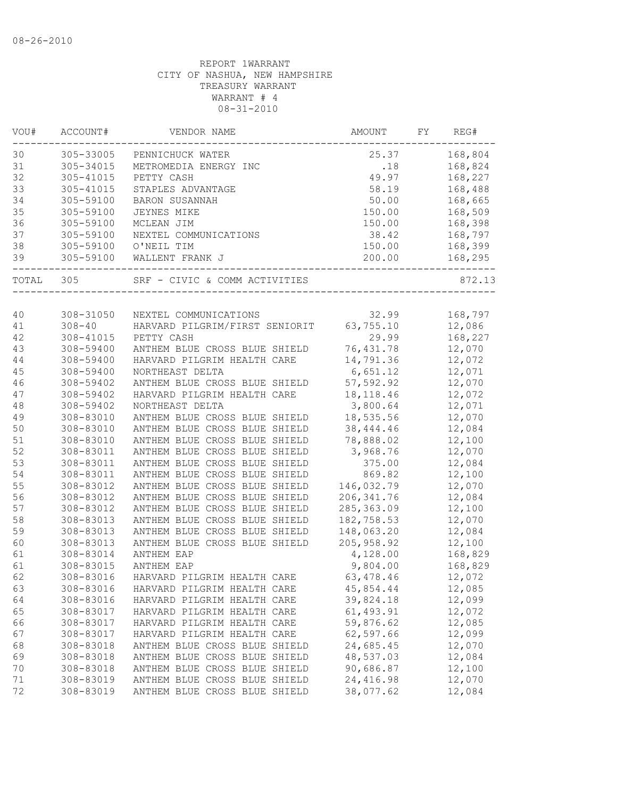| VOU#  | ACCOUNT#   | VENDOR NAME                    | AMOUNT      | FΥ | REG#    |
|-------|------------|--------------------------------|-------------|----|---------|
| 30    | 305-33005  | PENNICHUCK WATER               | 25.37       |    | 168,804 |
| 31    | 305-34015  | METROMEDIA ENERGY INC          | .18         |    | 168,824 |
| 32    | 305-41015  | PETTY CASH                     | 49.97       |    | 168,227 |
| 33    | 305-41015  | STAPLES ADVANTAGE              | 58.19       |    | 168,488 |
| 34    | 305-59100  | <b>BARON SUSANNAH</b>          | 50.00       |    | 168,665 |
| 35    | 305-59100  | <b>JEYNES MIKE</b>             | 150.00      |    | 168,509 |
| 36    | 305-59100  | MCLEAN JIM                     | 150.00      |    | 168,398 |
| 37    | 305-59100  | NEXTEL COMMUNICATIONS          | 38.42       |    | 168,797 |
| 38    | 305-59100  | O'NEIL TIM                     | 150.00      |    | 168,399 |
| 39    | 305-59100  | WALLENT FRANK J                | 200.00      |    | 168,295 |
| TOTAL | 305        | SRF - CIVIC & COMM ACTIVITIES  |             |    | 872.13  |
|       |            |                                |             |    |         |
| 40    | 308-31050  | NEXTEL COMMUNICATIONS          | 32.99       |    | 168,797 |
| 41    | $308 - 40$ | HARVARD PILGRIM/FIRST SENIORIT | 63,755.10   |    | 12,086  |
| 42    | 308-41015  | PETTY CASH                     | 29.99       |    | 168,227 |
| 43    | 308-59400  | ANTHEM BLUE CROSS BLUE SHIELD  | 76, 431.78  |    | 12,070  |
| 44    | 308-59400  | HARVARD PILGRIM HEALTH CARE    | 14,791.36   |    | 12,072  |
| 45    | 308-59400  | NORTHEAST DELTA                | 6,651.12    |    | 12,071  |
| 46    | 308-59402  | ANTHEM BLUE CROSS BLUE SHIELD  | 57,592.92   |    | 12,070  |
| 47    | 308-59402  | HARVARD PILGRIM HEALTH CARE    | 18, 118. 46 |    | 12,072  |
| 48    | 308-59402  | NORTHEAST DELTA                | 3,800.64    |    | 12,071  |
| 49    | 308-83010  | ANTHEM BLUE CROSS BLUE SHIELD  | 18,535.56   |    | 12,070  |
| 50    | 308-83010  | ANTHEM BLUE CROSS BLUE SHIELD  | 38, 444.46  |    | 12,084  |
| 51    | 308-83010  | ANTHEM BLUE CROSS BLUE SHIELD  | 78,888.02   |    | 12,100  |
| 52    | 308-83011  | ANTHEM BLUE CROSS BLUE SHIELD  | 3,968.76    |    | 12,070  |
| 53    | 308-83011  | ANTHEM BLUE CROSS BLUE SHIELD  | 375.00      |    | 12,084  |
| 54    | 308-83011  | ANTHEM BLUE CROSS BLUE SHIELD  | 869.82      |    | 12,100  |
| 55    | 308-83012  | ANTHEM BLUE CROSS BLUE SHIELD  | 146,032.79  |    | 12,070  |
| 56    | 308-83012  | ANTHEM BLUE CROSS BLUE SHIELD  | 206, 341.76 |    | 12,084  |
| 57    | 308-83012  | ANTHEM BLUE CROSS BLUE SHIELD  | 285, 363.09 |    | 12,100  |
| 58    | 308-83013  | ANTHEM BLUE CROSS BLUE SHIELD  | 182,758.53  |    | 12,070  |
| 59    | 308-83013  | ANTHEM BLUE CROSS BLUE SHIELD  | 148,063.20  |    | 12,084  |
| 60    | 308-83013  | ANTHEM BLUE CROSS BLUE SHIELD  | 205, 958.92 |    | 12,100  |
| 61    | 308-83014  | ANTHEM EAP                     | 4,128.00    |    | 168,829 |
| 61    | 308-83015  | ANTHEM EAP                     | 9,804.00    |    | 168,829 |
| 62    | 308-83016  | HARVARD PILGRIM HEALTH CARE    | 63, 478.46  |    | 12,072  |
| 63    | 308-83016  | HARVARD PILGRIM HEALTH CARE    | 45,854.44   |    | 12,085  |
| 64    | 308-83016  | HARVARD PILGRIM HEALTH CARE    | 39,824.18   |    | 12,099  |
| 65    | 308-83017  | HARVARD PILGRIM HEALTH CARE    | 61, 493.91  |    | 12,072  |
| 66    | 308-83017  | HARVARD PILGRIM HEALTH CARE    | 59,876.62   |    | 12,085  |
| 67    | 308-83017  | HARVARD PILGRIM HEALTH CARE    | 62,597.66   |    | 12,099  |
| 68    | 308-83018  | ANTHEM BLUE CROSS BLUE SHIELD  | 24,685.45   |    | 12,070  |
| 69    | 308-83018  | ANTHEM BLUE CROSS BLUE SHIELD  | 48,537.03   |    | 12,084  |
| 70    | 308-83018  | ANTHEM BLUE CROSS BLUE SHIELD  | 90,686.87   |    | 12,100  |
| 71    | 308-83019  | ANTHEM BLUE CROSS BLUE SHIELD  | 24, 416.98  |    | 12,070  |
| 72    | 308-83019  | ANTHEM BLUE CROSS BLUE SHIELD  | 38,077.62   |    | 12,084  |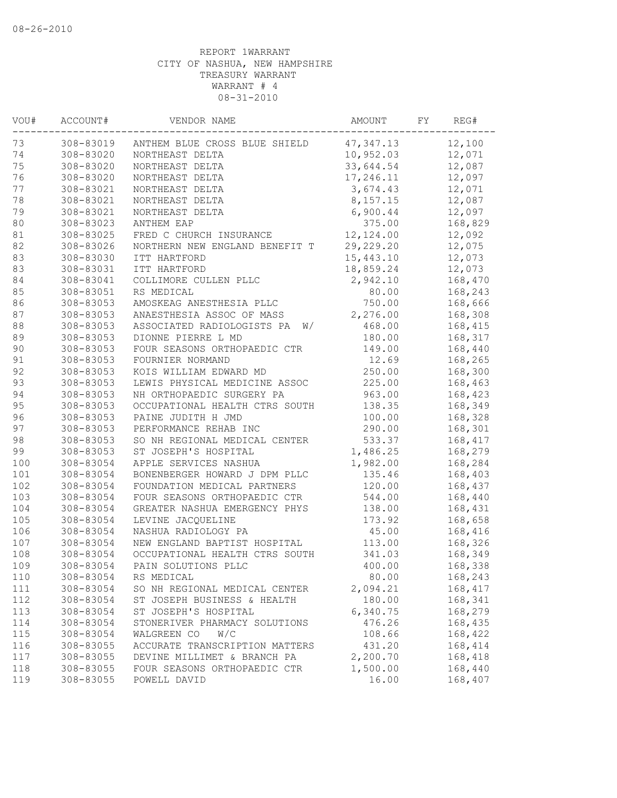| VOU#   | ACCOUNT#  | VENDOR NAME                      | AMOUNT      | FY | REG#    |
|--------|-----------|----------------------------------|-------------|----|---------|
| 73     | 308-83019 | ANTHEM BLUE CROSS BLUE SHIELD    | 47, 347.13  |    | 12,100  |
| 74     | 308-83020 | NORTHEAST DELTA                  | 10,952.03   |    | 12,071  |
| 75     | 308-83020 | NORTHEAST DELTA                  | 33,644.54   |    | 12,087  |
| 76     | 308-83020 | NORTHEAST DELTA                  | 17,246.11   |    | 12,097  |
| 77     | 308-83021 | NORTHEAST DELTA                  | 3,674.43    |    | 12,071  |
| 78     | 308-83021 | NORTHEAST DELTA                  | 8,157.15    |    | 12,087  |
| 79     | 308-83021 | NORTHEAST DELTA                  | 6,900.44    |    | 12,097  |
| 80     | 308-83023 | ANTHEM EAP                       | 375.00      |    | 168,829 |
| 81     | 308-83025 | FRED C CHURCH INSURANCE          | 12,124.00   |    | 12,092  |
| 82     | 308-83026 | NORTHERN NEW ENGLAND BENEFIT T   | 29, 229. 20 |    | 12,075  |
| 83     | 308-83030 | ITT HARTFORD                     | 15,443.10   |    | 12,073  |
| 83     | 308-83031 | ITT HARTFORD                     | 18,859.24   |    | 12,073  |
| 84     | 308-83041 | COLLIMORE CULLEN PLLC            | 2,942.10    |    | 168,470 |
| 85     | 308-83051 | RS MEDICAL                       | 80.00       |    | 168,243 |
| 86     | 308-83053 | AMOSKEAG ANESTHESIA PLLC         | 750.00      |    | 168,666 |
| $8\,7$ | 308-83053 | ANAESTHESIA ASSOC OF MASS        | 2,276.00    |    | 168,308 |
| $8\,8$ | 308-83053 | ASSOCIATED RADIOLOGISTS PA<br>W/ | 468.00      |    | 168,415 |
| 89     | 308-83053 | DIONNE PIERRE L MD               | 180.00      |    | 168,317 |
| 90     | 308-83053 | FOUR SEASONS ORTHOPAEDIC CTR     | 149.00      |    | 168,440 |
| 91     | 308-83053 | FOURNIER NORMAND                 | 12.69       |    | 168,265 |
| 92     | 308-83053 | KOIS WILLIAM EDWARD MD           | 250.00      |    | 168,300 |
| 93     | 308-83053 | LEWIS PHYSICAL MEDICINE ASSOC    | 225.00      |    | 168,463 |
| 94     | 308-83053 | NH ORTHOPAEDIC SURGERY PA        | 963.00      |    | 168,423 |
| 95     | 308-83053 | OCCUPATIONAL HEALTH CTRS SOUTH   | 138.35      |    | 168,349 |
| 96     | 308-83053 | PAINE JUDITH H JMD               | 100.00      |    | 168,328 |
| 97     | 308-83053 | PERFORMANCE REHAB INC            | 290.00      |    | 168,301 |
| 98     | 308-83053 | SO NH REGIONAL MEDICAL CENTER    | 533.37      |    | 168,417 |
| 99     | 308-83053 | ST JOSEPH'S HOSPITAL             | 1,486.25    |    | 168,279 |
| 100    | 308-83054 | APPLE SERVICES NASHUA            | 1,982.00    |    | 168,284 |
| 101    | 308-83054 | BONENBERGER HOWARD J DPM PLLC    | 135.46      |    | 168,403 |
| 102    | 308-83054 | FOUNDATION MEDICAL PARTNERS      | 120.00      |    | 168,437 |
| 103    | 308-83054 | FOUR SEASONS ORTHOPAEDIC CTR     | 544.00      |    | 168,440 |
| 104    | 308-83054 | GREATER NASHUA EMERGENCY PHYS    | 138.00      |    | 168,431 |
| 105    | 308-83054 | LEVINE JACQUELINE                | 173.92      |    | 168,658 |
| 106    | 308-83054 | NASHUA RADIOLOGY PA              | 45.00       |    | 168,416 |
| 107    | 308-83054 | NEW ENGLAND BAPTIST HOSPITAL     | 113.00      |    | 168,326 |
| 108    | 308-83054 | OCCUPATIONAL HEALTH CTRS SOUTH   | 341.03      |    | 168,349 |
|        |           |                                  |             |    |         |
| 109    | 308-83054 | PAIN SOLUTIONS PLLC              | 400.00      |    | 168,338 |
| 110    | 308-83054 | RS MEDICAL                       | 80.00       |    | 168,243 |
| 111    | 308-83054 | SO NH REGIONAL MEDICAL CENTER    | 2,094.21    |    | 168,417 |
| 112    | 308-83054 | ST JOSEPH BUSINESS & HEALTH      | 180.00      |    | 168,341 |
| 113    | 308-83054 | ST JOSEPH'S HOSPITAL             | 6,340.75    |    | 168,279 |
| 114    | 308-83054 | STONERIVER PHARMACY SOLUTIONS    | 476.26      |    | 168,435 |
| 115    | 308-83054 | WALGREEN CO<br>W/C               | 108.66      |    | 168,422 |
| 116    | 308-83055 | ACCURATE TRANSCRIPTION MATTERS   | 431.20      |    | 168,414 |
| 117    | 308-83055 | DEVINE MILLIMET & BRANCH PA      | 2,200.70    |    | 168,418 |
| 118    | 308-83055 | FOUR SEASONS ORTHOPAEDIC CTR     | 1,500.00    |    | 168,440 |
| 119    | 308-83055 | POWELL DAVID                     | 16.00       |    | 168,407 |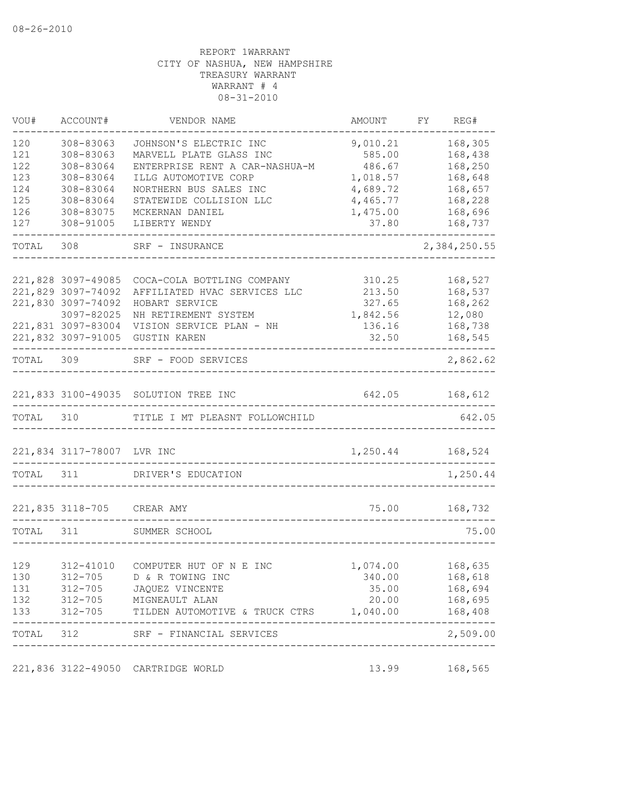| VOU#       | ACCOUNT#                         | VENDOR NAME                                         | AMOUNT                           | FY | REG#                  |
|------------|----------------------------------|-----------------------------------------------------|----------------------------------|----|-----------------------|
| 120        | 308-83063                        | JOHNSON'S ELECTRIC INC                              | 9,010.21                         |    | 168,305               |
| 121        | 308-83063                        | MARVELL PLATE GLASS INC                             | 585.00                           |    | 168,438               |
| 122        | 308-83064                        | ENTERPRISE RENT A CAR-NASHUA-M                      | 486.67                           |    | 168,250               |
| 123        | 308-83064                        | ILLG AUTOMOTIVE CORP                                | 1,018.57                         |    | 168,648               |
| 124        | 308-83064                        | NORTHERN BUS SALES INC                              | 4,689.72                         |    | 168,657               |
| 125        | 308-83064                        | STATEWIDE COLLISION LLC                             | 4,465.77                         |    | 168,228               |
| 126        | 308-83075                        | MCKERNAN DANIEL                                     | 1,475.00                         |    | 168,696               |
| 127        | 308-91005                        | LIBERTY WENDY                                       | 37.80                            |    | 168,737               |
| TOTAL 308  |                                  | SRF - INSURANCE                                     |                                  |    | 2,384,250.55          |
|            |                                  |                                                     |                                  |    |                       |
|            | 221,828 3097-49085               | COCA-COLA BOTTLING COMPANY                          | 310.25                           |    | 168,527               |
|            | 221,829 3097-74092               | AFFILIATED HVAC SERVICES LLC                        | 213.50                           |    | 168,537               |
|            | 221,830 3097-74092               | HOBART SERVICE                                      | 327.65                           |    | 168,262               |
|            | 3097-82025<br>221,831 3097-83004 | NH RETIREMENT SYSTEM<br>VISION SERVICE PLAN - NH    | 1,842.56<br>136.16               |    | 12,080                |
|            | 221,832 3097-91005               | <b>GUSTIN KAREN</b>                                 | 32.50                            |    | 168,738<br>168,545    |
|            | ----------------------           |                                                     |                                  |    | $- - - - -$           |
| TOTAL 309  |                                  | SRF - FOOD SERVICES                                 |                                  |    | 2,862.62              |
|            |                                  |                                                     |                                  |    |                       |
|            |                                  | 221,833 3100-49035 SOLUTION TREE INC                |                                  |    | 642.05 168,612        |
| TOTAL 310  |                                  | TITLE I MT PLEASNT FOLLOWCHILD                      |                                  |    | 642.05                |
|            | 221,834 3117-78007 LVR INC       |                                                     | 1,250.44                         |    | 168,524               |
| TOTAL 311  |                                  | DRIVER'S EDUCATION                                  |                                  |    | 1,250.44              |
|            | 221,835 3118-705 CREAR AMY       |                                                     |                                  |    | 75.00 168,732         |
|            |                                  |                                                     |                                  |    |                       |
| TOTAL 311  |                                  | SUMMER SCHOOL                                       |                                  |    | 75.00                 |
| 129        |                                  | 312-41010 COMPUTER HUT OF N E INC                   |                                  |    |                       |
|            |                                  |                                                     | 1,074.00 168,635                 |    |                       |
| 130<br>131 |                                  | 312-705 D & R TOWING INC<br>312-705 JAQUEZ VINCENTE | 340.00<br>35.00                  |    | 168,618<br>168,694    |
| 132        |                                  | 312-705 MIGNEAULT ALAN                              | 20.00                            |    | 168,695               |
| 133        | 312-705                          | TILDEN AUTOMOTIVE & TRUCK CTRS 1,040.00             |                                  |    | 168,408               |
|            |                                  | TOTAL 312 SRF - FINANCIAL SERVICES                  |                                  |    | ---------<br>2,509.00 |
|            |                                  |                                                     | -------------------------------- |    |                       |
|            |                                  | 221,836 3122-49050 CARTRIDGE WORLD                  | 13.99                            |    | 168,565               |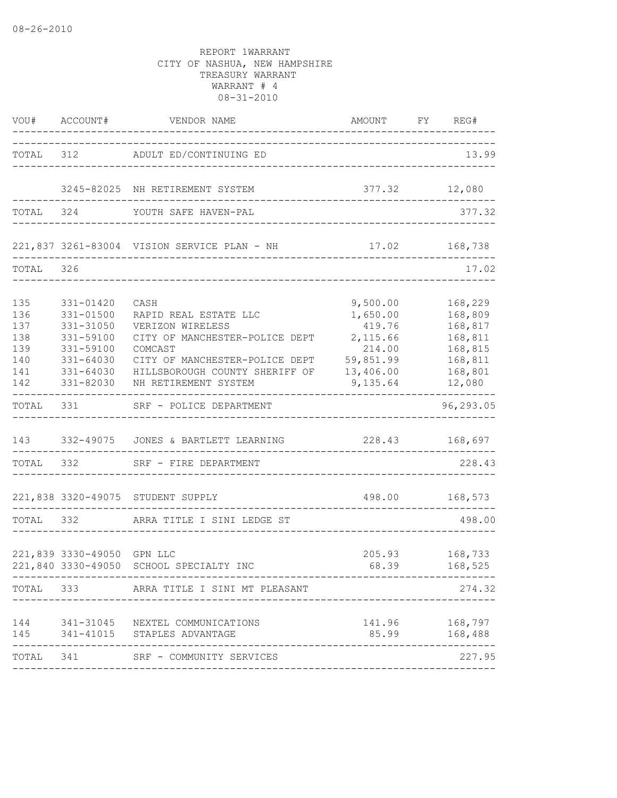|                                                      |                                                                                                          | VOU# ACCOUNT# VENDOR NAME                                                                                                                                                                  | AMOUNT                                                                                     | FY REG#                                                                             |
|------------------------------------------------------|----------------------------------------------------------------------------------------------------------|--------------------------------------------------------------------------------------------------------------------------------------------------------------------------------------------|--------------------------------------------------------------------------------------------|-------------------------------------------------------------------------------------|
|                                                      |                                                                                                          | TOTAL 312 ADULT ED/CONTINUING ED                                                                                                                                                           | ____________________________________                                                       | 13.99                                                                               |
|                                                      |                                                                                                          | 3245-82025 NH RETIREMENT SYSTEM                                                                                                                                                            |                                                                                            | 377.32 12,080                                                                       |
| TOTAL                                                | 324                                                                                                      | YOUTH SAFE HAVEN-PAL                                                                                                                                                                       |                                                                                            | 377.32                                                                              |
|                                                      |                                                                                                          | 221,837 3261-83004 VISION SERVICE PLAN - NH 17.02 168,738                                                                                                                                  |                                                                                            |                                                                                     |
| TOTAL                                                | 326                                                                                                      |                                                                                                                                                                                            |                                                                                            | 17.02                                                                               |
| 135<br>136<br>137<br>138<br>139<br>140<br>141<br>142 | 331-01420<br>331-01500<br>331-31050<br>331-59100<br>331-59100<br>331-64030<br>$331 - 64030$<br>331-82030 | CASH<br>RAPID REAL ESTATE LLC<br>VERIZON WIRELESS<br>CITY OF MANCHESTER-POLICE DEPT<br>COMCAST<br>CITY OF MANCHESTER-POLICE DEPT<br>HILLSBOROUGH COUNTY SHERIFF OF<br>NH RETIREMENT SYSTEM | 9,500.00<br>1,650.00<br>419.76<br>2,115.66<br>214.00<br>59,851.99<br>13,406.00<br>9,135.64 | 168,229<br>168,809<br>168,817<br>168,811<br>168,815<br>168,811<br>168,801<br>12,080 |
| TOTAL                                                | 331                                                                                                      | SRF - POLICE DEPARTMENT                                                                                                                                                                    |                                                                                            | 96,293.05                                                                           |
| 143<br>TOTAL 332                                     |                                                                                                          | 332-49075 JONES & BARTLETT LEARNING<br>SRF - FIRE DEPARTMENT                                                                                                                               |                                                                                            | 228.43 168,697<br>228.43                                                            |
|                                                      |                                                                                                          | 221,838 3320-49075 STUDENT SUPPLY                                                                                                                                                          |                                                                                            | 498.00 168,573                                                                      |
| TOTAL                                                | 332                                                                                                      | ARRA TITLE I SINI LEDGE ST                                                                                                                                                                 |                                                                                            | 498.00                                                                              |
|                                                      | 221,839 3330-49050 GPN LLC                                                                               | 221,840 3330-49050 SCHOOL SPECIALTY INC                                                                                                                                                    |                                                                                            | 205.93 168,733<br>68.39 168,525                                                     |
|                                                      |                                                                                                          | TOTAL 333 ARRA TITLE I SINI MT PLEASANT                                                                                                                                                    |                                                                                            | 274.32                                                                              |
| 144<br>145                                           |                                                                                                          | 341-31045 NEXTEL COMMUNICATIONS<br>341-41015 STAPLES ADVANTAGE                                                                                                                             | 85.99                                                                                      | 141.96 168,797<br>168,488                                                           |
|                                                      |                                                                                                          | TOTAL 341 SRF - COMMUNITY SERVICES                                                                                                                                                         |                                                                                            | 227.95                                                                              |
|                                                      |                                                                                                          |                                                                                                                                                                                            |                                                                                            |                                                                                     |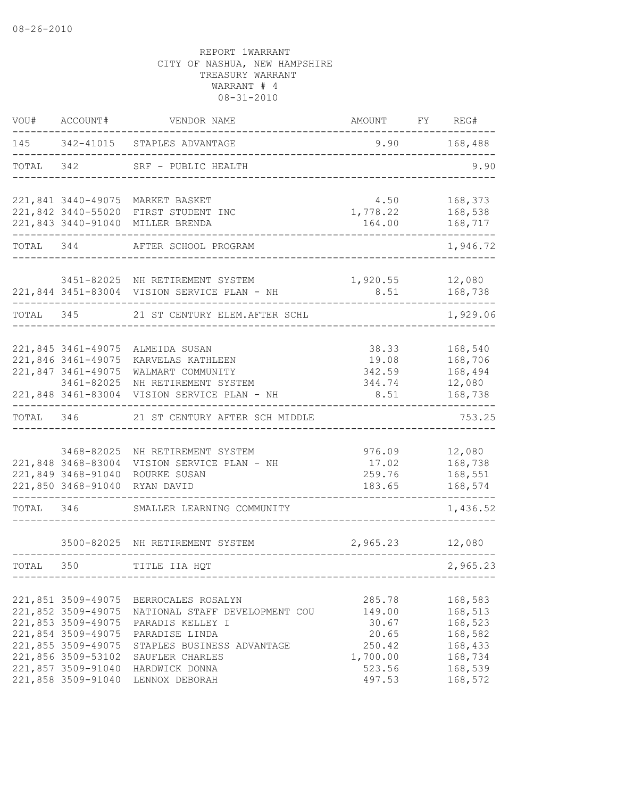| WOU#      | ACCOUNT#                         | VENDOR NAME                                                              | AMOUNT           | FY | REG#               |
|-----------|----------------------------------|--------------------------------------------------------------------------|------------------|----|--------------------|
|           |                                  | 145 342-41015 STAPLES ADVANTAGE                                          | 9.90             |    | 168,488            |
| TOTAL     | 342                              | SRF - PUBLIC HEALTH                                                      |                  |    | 9.90               |
|           |                                  | 221,841 3440-49075 MARKET BASKET<br>221,842 3440-55020 FIRST STUDENT INC | 4.50<br>1,778.22 |    | 168,373<br>168,538 |
|           |                                  | 221,843 3440-91040 MILLER BRENDA                                         | 164.00           |    | 168,717            |
| TOTAL 344 |                                  | AFTER SCHOOL PROGRAM                                                     |                  |    | 1,946.72           |
|           |                                  | 3451-82025 NH RETIREMENT SYSTEM                                          | 1,920.55         |    | 12,080             |
|           |                                  | 221,844 3451-83004 VISION SERVICE PLAN - NH                              | 8.51             |    | 168,738<br>-----   |
| TOTAL 345 |                                  | 21 ST CENTURY ELEM. AFTER SCHL                                           |                  |    | 1,929.06           |
|           | 221,845 3461-49075               | ALMEIDA SUSAN                                                            | 38.33            |    | 168,540            |
|           | 221,846 3461-49075               | KARVELAS KATHLEEN                                                        | 19.08            |    | 168,706            |
|           | 221,847 3461-49075               | WALMART COMMUNITY                                                        | 342.59           |    | 168,494            |
|           | 3461-82025<br>221,848 3461-83004 | NH RETIREMENT SYSTEM<br>VISION SERVICE PLAN - NH                         | 344.74<br>8.51   |    | 12,080<br>168,738  |
| TOTAL     | 346                              | 21 ST CENTURY AFTER SCH MIDDLE                                           |                  |    | 753.25             |
|           |                                  |                                                                          |                  |    |                    |
|           | 3468-82025                       | NH RETIREMENT SYSTEM                                                     | 976.09           |    | 12,080             |
|           | 221,848 3468-83004               | VISION SERVICE PLAN - NH                                                 | 17.02            |    | 168,738            |
|           | 221,849 3468-91040               | ROURKE SUSAN                                                             | 259.76           |    | 168,551            |
|           | 221,850 3468-91040               | RYAN DAVID                                                               | 183.65           |    | 168,574            |
| TOTAL     | 346                              | SMALLER LEARNING COMMUNITY                                               |                  |    | 1,436.52           |
|           |                                  | 3500-82025 NH RETIREMENT SYSTEM                                          | 2,965.23         |    | 12,080             |
|           |                                  |                                                                          |                  |    |                    |
| TOTAL     | 350                              | TITLE IIA HQT                                                            |                  |    | 2,965.23           |
|           | 221,851 3509-49075               | BERROCALES ROSALYN                                                       | 285.78           |    | 168,583            |
|           | 221,852 3509-49075               | NATIONAL STAFF DEVELOPMENT COU                                           | 149.00           |    | 168,513            |
|           | 221,853 3509-49075               | PARADIS KELLEY I                                                         | 30.67            |    | 168,523            |
|           | 221,854 3509-49075               | PARADISE LINDA                                                           | 20.65            |    | 168,582            |
|           | 221,855 3509-49075               | STAPLES BUSINESS ADVANTAGE                                               | 250.42           |    | 168,433            |
|           | 221,856 3509-53102               | SAUFLER CHARLES                                                          | 1,700.00         |    | 168,734            |
|           | 221,857 3509-91040               | HARDWICK DONNA                                                           | 523.56           |    | 168,539            |
|           | 221,858 3509-91040               | LENNOX DEBORAH                                                           | 497.53           |    | 168,572            |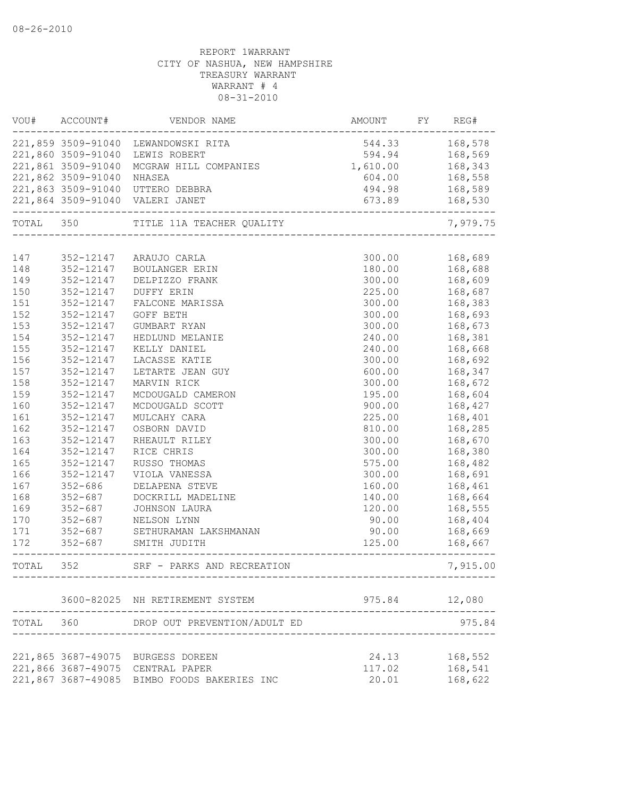| VOU#      | ACCOUNT#           | VENDOR NAME                                 | AMOUNT                | FY | REG#     |
|-----------|--------------------|---------------------------------------------|-----------------------|----|----------|
|           |                    | 221,859 3509-91040 LEWANDOWSKI RITA         | 544.33                |    | 168,578  |
|           | 221,860 3509-91040 | LEWIS ROBERT                                | 594.94                |    | 168,569  |
|           | 221,861 3509-91040 | MCGRAW HILL COMPANIES                       | 1,610.00              |    | 168,343  |
|           | 221,862 3509-91040 | NHASEA                                      | 604.00                |    | 168,558  |
|           |                    | 221,863 3509-91040 UTTERO DEBBRA            | 494.98                |    | 168,589  |
|           |                    | 221,864 3509-91040 VALERI JANET             | 673.89<br>----------- |    | 168,530  |
| TOTAL 350 |                    | TITLE 11A TEACHER QUALITY                   |                       |    | 7,979.75 |
|           |                    |                                             |                       |    |          |
| 147       |                    | 352-12147 ARAUJO CARLA                      | 300.00                |    | 168,689  |
| 148       | 352-12147          | BOULANGER ERIN                              | 180.00                |    | 168,688  |
| 149       | 352-12147          | DELPIZZO FRANK                              | 300.00                |    | 168,609  |
| 150       | 352-12147          | <b>DUFFY ERIN</b>                           | 225.00                |    | 168,687  |
| 151       | 352-12147          | FALCONE MARISSA                             | 300.00                |    | 168,383  |
| 152       | 352-12147          | GOFF BETH                                   | 300.00                |    | 168,693  |
| 153       | 352-12147          | GUMBART RYAN                                | 300.00                |    | 168,673  |
| 154       | 352-12147          | HEDLUND MELANIE                             | 240.00                |    | 168,381  |
| 155       | 352-12147          | KELLY DANIEL                                | 240.00                |    | 168,668  |
| 156       | 352-12147          | LACASSE KATIE                               | 300.00                |    | 168,692  |
| 157       | 352-12147          | LETARTE JEAN GUY                            | 600.00                |    | 168,347  |
| 158       | 352-12147          | MARVIN RICK                                 | 300.00                |    | 168,672  |
| 159       | 352-12147          | MCDOUGALD CAMERON                           | 195.00                |    | 168,604  |
| 160       | 352-12147          | MCDOUGALD SCOTT                             | 900.00                |    | 168,427  |
| 161       | 352-12147          | MULCAHY CARA                                | 225.00                |    | 168,401  |
| 162       | 352-12147          | OSBORN DAVID                                | 810.00                |    | 168,285  |
| 163       | 352-12147          | RHEAULT RILEY                               | 300.00                |    | 168,670  |
| 164       | 352-12147          | RICE CHRIS                                  | 300.00                |    | 168,380  |
| 165       | 352-12147          | RUSSO THOMAS                                | 575.00                |    | 168,482  |
| 166       | 352-12147          | VIOLA VANESSA                               | 300.00                |    | 168,691  |
| 167       | $352 - 686$        | DELAPENA STEVE                              | 160.00                |    | 168,461  |
| 168       | $352 - 687$        | DOCKRILL MADELINE                           | 140.00                |    | 168,664  |
| 169       | $352 - 687$        | JOHNSON LAURA                               | 120.00                |    | 168,555  |
| 170       | $352 - 687$        | NELSON LYNN                                 | 90.00                 |    | 168,404  |
| 171       | $352 - 687$        | SETHURAMAN LAKSHMANAN                       | 90.00                 |    | 168,669  |
| 172       | $352 - 687$        | SMITH JUDITH                                | 125.00                |    | 168,667  |
| TOTAL     | 352                | SRF - PARKS AND RECREATION                  |                       |    | 7,915.00 |
|           |                    | 3600-82025 NH RETIREMENT SYSTEM             | 975.84                |    | 12,080   |
| TOTAL 360 |                    | DROP OUT PREVENTION/ADULT ED                |                       |    | 975.84   |
|           |                    |                                             |                       |    |          |
|           |                    | 221,865 3687-49075 BURGESS DOREEN           | 24.13                 |    | 168,552  |
|           |                    | 221,866 3687-49075 CENTRAL PAPER            | 117.02                |    | 168,541  |
|           |                    | 221,867 3687-49085 BIMBO FOODS BAKERIES INC | 20.01                 |    | 168,622  |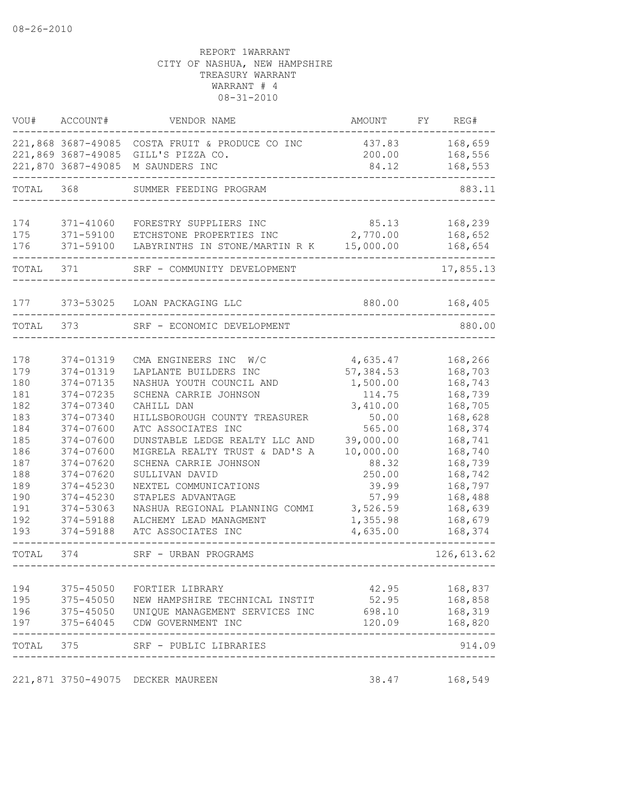| VOU#      | ACCOUNT#               | VENDOR NAME                                                    | AMOUNT          | FY | REG#                        |
|-----------|------------------------|----------------------------------------------------------------|-----------------|----|-----------------------------|
|           |                        | 221,868 3687-49085 COSTA FRUIT & PRODUCE CO INC                | 437.83          |    | 168,659                     |
|           | 221,869 3687-49085     | GILL'S PIZZA CO.                                               | 200.00          |    | 168,556                     |
|           | 221,870 3687-49085     | M SAUNDERS INC                                                 | 84.12           |    | 168,553                     |
| TOTAL     | 368                    | SUMMER FEEDING PROGRAM                                         |                 |    | 883.11                      |
| 174       |                        |                                                                | 85.13           |    |                             |
| 175       | 371-41060<br>371-59100 | FORESTRY SUPPLIERS INC<br>ETCHSTONE PROPERTIES INC             | 2,770.00        |    | 168,239<br>168,652          |
| 176       | 371-59100              | LABYRINTHS IN STONE/MARTIN R K                                 | 15,000.00       |    | 168,654                     |
|           |                        |                                                                |                 |    |                             |
| TOTAL     | 371                    | SRF - COMMUNITY DEVELOPMENT                                    |                 |    | 17,855.13                   |
| 177       | 373-53025              | LOAN PACKAGING LLC                                             | 880.00          |    | 168,405                     |
| TOTAL     | 373                    | SRF - ECONOMIC DEVELOPMENT                                     |                 |    | 880.00                      |
|           |                        |                                                                |                 |    |                             |
| 178       | 374-01319              | CMA ENGINEERS INC<br>W/C                                       | 4,635.47        |    | 168,266                     |
| 179       | 374-01319              | LAPLANTE BUILDERS INC                                          | 57, 384.53      |    | 168,703                     |
| 180       | 374-07135              | NASHUA YOUTH COUNCIL AND                                       | 1,500.00        |    | 168,743                     |
| 181       | 374-07235              | SCHENA CARRIE JOHNSON                                          | 114.75          |    | 168,739                     |
| 182       | 374-07340              | CAHILL DAN                                                     | 3,410.00        |    | 168,705                     |
| 183       | 374-07340              | HILLSBOROUGH COUNTY TREASURER                                  | 50.00           |    | 168,628                     |
| 184       | 374-07600              | ATC ASSOCIATES INC                                             | 565.00          |    | 168,374                     |
| 185       | 374-07600              | DUNSTABLE LEDGE REALTY LLC AND                                 | 39,000.00       |    | 168,741                     |
| 186       | 374-07600              | MIGRELA REALTY TRUST & DAD'S A                                 | 10,000.00       |    | 168,740                     |
| 187       | 374-07620              | SCHENA CARRIE JOHNSON                                          | 88.32           |    | 168,739                     |
| 188       | 374-07620              | SULLIVAN DAVID                                                 | 250.00          |    | 168,742                     |
| 189       | 374-45230              | NEXTEL COMMUNICATIONS                                          | 39.99           |    | 168,797                     |
| 190       | 374-45230              | STAPLES ADVANTAGE                                              | 57.99           |    | 168,488                     |
| 191       | 374-53063              | NASHUA REGIONAL PLANNING COMMI                                 | 3,526.59        |    | 168,639                     |
| 192       | 374-59188              | ALCHEMY LEAD MANAGMENT                                         | 1,355.98        |    | 168,679                     |
| 193       | 374-59188              | ATC ASSOCIATES INC                                             | 4,635.00        |    | 168,374                     |
| TOTAL     | 374                    | SRF - URBAN PROGRAMS                                           |                 |    | 126,613.62<br>------------- |
| 194       |                        |                                                                |                 |    |                             |
| 195       | 375-45050<br>375-45050 | FORTIER LIBRARY                                                | 42.95           |    | 168,837                     |
| 196       |                        | NEW HAMPSHIRE TECHNICAL INSTIT                                 | 52.95<br>698.10 |    | 168,858<br>168,319          |
| 197       | 375-64045              | 375-45050 UNIQUE MANAGEMENT SERVICES INC<br>CDW GOVERNMENT INC | 120.09          |    | 168,820                     |
| TOTAL 375 |                        | SRF - PUBLIC LIBRARIES                                         |                 |    | 914.09                      |
|           |                        |                                                                |                 |    |                             |
|           |                        | 221,871 3750-49075 DECKER MAUREEN                              | 38.47           |    | 168,549                     |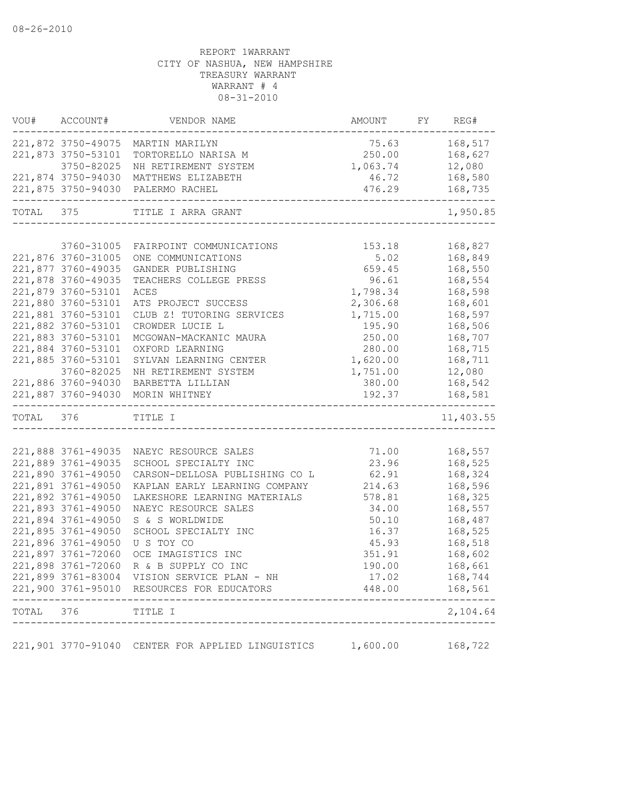| VOU#      | ACCOUNT#                                 | VENDOR NAME                                                            | AMOUNT          | FY | REG#               |
|-----------|------------------------------------------|------------------------------------------------------------------------|-----------------|----|--------------------|
|           |                                          | 221,872 3750-49075 MARTIN MARILYN                                      | 75.63           |    | 168,517            |
|           | 221,873 3750-53101                       | TORTORELLO NARISA M                                                    | 250.00          |    | 168,627            |
|           | 3750-82025                               | NH RETIREMENT SYSTEM                                                   | 1,063.74        |    | 12,080             |
|           | 221,874 3750-94030                       | MATTHEWS ELIZABETH                                                     | 46.72           |    | 168,580            |
|           |                                          | 221,875 3750-94030 PALERMO RACHEL<br>_________________________________ | 476.29          |    | 168,735            |
| TOTAL 375 |                                          | TITLE I ARRA GRANT                                                     |                 |    | 1,950.85           |
|           |                                          |                                                                        |                 |    |                    |
|           | 3760-31005                               | FAIRPOINT COMMUNICATIONS                                               | 153.18          |    | 168,827            |
|           | 221,876 3760-31005<br>221,877 3760-49035 | ONE COMMUNICATIONS                                                     | 5.02            |    | 168,849<br>168,550 |
|           | 221,878 3760-49035                       | GANDER PUBLISHING<br>TEACHERS COLLEGE PRESS                            | 659.45<br>96.61 |    | 168,554            |
|           | 221,879 3760-53101                       | ACES                                                                   | 1,798.34        |    | 168,598            |
|           | 221,880 3760-53101                       | ATS PROJECT SUCCESS                                                    | 2,306.68        |    | 168,601            |
|           | 221,881 3760-53101                       | CLUB Z! TUTORING SERVICES                                              | 1,715.00        |    | 168,597            |
|           | 221,882 3760-53101                       | CROWDER LUCIE L                                                        | 195.90          |    | 168,506            |
|           | 221,883 3760-53101                       | MCGOWAN-MACKANIC MAURA                                                 | 250.00          |    | 168,707            |
|           | 221,884 3760-53101                       | OXFORD LEARNING                                                        | 280.00          |    | 168,715            |
|           | 221,885 3760-53101                       | SYLVAN LEARNING CENTER                                                 | 1,620.00        |    | 168,711            |
|           | 3760-82025                               | NH RETIREMENT SYSTEM                                                   | 1,751.00        |    | 12,080             |
|           | 221,886 3760-94030                       | BARBETTA LILLIAN                                                       | 380.00          |    | 168,542            |
|           | 221,887 3760-94030                       | MORIN WHITNEY                                                          | 192.37          |    | 168,581            |
| TOTAL 376 |                                          | TITLE I                                                                |                 |    | 11,403.55          |
|           |                                          |                                                                        |                 |    |                    |
|           | 221,888 3761-49035                       | NAEYC RESOURCE SALES                                                   | 71.00           |    | 168,557            |
|           | 221,889 3761-49035                       | SCHOOL SPECIALTY INC                                                   | 23.96           |    | 168,525            |
|           | 221,890 3761-49050                       | CARSON-DELLOSA PUBLISHING CO L                                         | 62.91           |    | 168,324            |
|           | 221,891 3761-49050                       | KAPLAN EARLY LEARNING COMPANY                                          | 214.63          |    | 168,596            |
|           | 221,892 3761-49050                       | LAKESHORE LEARNING MATERIALS                                           | 578.81          |    | 168,325            |
|           | 221,893 3761-49050                       | NAEYC RESOURCE SALES                                                   | 34.00           |    | 168,557            |
|           | 221,894 3761-49050                       | S & S WORLDWIDE                                                        | 50.10           |    | 168,487            |
|           | 221,895 3761-49050                       | SCHOOL SPECIALTY INC                                                   | 16.37           |    | 168,525            |
|           | 221,896 3761-49050                       | U S TOY CO                                                             | 45.93           |    | 168,518            |
|           | 221,897 3761-72060                       | OCE IMAGISTICS INC                                                     | 351.91          |    | 168,602            |
|           | 221,898 3761-72060                       | R & B SUPPLY CO INC                                                    | 190.00          |    | 168,661            |
|           |                                          | 221,899 3761-83004 VISION SERVICE PLAN - NH                            | 17.02           |    | 168,744            |
|           |                                          | 221,900 3761-95010 RESOURCES FOR EDUCATORS                             | 448.00          |    | 168,561            |
| TOTAL     | 376                                      | TITLE I                                                                |                 |    | 2,104.64           |
|           | 221,901 3770-91040                       | CENTER FOR APPLIED LINGUISTICS                                         | 1,600.00        |    | 168,722            |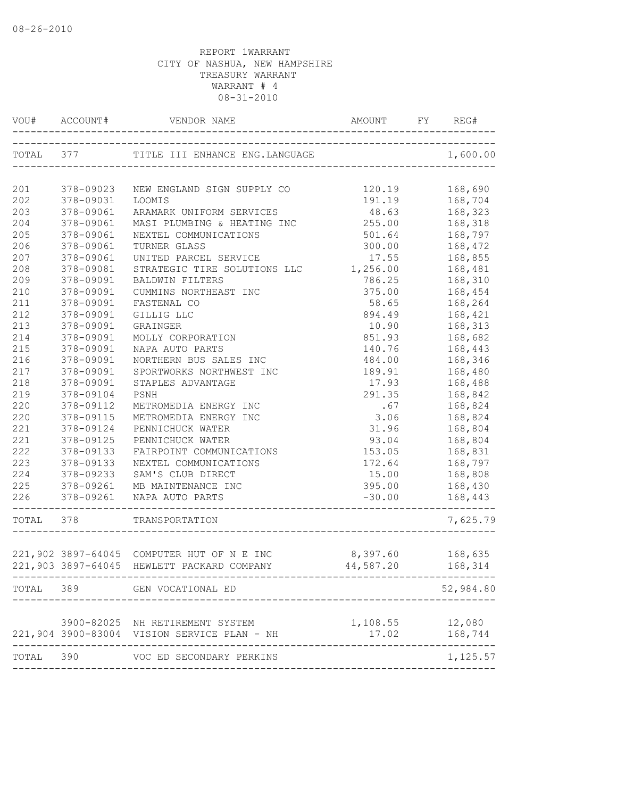| VOU#      |           |                                                   | AMOUNT    | REG#               |
|-----------|-----------|---------------------------------------------------|-----------|--------------------|
| TOTAL 377 |           | TITLE III ENHANCE ENG.LANGUAGE                    |           | 1,600.00           |
| 201       | 378-09023 | NEW ENGLAND SIGN SUPPLY CO                        | 120.19    | 168,690            |
| 202       | 378-09031 | LOOMIS                                            | 191.19    | 168,704            |
| 203       | 378-09061 | ARAMARK UNIFORM SERVICES                          | 48.63     | 168,323            |
| 204       | 378-09061 | MASI PLUMBING & HEATING INC                       | 255.00    | 168,318            |
| 205       | 378-09061 | NEXTEL COMMUNICATIONS                             | 501.64    | 168,797            |
| 206       | 378-09061 | TURNER GLASS                                      | 300.00    | 168,472            |
| 207       | 378-09061 | UNITED PARCEL SERVICE                             | 17.55     | 168,855            |
| 208       | 378-09081 | STRATEGIC TIRE SOLUTIONS LLC                      | 1,256.00  | 168,481            |
| 209       | 378-09091 | <b>BALDWIN FILTERS</b>                            | 786.25    | 168,310            |
| 210       | 378-09091 | CUMMINS NORTHEAST INC                             | 375.00    | 168,454            |
| 211       | 378-09091 | FASTENAL CO                                       | 58.65     | 168,264            |
| 212       | 378-09091 | GILLIG LLC                                        | 894.49    | 168,421            |
| 213       | 378-09091 | GRAINGER                                          | 10.90     | 168,313            |
| 214       | 378-09091 | MOLLY CORPORATION                                 | 851.93    | 168,682            |
| 215       | 378-09091 | NAPA AUTO PARTS                                   | 140.76    | 168,443            |
| 216       | 378-09091 | NORTHERN BUS SALES INC                            | 484.00    | 168,346            |
| 217       | 378-09091 | SPORTWORKS NORTHWEST INC                          | 189.91    | 168,480            |
| 218       | 378-09091 | STAPLES ADVANTAGE                                 | 17.93     | 168,488            |
| 219       | 378-09104 | PSNH                                              | 291.35    | 168,842            |
| 220       | 378-09112 | METROMEDIA ENERGY INC                             | .67       | 168,824            |
| 220       | 378-09115 | METROMEDIA ENERGY INC                             | 3.06      | 168,824            |
| 221       | 378-09124 | PENNICHUCK WATER                                  | 31.96     | 168,804            |
| 221       | 378-09125 | PENNICHUCK WATER                                  | 93.04     | 168,804            |
| 222       | 378-09133 | FAIRPOINT COMMUNICATIONS                          | 153.05    | 168,831            |
| 223       | 378-09133 | NEXTEL COMMUNICATIONS                             | 172.64    | 168,797            |
| 224       | 378-09233 | SAM'S CLUB DIRECT                                 | 15.00     | 168,808            |
| 225       | 378-09261 | MB MAINTENANCE INC                                | 395.00    | 168,430            |
| 226       | 378-09261 | NAPA AUTO PARTS                                   | $-30.00$  | 168,443            |
| TOTAL 378 |           | TRANSPORTATION                                    |           | 7,625.79           |
|           |           | 221,902 3897-64045 COMPUTER HUT OF N E INC        | 8,397.60  | 168,635            |
|           |           | 221,903 3897-64045 HEWLETT PACKARD COMPANY        | 44,587.20 | 168,314            |
|           |           | TOTAL 389 GEN VOCATIONAL ED<br>------------------ |           | 52,984.80          |
|           |           | 3900-82025 NH RETIREMENT SYSTEM                   | 1,108.55  | 12,080             |
|           |           | 221,904 3900-83004 VISION SERVICE PLAN - NH       | 17.02     | 168,744            |
| TOTAL     | 390       | VOC ED SECONDARY PERKINS                          |           | ------<br>1,125.57 |
|           |           |                                                   |           |                    |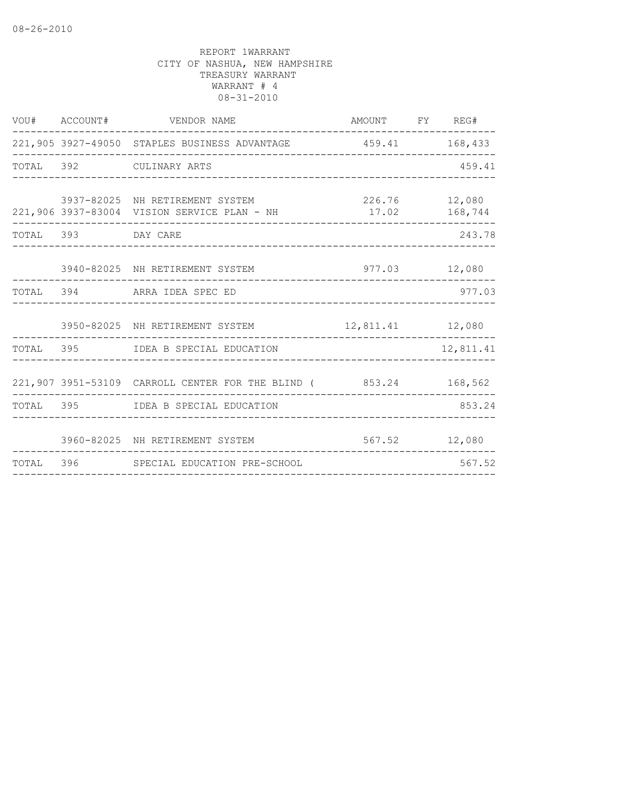|       | VOU# ACCOUNT#      | VENDOR NAME                                                                    | AMOUNT FY REG# |                          |
|-------|--------------------|--------------------------------------------------------------------------------|----------------|--------------------------|
|       |                    | 221,905 3927-49050 STAPLES BUSINESS ADVANTAGE                                  | 459.41 168,433 |                          |
|       |                    | TOTAL 392 CULINARY ARTS                                                        |                | 459.41                   |
|       |                    | 3937-82025 NH RETIREMENT SYSTEM<br>221,906 3937-83004 VISION SERVICE PLAN - NH | 17.02          | 226.76 12,080<br>168,744 |
|       | TOTAL 393 DAY CARE |                                                                                |                | 243.78                   |
|       |                    | 3940-82025 NH RETIREMENT SYSTEM                                                |                | 977.03 12,080            |
|       |                    | TOTAL 394 ARRA IDEA SPEC ED                                                    |                | 977.03                   |
|       |                    | 3950-82025 NH RETIREMENT SYSTEM 12,811.41 12,080                               |                |                          |
| TOTAL |                    | 395 IDEA B SPECIAL EDUCATION                                                   |                | 12,811.41                |
|       |                    | 221,907 3951-53109 CARROLL CENTER FOR THE BLIND (853.24 168,562                |                |                          |
|       |                    | TOTAL 395 IDEA B SPECIAL EDUCATION                                             |                | 853.24                   |
|       |                    | 3960-82025 NH RETIREMENT SYSTEM                                                |                | 567.52 12,080            |
|       |                    | TOTAL 396 SPECIAL EDUCATION PRE-SCHOOL                                         |                | 567.52                   |
|       |                    |                                                                                |                |                          |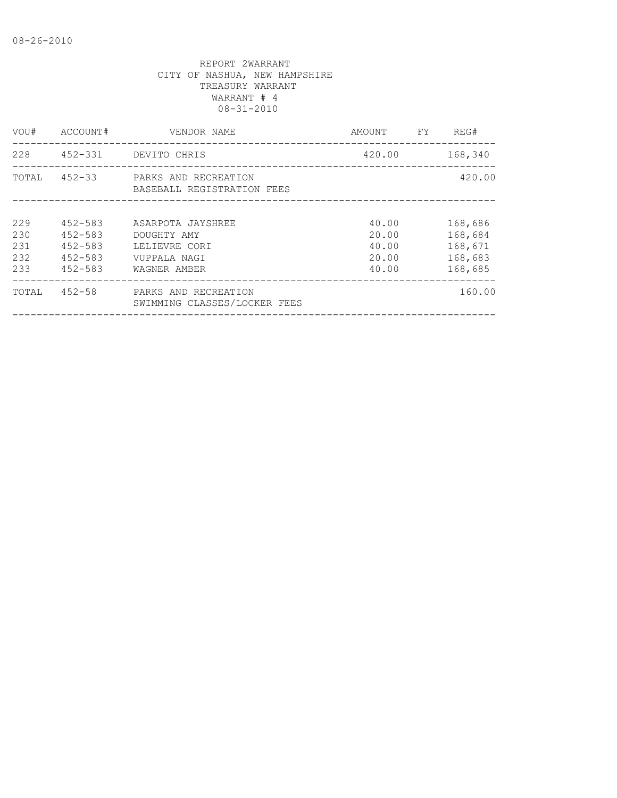| VOU#                            | ACCOUNT#                                                                | VENDOR NAME                                                                       | AMOUNT                                    | FY. | REG#                                                |
|---------------------------------|-------------------------------------------------------------------------|-----------------------------------------------------------------------------------|-------------------------------------------|-----|-----------------------------------------------------|
| 228                             |                                                                         | 452-331 DEVITO CHRIS                                                              | 420.00                                    |     | 168,340                                             |
| TOTAL                           |                                                                         | 452-33 PARKS AND RECREATION<br>BASEBALL REGISTRATION FEES                         |                                           |     | 420.00                                              |
| 229<br>230<br>231<br>232<br>233 | $452 - 583$<br>$452 - 583$<br>$452 - 583$<br>$452 - 583$<br>$452 - 583$ | ASARPOTA JAYSHREE<br>DOUGHTY AMY<br>LELIEVRE CORI<br>VUPPALA NAGI<br>WAGNER AMBER | 40.00<br>20.00<br>40.00<br>20.00<br>40.00 |     | 168,686<br>168,684<br>168,671<br>168,683<br>168,685 |
| TOTAL                           | $452 - 58$                                                              | PARKS AND RECREATION<br>SWIMMING CLASSES/LOCKER FEES                              |                                           |     | 160.00                                              |
|                                 |                                                                         |                                                                                   |                                           |     |                                                     |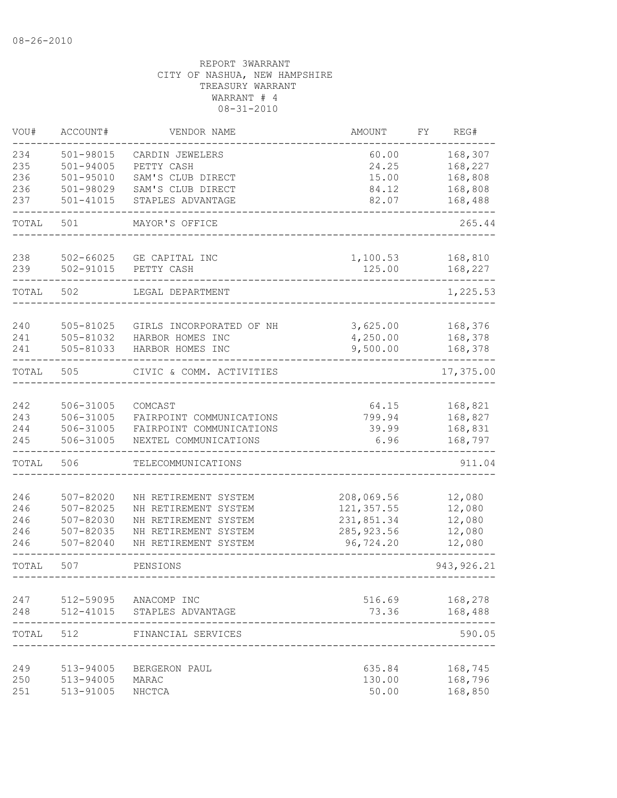| VOU#  | ACCOUNT#      | VENDOR NAME                 | AMOUNT      | FΥ | REG#        |
|-------|---------------|-----------------------------|-------------|----|-------------|
| 234   | 501-98015     | CARDIN JEWELERS             | 60.00       |    | 168,307     |
| 235   | $501 - 94005$ | PETTY CASH                  | 24.25       |    | 168,227     |
| 236   | $501 - 95010$ | SAM'S CLUB DIRECT           | 15.00       |    | 168,808     |
| 236   | 501-98029     | SAM'S CLUB DIRECT           | 84.12       |    | 168,808     |
| 237   | $501 - 41015$ | STAPLES ADVANTAGE           | 82.07       |    | 168,488     |
| TOTAL | 501           | MAYOR'S OFFICE              |             |    | 265.44      |
| 238   | 502-66025     | GE CAPITAL INC              | 1,100.53    |    | 168,810     |
| 239   | 502-91015     | PETTY CASH                  | 125.00      |    | 168,227     |
| TOTAL | 502           | LEGAL DEPARTMENT            |             |    | 1,225.53    |
| 240   | 505-81025     | GIRLS INCORPORATED OF NH    | 3,625.00    |    | 168,376     |
| 241   | 505-81032     | HARBOR HOMES INC            | 4,250.00    |    | 168,378     |
| 241   | 505-81033     | HARBOR HOMES INC            | 9,500.00    |    | 168,378     |
| TOTAL | 505           | CIVIC & COMM. ACTIVITIES    |             |    | 17,375.00   |
| 242   | 506-31005     | COMCAST                     | 64.15       |    | 168,821     |
| 243   | 506-31005     | FAIRPOINT COMMUNICATIONS    | 799.94      |    | 168,827     |
| 244   | 506-31005     | FAIRPOINT COMMUNICATIONS    | 39.99       |    | 168,831     |
| 245   | 506-31005     | NEXTEL COMMUNICATIONS       | 6.96        |    | 168,797     |
| TOTAL | 506           | TELECOMMUNICATIONS          |             |    | 911.04      |
| 246   | 507-82020     | NH RETIREMENT SYSTEM        | 208,069.56  |    | 12,080      |
| 246   | 507-82025     | NH RETIREMENT SYSTEM        | 121, 357.55 |    | 12,080      |
| 246   | $507 - 82030$ | NH RETIREMENT SYSTEM        | 231,851.34  |    | 12,080      |
| 246   | 507-82035     | NH RETIREMENT SYSTEM        | 285, 923.56 |    | 12,080      |
| 246   | $507 - 82040$ | NH RETIREMENT SYSTEM        | 96,724.20   |    | 12,080      |
| TOTAL | 507           | PENSIONS                    |             |    | 943, 926.21 |
| 247   |               | 512-59095 ANACOMP INC       | 516.69      |    | 168,278     |
| 248   |               | 512-41015 STAPLES ADVANTAGE | 73.36       |    | 168,488     |
| TOTAL | 512           | FINANCIAL SERVICES          |             |    | 590.05      |
| 249   | 513-94005     | BERGERON PAUL               | 635.84      |    | 168,745     |
| 250   | 513-94005     | MARAC                       | 130.00      |    | 168,796     |
| 251   | 513-91005     | NHCTCA                      | 50.00       |    | 168,850     |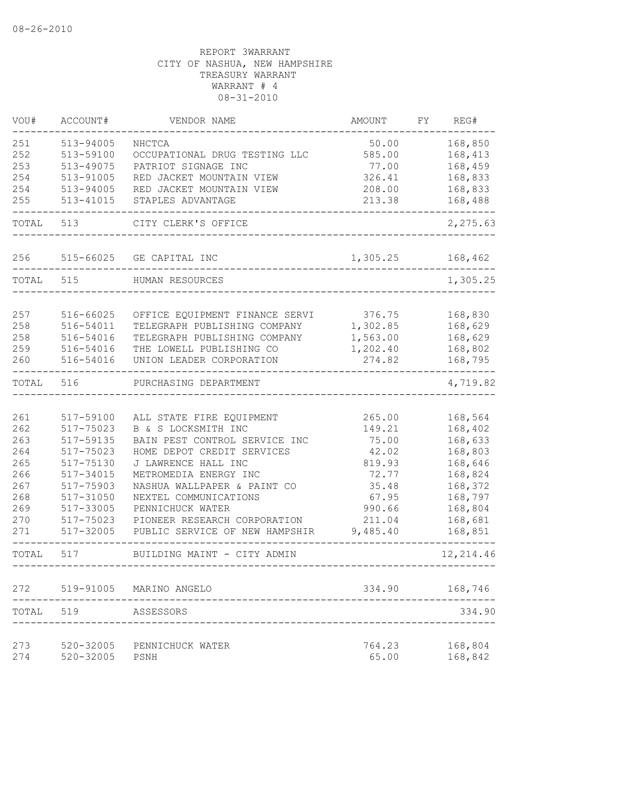| VOU#       | ACCOUNT#               | VENDOR NAME                    | <b>AMOUNT</b>   | FY | REG#                          |
|------------|------------------------|--------------------------------|-----------------|----|-------------------------------|
| 251        | 513-94005              | NHCTCA                         | 50.00           |    | 168,850                       |
| 252        | 513-59100              | OCCUPATIONAL DRUG TESTING LLC  | 585.00          |    | 168,413                       |
| 253        | 513-49075              | PATRIOT SIGNAGE INC            | 77.00           |    | 168,459                       |
| 254        | 513-91005              | RED JACKET MOUNTAIN VIEW       | 326.41          |    | 168,833                       |
| 254        | 513-94005              | RED JACKET MOUNTAIN VIEW       | 208.00          |    | 168,833                       |
| 255        | 513-41015              | STAPLES ADVANTAGE              | 213.38          |    | 168,488                       |
| TOTAL      | 513                    | CITY CLERK'S OFFICE            |                 |    | 2,275.63                      |
| 256        | 515-66025              | GE CAPITAL INC                 | 1,305.25        |    | 168,462                       |
| TOTAL      | 515                    | HUMAN RESOURCES                |                 |    | 1,305.25                      |
|            |                        |                                |                 |    |                               |
| 257        | 516-66025              | OFFICE EQUIPMENT FINANCE SERVI | 376.75          |    | 168,830                       |
| 258        | 516-54011              | TELEGRAPH PUBLISHING COMPANY   | 1,302.85        |    | 168,629                       |
| 258        | 516-54016              | TELEGRAPH PUBLISHING COMPANY   | 1,563.00        |    | 168,629                       |
| 259        | 516-54016              | THE LOWELL PUBLISHING CO       | 1,202.40        |    | 168,802                       |
| 260        | 516-54016              | UNION LEADER CORPORATION       | 274.82          |    | 168,795                       |
| TOTAL      | 516                    | PURCHASING DEPARTMENT          |                 |    | 4,719.82                      |
|            |                        |                                |                 |    |                               |
| 261        | 517-59100              | ALL STATE FIRE EQUIPMENT       | 265.00          |    | 168,564                       |
| 262        | 517-75023              | B & S LOCKSMITH INC            | 149.21          |    | 168,402                       |
| 263        | 517-59135              | BAIN PEST CONTROL SERVICE INC  | 75.00           |    | 168,633                       |
| 264        | 517-75023              | HOME DEPOT CREDIT SERVICES     | 42.02           |    | 168,803                       |
| 265        | 517-75130              | J LAWRENCE HALL INC            | 819.93          |    | 168,646                       |
| 266        | 517-34015              | METROMEDIA ENERGY INC          | 72.77           |    | 168,824                       |
| 267        | 517-75903              | NASHUA WALLPAPER & PAINT CO    | 35.48           |    | 168,372                       |
| 268        | 517-31050              | NEXTEL COMMUNICATIONS          | 67.95           |    | 168,797                       |
| 269        | 517-33005              | PENNICHUCK WATER               | 990.66          |    | 168,804                       |
| 270        | 517-75023              | PIONEER RESEARCH CORPORATION   | 211.04          |    | 168,681                       |
| 271        | 517-32005              | PUBLIC SERVICE OF NEW HAMPSHIR | 9,485.40        |    | 168,851                       |
| TOTAL      | 517                    | BUILDING MAINT - CITY ADMIN    |                 |    | 12, 214.46<br>--------------- |
| 272        | 519-91005              | MARINO ANGELO                  | 334.90          |    | 168,746                       |
| TOTAL      | 519                    | ASSESSORS                      |                 |    | 334.90                        |
|            |                        |                                |                 |    |                               |
| 273<br>274 | 520-32005<br>520-32005 | PENNICHUCK WATER<br>PSNH       | 764.23<br>65.00 |    | 168,804<br>168,842            |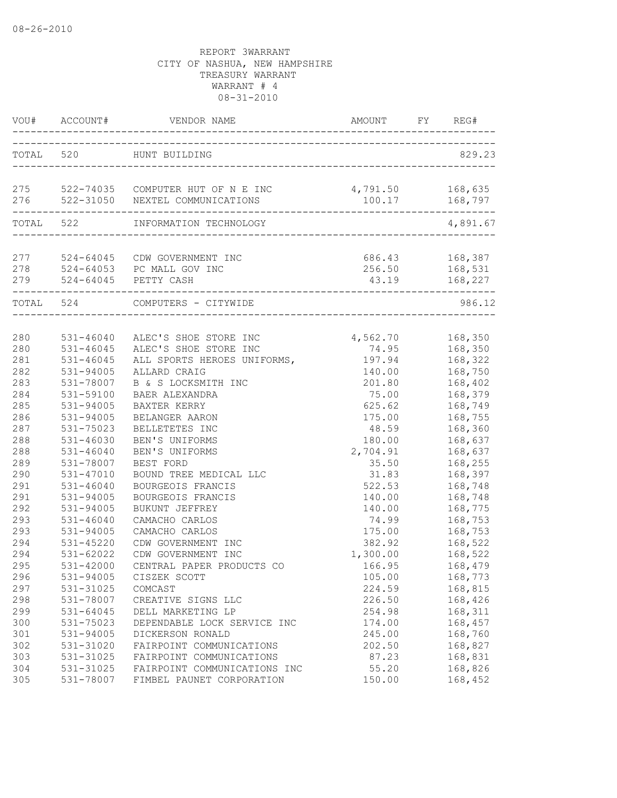|                   | VOU# ACCOUNT#                           | VENDOR NAME                                                                           | AMOUNT                     | FY | REG#                                 |
|-------------------|-----------------------------------------|---------------------------------------------------------------------------------------|----------------------------|----|--------------------------------------|
| TOTAL 520         |                                         | HUNT BUILDING                                                                         |                            |    | 829.23                               |
| 276               |                                         | 275 522-74035 COMPUTER HUT OF N E INC<br>522-31050 NEXTEL COMMUNICATIONS              | 4,791.50<br>100.17         |    | 168,635<br>168,797                   |
|                   |                                         | ______________<br>TOTAL 522 INFORMATION TECHNOLOGY                                    |                            |    | 4,891.67                             |
| 277<br>278        |                                         | 524-64045 CDW GOVERNMENT INC<br>524-64053 PC MALL GOV INC<br>279 524-64045 PETTY CASH | 256.50<br>43.19            |    | 686.43 168,387<br>168,531<br>168,227 |
| TOTAL 524         |                                         | COMPUTERS - CITYWIDE                                                                  |                            |    | 986.12                               |
| 280               |                                         | 531-46040 ALEC'S SHOE STORE INC                                                       | 4,562.70 168,350           |    |                                      |
| 280<br>281        | 531-46045<br>$531 - 46045$<br>531-94005 | ALEC'S SHOE STORE INC<br>ALL SPORTS HEROES UNIFORMS,<br>ALLARD CRAIG                  | 74.95<br>197.94            |    | 168,350<br>168,322                   |
| 282<br>283<br>284 | 531-78007<br>531-59100                  | B & S LOCKSMITH INC<br>BAER ALEXANDRA                                                 | 140.00<br>201.80<br>75.00  |    | 168,750<br>168,402<br>168,379        |
| 285<br>286        | 531-94005<br>531-94005                  | BAXTER KERRY<br>BELANGER AARON                                                        | 625.62<br>175.00           |    | 168,749<br>168,755                   |
| 287<br>288        | 531-75023<br>531-46030                  | BELLETETES INC<br>BEN'S UNIFORMS                                                      | 48.59<br>180.00            |    | 168,360<br>168,637                   |
| 288<br>289<br>290 | $531 - 46040$<br>531-78007<br>531-47010 | BEN'S UNIFORMS<br>BEST FORD<br>BOUND TREE MEDICAL LLC                                 | 2,704.91<br>35.50<br>31.83 |    | 168,637<br>168,255<br>168,397        |
| 291<br>291        | $531 - 46040$<br>531-94005              | BOURGEOIS FRANCIS<br>BOURGEOIS FRANCIS                                                | 522.53<br>140.00           |    | 168,748<br>168,748                   |
| 292<br>293<br>293 | 531-94005<br>$531 - 46040$<br>531-94005 | BUKUNT JEFFREY<br>CAMACHO CARLOS                                                      | 140.00<br>74.99<br>175.00  |    | 168,775<br>168,753                   |
| 294<br>294        | 531-45220<br>531-62022                  | CAMACHO CARLOS<br>CDW GOVERNMENT INC<br>CDW GOVERNMENT INC                            | 382.92<br>1,300.00         |    | 168,753<br>168,522<br>168,522        |
| 295<br>296        | 531-42000<br>531-94005                  | CENTRAL PAPER PRODUCTS CO<br>CISZEK SCOTT                                             | 166.95<br>105.00           |    | 168,479<br>168,773                   |
| 297<br>298<br>299 | 531-31025<br>531-78007<br>531-64045     | COMCAST<br>CREATIVE SIGNS LLC<br>DELL MARKETING LP                                    | 224.59<br>226.50<br>254.98 |    | 168,815<br>168,426<br>168,311        |
| 300<br>$301$      | 531-75023<br>531-94005                  | DEPENDABLE LOCK SERVICE INC<br>DICKERSON RONALD                                       | 174.00<br>245.00           |    | 168,457<br>168,760                   |
| 302<br>303        | 531-31020<br>531-31025                  | FAIRPOINT COMMUNICATIONS<br>FAIRPOINT COMMUNICATIONS                                  | 202.50<br>87.23            |    | 168,827<br>168,831                   |
| 304<br>305        | 531-31025<br>531-78007                  | FAIRPOINT COMMUNICATIONS INC<br>FIMBEL PAUNET CORPORATION                             | 55.20<br>150.00            |    | 168,826<br>168,452                   |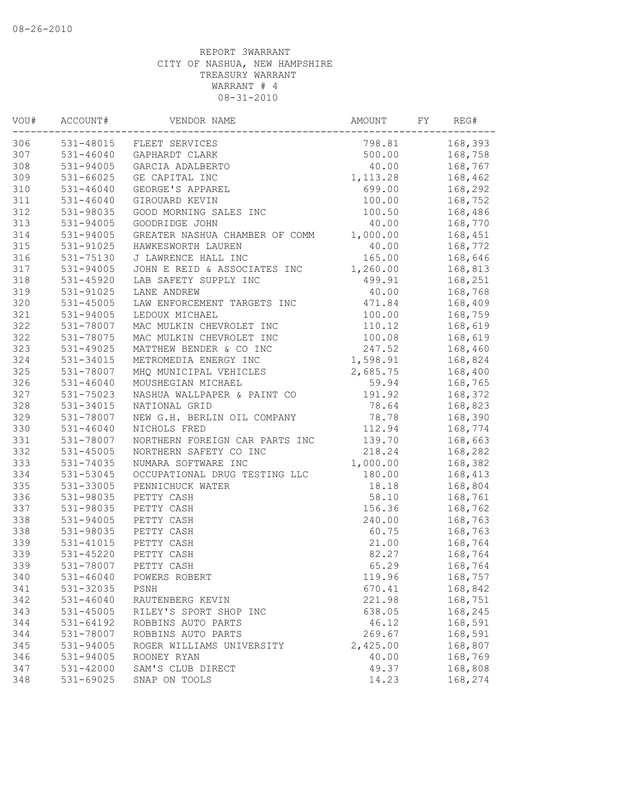| VOU# | ACCOUNT#      | VENDOR NAME                    | AMOUNT    | FY | REG#    |
|------|---------------|--------------------------------|-----------|----|---------|
| 306  |               | 531-48015 FLEET SERVICES       | 798.81    |    | 168,393 |
| 307  | 531-46040     | GAPHARDT CLARK                 | 500.00    |    | 168,758 |
| 308  | 531-94005     | GARCIA ADALBERTO               | 40.00     |    | 168,767 |
| 309  | $531 - 66025$ | GE CAPITAL INC                 | 1, 113.28 |    | 168,462 |
| 310  | $531 - 46040$ | GEORGE'S APPAREL               | 699.00    |    | 168,292 |
| 311  | $531 - 46040$ | GIROUARD KEVIN                 | 100.00    |    | 168,752 |
| 312  | 531-98035     | GOOD MORNING SALES INC         | 100.50    |    | 168,486 |
| 313  | 531-94005     | GOODRIDGE JOHN                 | 40.00     |    | 168,770 |
| 314  | 531-94005     | GREATER NASHUA CHAMBER OF COMM | 1,000.00  |    | 168,451 |
| 315  | $531 - 91025$ | HAWKESWORTH LAUREN             | 40.00     |    | 168,772 |
| 316  | 531-75130     | J LAWRENCE HALL INC            | 165.00    |    | 168,646 |
| 317  | 531-94005     | JOHN E REID & ASSOCIATES INC   | 1,260.00  |    | 168,813 |
| 318  | 531-45920     | LAB SAFETY SUPPLY INC          | 499.91    |    | 168,251 |
| 319  | 531-91025     | LANE ANDREW                    | 40.00     |    | 168,768 |
| 320  | $531 - 45005$ | LAW ENFORCEMENT TARGETS INC    | 471.84    |    | 168,409 |
| 321  | 531-94005     | LEDOUX MICHAEL                 | 100.00    |    | 168,759 |
| 322  | 531-78007     | MAC MULKIN CHEVROLET INC       | 110.12    |    | 168,619 |
| 322  | 531-78075     | MAC MULKIN CHEVROLET INC       | 100.08    |    | 168,619 |
| 323  | 531-49025     | MATTHEW BENDER & CO INC        | 247.52    |    | 168,460 |
| 324  | 531-34015     | METROMEDIA ENERGY INC          | 1,598.91  |    | 168,824 |
| 325  | 531-78007     | MHQ MUNICIPAL VEHICLES         | 2,685.75  |    | 168,400 |
| 326  | $531 - 46040$ | MOUSHEGIAN MICHAEL             | 59.94     |    | 168,765 |
| 327  | 531-75023     | NASHUA WALLPAPER & PAINT CO    | 191.92    |    | 168,372 |
| 328  | 531-34015     | NATIONAL GRID                  | 78.64     |    | 168,823 |
| 329  | 531-78007     | NEW G.H. BERLIN OIL COMPANY    | 78.78     |    | 168,390 |
| 330  | $531 - 46040$ | NICHOLS FRED                   | 112.94    |    | 168,774 |
| 331  | 531-78007     | NORTHERN FOREIGN CAR PARTS INC | 139.70    |    | 168,663 |
| 332  | 531-45005     | NORTHERN SAFETY CO INC         | 218.24    |    | 168,282 |
| 333  | 531-74035     | NUMARA SOFTWARE INC            | 1,000.00  |    | 168,382 |
| 334  | 531-53045     | OCCUPATIONAL DRUG TESTING LLC  | 180.00    |    | 168,413 |
| 335  | 531-33005     | PENNICHUCK WATER               | 18.18     |    | 168,804 |
| 336  | 531-98035     | PETTY CASH                     | 58.10     |    | 168,761 |
| 337  | 531-98035     | PETTY CASH                     | 156.36    |    | 168,762 |
| 338  | 531-94005     | PETTY CASH                     | 240.00    |    | 168,763 |
| 338  | 531-98035     | PETTY CASH                     | 60.75     |    | 168,763 |
| 339  | $531 - 41015$ | PETTY CASH                     | 21.00     |    | 168,764 |
| 339  | $531 - 45220$ | PETTY CASH                     | 82.27     |    | 168,764 |
| 339  |               | 531-78007 PETTY CASH           | 65.29     |    | 168,764 |
| 340  | 531-46040     | POWERS ROBERT                  | 119.96    |    | 168,757 |
| 341  | 531-32035     | PSNH                           | 670.41    |    | 168,842 |
| 342  | $531 - 46040$ | RAUTENBERG KEVIN               | 221.98    |    | 168,751 |
| 343  | 531-45005     | RILEY'S SPORT SHOP INC         | 638.05    |    | 168,245 |
| 344  | 531-64192     | ROBBINS AUTO PARTS             | 46.12     |    | 168,591 |
| 344  | 531-78007     | ROBBINS AUTO PARTS             | 269.67    |    | 168,591 |
| 345  | 531-94005     | ROGER WILLIAMS UNIVERSITY      | 2,425.00  |    | 168,807 |
| 346  | 531-94005     | ROONEY RYAN                    | 40.00     |    | 168,769 |
| 347  | 531-42000     | SAM'S CLUB DIRECT              | 49.37     |    | 168,808 |
| 348  | 531-69025     | SNAP ON TOOLS                  | 14.23     |    | 168,274 |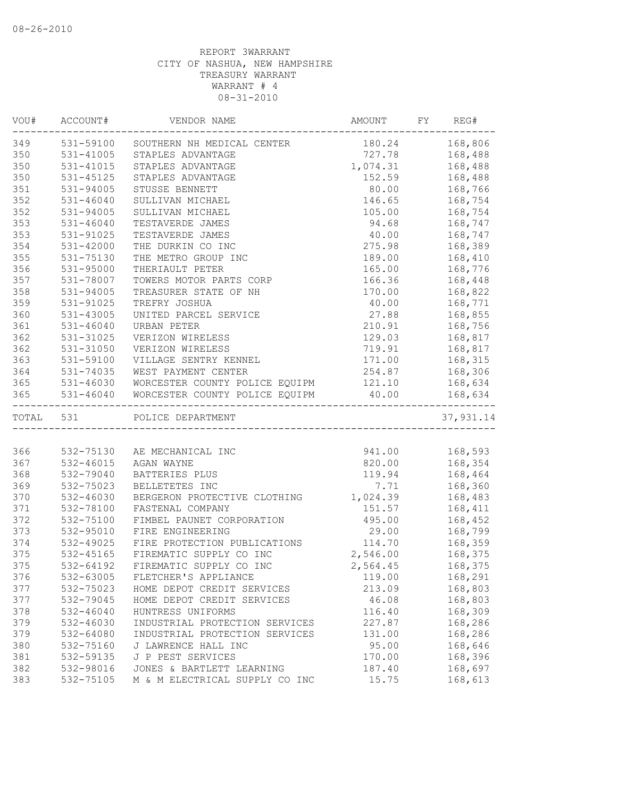| ------------<br>349 531-59100 SOUTHERN NH MEDICAL CENTER<br>180.24 168,806<br>531-41005<br>727.78<br>STAPLES ADVANTAGE<br>168,488<br>531-41015<br>1,074.31<br>168,488<br>STAPLES ADVANTAGE<br>152.59<br>168,488<br>531-45125<br>STAPLES ADVANTAGE<br>531-94005<br>STUSSE BENNETT<br>80.00<br>168,766<br>$531 - 46040$<br>146.65<br>168,754<br>SULLIVAN MICHAEL<br>531-94005<br>105.00<br>168,754<br>SULLIVAN MICHAEL<br>353<br>94.68<br>168,747<br>$531 - 46040$<br>TESTAVERDE JAMES<br>531-91025<br>40.00<br>TESTAVERDE JAMES<br>168,747<br>531-42000<br>THE DURKIN CO INC<br>275.98<br>168,389<br>531-75130<br>THE METRO GROUP INC<br>189.00<br>168,410<br>531-95000<br>THERIAULT PETER<br>165.00<br>168,776<br>TOWERS MOTOR PARTS CORP<br>166.36<br>531-78007<br>168,448<br>170.00<br>168,822<br>531-94005<br>TREASURER STATE OF NH<br>359<br>168,771<br>531-91025<br>TREFRY JOSHUA<br>40.00<br>360<br>168,855<br>$531 - 43005$<br>UNITED PARCEL SERVICE<br>27.88<br>361<br>210.91<br>168,756<br>531-46040<br>URBAN PETER<br>362<br>129.03<br>168,817<br>531-31025<br>VERIZON WIRELESS<br>362<br>531-31050<br>719.91<br>168,817<br>VERIZON WIRELESS<br>363<br>531-59100<br>VILLAGE SENTRY KENNEL<br>171.00<br>168,315<br>364<br>531-74035<br>254.87 168,306<br>WEST PAYMENT CENTER<br>365<br>531-46030 WORCESTER COUNTY POLICE EQUIPM<br>121.10<br>168,634<br>365<br>$531 - 46040$<br>WORCESTER COUNTY POLICE EQUIPM<br>40.00<br>168,634<br>TOTAL 531<br>POLICE DEPARTMENT<br>532-75130 AE MECHANICAL INC<br>941.00 168,593<br>366<br>367<br>532-46015<br>AGAN WAYNE<br>820.00   168,354<br>368<br>532-79040<br>BATTERIES PLUS<br>119.94 168,464<br>532-75023<br>7.71<br>BELLETETES INC<br>168,360<br>370<br>1,024.39<br>168,483<br>532-46030<br>BERGERON PROTECTIVE CLOTHING<br>371<br>151.57<br>168,411<br>532-78100<br>FASTENAL COMPANY<br>532-75100<br>FIMBEL PAUNET CORPORATION<br>495.00<br>168,452<br>532-95010<br>FIRE ENGINEERING<br>29.00<br>168,799<br>114.70<br>532-49025<br>168,359<br>FIRE PROTECTION PUBLICATIONS<br>2,546.00<br>532-45165<br>FIREMATIC SUPPLY CO INC<br>168,375<br>532-64192<br>FIREMATIC SUPPLY CO INC<br>2,564.45<br>168,375<br>168,291<br>376<br>532-63005<br>FLETCHER'S APPLIANCE<br>119.00<br>377<br>532-75023<br>HOME DEPOT CREDIT SERVICES<br>213.09<br>168,803<br>377<br>532-79045<br>46.08<br>168,803<br>HOME DEPOT CREDIT SERVICES<br>378<br>$532 - 46040$<br>HUNTRESS UNIFORMS<br>116.40<br>168,309<br>379<br>INDUSTRIAL PROTECTION SERVICES<br>227.87<br>168,286<br>532-46030<br>379<br>168,286<br>532-64080<br>INDUSTRIAL PROTECTION SERVICES<br>131.00<br>380<br>532-75160<br>J LAWRENCE HALL INC<br>95.00<br>168,646<br>381<br>532-59135<br>J P PEST SERVICES<br>170.00<br>168,396<br>382<br>532-98016<br>JONES & BARTLETT LEARNING<br>187.40<br>168,697<br>532-75105<br>M & M ELECTRICAL SUPPLY CO INC<br>168,613<br>15.75 | VOU# | ACCOUNT# | VENDOR NAME | AMOUNT | FY | REG#      |
|-------------------------------------------------------------------------------------------------------------------------------------------------------------------------------------------------------------------------------------------------------------------------------------------------------------------------------------------------------------------------------------------------------------------------------------------------------------------------------------------------------------------------------------------------------------------------------------------------------------------------------------------------------------------------------------------------------------------------------------------------------------------------------------------------------------------------------------------------------------------------------------------------------------------------------------------------------------------------------------------------------------------------------------------------------------------------------------------------------------------------------------------------------------------------------------------------------------------------------------------------------------------------------------------------------------------------------------------------------------------------------------------------------------------------------------------------------------------------------------------------------------------------------------------------------------------------------------------------------------------------------------------------------------------------------------------------------------------------------------------------------------------------------------------------------------------------------------------------------------------------------------------------------------------------------------------------------------------------------------------------------------------------------------------------------------------------------------------------------------------------------------------------------------------------------------------------------------------------------------------------------------------------------------------------------------------------------------------------------------------------------------------------------------------------------------------------------------------------------------------------------------------------------------------------------------------------------------------------------------------------------------------------------------------------------------------------------------------------------------------------------------------------------------------------------------------------------------------------------------------------------|------|----------|-------------|--------|----|-----------|
|                                                                                                                                                                                                                                                                                                                                                                                                                                                                                                                                                                                                                                                                                                                                                                                                                                                                                                                                                                                                                                                                                                                                                                                                                                                                                                                                                                                                                                                                                                                                                                                                                                                                                                                                                                                                                                                                                                                                                                                                                                                                                                                                                                                                                                                                                                                                                                                                                                                                                                                                                                                                                                                                                                                                                                                                                                                                               |      |          |             |        |    |           |
|                                                                                                                                                                                                                                                                                                                                                                                                                                                                                                                                                                                                                                                                                                                                                                                                                                                                                                                                                                                                                                                                                                                                                                                                                                                                                                                                                                                                                                                                                                                                                                                                                                                                                                                                                                                                                                                                                                                                                                                                                                                                                                                                                                                                                                                                                                                                                                                                                                                                                                                                                                                                                                                                                                                                                                                                                                                                               | 350  |          |             |        |    |           |
|                                                                                                                                                                                                                                                                                                                                                                                                                                                                                                                                                                                                                                                                                                                                                                                                                                                                                                                                                                                                                                                                                                                                                                                                                                                                                                                                                                                                                                                                                                                                                                                                                                                                                                                                                                                                                                                                                                                                                                                                                                                                                                                                                                                                                                                                                                                                                                                                                                                                                                                                                                                                                                                                                                                                                                                                                                                                               | 350  |          |             |        |    |           |
|                                                                                                                                                                                                                                                                                                                                                                                                                                                                                                                                                                                                                                                                                                                                                                                                                                                                                                                                                                                                                                                                                                                                                                                                                                                                                                                                                                                                                                                                                                                                                                                                                                                                                                                                                                                                                                                                                                                                                                                                                                                                                                                                                                                                                                                                                                                                                                                                                                                                                                                                                                                                                                                                                                                                                                                                                                                                               | 350  |          |             |        |    |           |
|                                                                                                                                                                                                                                                                                                                                                                                                                                                                                                                                                                                                                                                                                                                                                                                                                                                                                                                                                                                                                                                                                                                                                                                                                                                                                                                                                                                                                                                                                                                                                                                                                                                                                                                                                                                                                                                                                                                                                                                                                                                                                                                                                                                                                                                                                                                                                                                                                                                                                                                                                                                                                                                                                                                                                                                                                                                                               | 351  |          |             |        |    |           |
|                                                                                                                                                                                                                                                                                                                                                                                                                                                                                                                                                                                                                                                                                                                                                                                                                                                                                                                                                                                                                                                                                                                                                                                                                                                                                                                                                                                                                                                                                                                                                                                                                                                                                                                                                                                                                                                                                                                                                                                                                                                                                                                                                                                                                                                                                                                                                                                                                                                                                                                                                                                                                                                                                                                                                                                                                                                                               | 352  |          |             |        |    |           |
|                                                                                                                                                                                                                                                                                                                                                                                                                                                                                                                                                                                                                                                                                                                                                                                                                                                                                                                                                                                                                                                                                                                                                                                                                                                                                                                                                                                                                                                                                                                                                                                                                                                                                                                                                                                                                                                                                                                                                                                                                                                                                                                                                                                                                                                                                                                                                                                                                                                                                                                                                                                                                                                                                                                                                                                                                                                                               | 352  |          |             |        |    |           |
|                                                                                                                                                                                                                                                                                                                                                                                                                                                                                                                                                                                                                                                                                                                                                                                                                                                                                                                                                                                                                                                                                                                                                                                                                                                                                                                                                                                                                                                                                                                                                                                                                                                                                                                                                                                                                                                                                                                                                                                                                                                                                                                                                                                                                                                                                                                                                                                                                                                                                                                                                                                                                                                                                                                                                                                                                                                                               |      |          |             |        |    |           |
|                                                                                                                                                                                                                                                                                                                                                                                                                                                                                                                                                                                                                                                                                                                                                                                                                                                                                                                                                                                                                                                                                                                                                                                                                                                                                                                                                                                                                                                                                                                                                                                                                                                                                                                                                                                                                                                                                                                                                                                                                                                                                                                                                                                                                                                                                                                                                                                                                                                                                                                                                                                                                                                                                                                                                                                                                                                                               | 353  |          |             |        |    |           |
|                                                                                                                                                                                                                                                                                                                                                                                                                                                                                                                                                                                                                                                                                                                                                                                                                                                                                                                                                                                                                                                                                                                                                                                                                                                                                                                                                                                                                                                                                                                                                                                                                                                                                                                                                                                                                                                                                                                                                                                                                                                                                                                                                                                                                                                                                                                                                                                                                                                                                                                                                                                                                                                                                                                                                                                                                                                                               | 354  |          |             |        |    |           |
|                                                                                                                                                                                                                                                                                                                                                                                                                                                                                                                                                                                                                                                                                                                                                                                                                                                                                                                                                                                                                                                                                                                                                                                                                                                                                                                                                                                                                                                                                                                                                                                                                                                                                                                                                                                                                                                                                                                                                                                                                                                                                                                                                                                                                                                                                                                                                                                                                                                                                                                                                                                                                                                                                                                                                                                                                                                                               | 355  |          |             |        |    |           |
|                                                                                                                                                                                                                                                                                                                                                                                                                                                                                                                                                                                                                                                                                                                                                                                                                                                                                                                                                                                                                                                                                                                                                                                                                                                                                                                                                                                                                                                                                                                                                                                                                                                                                                                                                                                                                                                                                                                                                                                                                                                                                                                                                                                                                                                                                                                                                                                                                                                                                                                                                                                                                                                                                                                                                                                                                                                                               | 356  |          |             |        |    |           |
|                                                                                                                                                                                                                                                                                                                                                                                                                                                                                                                                                                                                                                                                                                                                                                                                                                                                                                                                                                                                                                                                                                                                                                                                                                                                                                                                                                                                                                                                                                                                                                                                                                                                                                                                                                                                                                                                                                                                                                                                                                                                                                                                                                                                                                                                                                                                                                                                                                                                                                                                                                                                                                                                                                                                                                                                                                                                               | 357  |          |             |        |    |           |
|                                                                                                                                                                                                                                                                                                                                                                                                                                                                                                                                                                                                                                                                                                                                                                                                                                                                                                                                                                                                                                                                                                                                                                                                                                                                                                                                                                                                                                                                                                                                                                                                                                                                                                                                                                                                                                                                                                                                                                                                                                                                                                                                                                                                                                                                                                                                                                                                                                                                                                                                                                                                                                                                                                                                                                                                                                                                               | 358  |          |             |        |    |           |
|                                                                                                                                                                                                                                                                                                                                                                                                                                                                                                                                                                                                                                                                                                                                                                                                                                                                                                                                                                                                                                                                                                                                                                                                                                                                                                                                                                                                                                                                                                                                                                                                                                                                                                                                                                                                                                                                                                                                                                                                                                                                                                                                                                                                                                                                                                                                                                                                                                                                                                                                                                                                                                                                                                                                                                                                                                                                               |      |          |             |        |    |           |
|                                                                                                                                                                                                                                                                                                                                                                                                                                                                                                                                                                                                                                                                                                                                                                                                                                                                                                                                                                                                                                                                                                                                                                                                                                                                                                                                                                                                                                                                                                                                                                                                                                                                                                                                                                                                                                                                                                                                                                                                                                                                                                                                                                                                                                                                                                                                                                                                                                                                                                                                                                                                                                                                                                                                                                                                                                                                               |      |          |             |        |    |           |
|                                                                                                                                                                                                                                                                                                                                                                                                                                                                                                                                                                                                                                                                                                                                                                                                                                                                                                                                                                                                                                                                                                                                                                                                                                                                                                                                                                                                                                                                                                                                                                                                                                                                                                                                                                                                                                                                                                                                                                                                                                                                                                                                                                                                                                                                                                                                                                                                                                                                                                                                                                                                                                                                                                                                                                                                                                                                               |      |          |             |        |    |           |
|                                                                                                                                                                                                                                                                                                                                                                                                                                                                                                                                                                                                                                                                                                                                                                                                                                                                                                                                                                                                                                                                                                                                                                                                                                                                                                                                                                                                                                                                                                                                                                                                                                                                                                                                                                                                                                                                                                                                                                                                                                                                                                                                                                                                                                                                                                                                                                                                                                                                                                                                                                                                                                                                                                                                                                                                                                                                               |      |          |             |        |    |           |
|                                                                                                                                                                                                                                                                                                                                                                                                                                                                                                                                                                                                                                                                                                                                                                                                                                                                                                                                                                                                                                                                                                                                                                                                                                                                                                                                                                                                                                                                                                                                                                                                                                                                                                                                                                                                                                                                                                                                                                                                                                                                                                                                                                                                                                                                                                                                                                                                                                                                                                                                                                                                                                                                                                                                                                                                                                                                               |      |          |             |        |    |           |
|                                                                                                                                                                                                                                                                                                                                                                                                                                                                                                                                                                                                                                                                                                                                                                                                                                                                                                                                                                                                                                                                                                                                                                                                                                                                                                                                                                                                                                                                                                                                                                                                                                                                                                                                                                                                                                                                                                                                                                                                                                                                                                                                                                                                                                                                                                                                                                                                                                                                                                                                                                                                                                                                                                                                                                                                                                                                               |      |          |             |        |    |           |
|                                                                                                                                                                                                                                                                                                                                                                                                                                                                                                                                                                                                                                                                                                                                                                                                                                                                                                                                                                                                                                                                                                                                                                                                                                                                                                                                                                                                                                                                                                                                                                                                                                                                                                                                                                                                                                                                                                                                                                                                                                                                                                                                                                                                                                                                                                                                                                                                                                                                                                                                                                                                                                                                                                                                                                                                                                                                               |      |          |             |        |    |           |
|                                                                                                                                                                                                                                                                                                                                                                                                                                                                                                                                                                                                                                                                                                                                                                                                                                                                                                                                                                                                                                                                                                                                                                                                                                                                                                                                                                                                                                                                                                                                                                                                                                                                                                                                                                                                                                                                                                                                                                                                                                                                                                                                                                                                                                                                                                                                                                                                                                                                                                                                                                                                                                                                                                                                                                                                                                                                               |      |          |             |        |    |           |
|                                                                                                                                                                                                                                                                                                                                                                                                                                                                                                                                                                                                                                                                                                                                                                                                                                                                                                                                                                                                                                                                                                                                                                                                                                                                                                                                                                                                                                                                                                                                                                                                                                                                                                                                                                                                                                                                                                                                                                                                                                                                                                                                                                                                                                                                                                                                                                                                                                                                                                                                                                                                                                                                                                                                                                                                                                                                               |      |          |             |        |    |           |
|                                                                                                                                                                                                                                                                                                                                                                                                                                                                                                                                                                                                                                                                                                                                                                                                                                                                                                                                                                                                                                                                                                                                                                                                                                                                                                                                                                                                                                                                                                                                                                                                                                                                                                                                                                                                                                                                                                                                                                                                                                                                                                                                                                                                                                                                                                                                                                                                                                                                                                                                                                                                                                                                                                                                                                                                                                                                               |      |          |             |        |    | 37,931.14 |
|                                                                                                                                                                                                                                                                                                                                                                                                                                                                                                                                                                                                                                                                                                                                                                                                                                                                                                                                                                                                                                                                                                                                                                                                                                                                                                                                                                                                                                                                                                                                                                                                                                                                                                                                                                                                                                                                                                                                                                                                                                                                                                                                                                                                                                                                                                                                                                                                                                                                                                                                                                                                                                                                                                                                                                                                                                                                               |      |          |             |        |    |           |
|                                                                                                                                                                                                                                                                                                                                                                                                                                                                                                                                                                                                                                                                                                                                                                                                                                                                                                                                                                                                                                                                                                                                                                                                                                                                                                                                                                                                                                                                                                                                                                                                                                                                                                                                                                                                                                                                                                                                                                                                                                                                                                                                                                                                                                                                                                                                                                                                                                                                                                                                                                                                                                                                                                                                                                                                                                                                               |      |          |             |        |    |           |
|                                                                                                                                                                                                                                                                                                                                                                                                                                                                                                                                                                                                                                                                                                                                                                                                                                                                                                                                                                                                                                                                                                                                                                                                                                                                                                                                                                                                                                                                                                                                                                                                                                                                                                                                                                                                                                                                                                                                                                                                                                                                                                                                                                                                                                                                                                                                                                                                                                                                                                                                                                                                                                                                                                                                                                                                                                                                               |      |          |             |        |    |           |
|                                                                                                                                                                                                                                                                                                                                                                                                                                                                                                                                                                                                                                                                                                                                                                                                                                                                                                                                                                                                                                                                                                                                                                                                                                                                                                                                                                                                                                                                                                                                                                                                                                                                                                                                                                                                                                                                                                                                                                                                                                                                                                                                                                                                                                                                                                                                                                                                                                                                                                                                                                                                                                                                                                                                                                                                                                                                               |      |          |             |        |    |           |
|                                                                                                                                                                                                                                                                                                                                                                                                                                                                                                                                                                                                                                                                                                                                                                                                                                                                                                                                                                                                                                                                                                                                                                                                                                                                                                                                                                                                                                                                                                                                                                                                                                                                                                                                                                                                                                                                                                                                                                                                                                                                                                                                                                                                                                                                                                                                                                                                                                                                                                                                                                                                                                                                                                                                                                                                                                                                               | 369  |          |             |        |    |           |
|                                                                                                                                                                                                                                                                                                                                                                                                                                                                                                                                                                                                                                                                                                                                                                                                                                                                                                                                                                                                                                                                                                                                                                                                                                                                                                                                                                                                                                                                                                                                                                                                                                                                                                                                                                                                                                                                                                                                                                                                                                                                                                                                                                                                                                                                                                                                                                                                                                                                                                                                                                                                                                                                                                                                                                                                                                                                               |      |          |             |        |    |           |
|                                                                                                                                                                                                                                                                                                                                                                                                                                                                                                                                                                                                                                                                                                                                                                                                                                                                                                                                                                                                                                                                                                                                                                                                                                                                                                                                                                                                                                                                                                                                                                                                                                                                                                                                                                                                                                                                                                                                                                                                                                                                                                                                                                                                                                                                                                                                                                                                                                                                                                                                                                                                                                                                                                                                                                                                                                                                               |      |          |             |        |    |           |
|                                                                                                                                                                                                                                                                                                                                                                                                                                                                                                                                                                                                                                                                                                                                                                                                                                                                                                                                                                                                                                                                                                                                                                                                                                                                                                                                                                                                                                                                                                                                                                                                                                                                                                                                                                                                                                                                                                                                                                                                                                                                                                                                                                                                                                                                                                                                                                                                                                                                                                                                                                                                                                                                                                                                                                                                                                                                               | 372  |          |             |        |    |           |
|                                                                                                                                                                                                                                                                                                                                                                                                                                                                                                                                                                                                                                                                                                                                                                                                                                                                                                                                                                                                                                                                                                                                                                                                                                                                                                                                                                                                                                                                                                                                                                                                                                                                                                                                                                                                                                                                                                                                                                                                                                                                                                                                                                                                                                                                                                                                                                                                                                                                                                                                                                                                                                                                                                                                                                                                                                                                               | 373  |          |             |        |    |           |
|                                                                                                                                                                                                                                                                                                                                                                                                                                                                                                                                                                                                                                                                                                                                                                                                                                                                                                                                                                                                                                                                                                                                                                                                                                                                                                                                                                                                                                                                                                                                                                                                                                                                                                                                                                                                                                                                                                                                                                                                                                                                                                                                                                                                                                                                                                                                                                                                                                                                                                                                                                                                                                                                                                                                                                                                                                                                               | 374  |          |             |        |    |           |
|                                                                                                                                                                                                                                                                                                                                                                                                                                                                                                                                                                                                                                                                                                                                                                                                                                                                                                                                                                                                                                                                                                                                                                                                                                                                                                                                                                                                                                                                                                                                                                                                                                                                                                                                                                                                                                                                                                                                                                                                                                                                                                                                                                                                                                                                                                                                                                                                                                                                                                                                                                                                                                                                                                                                                                                                                                                                               | 375  |          |             |        |    |           |
|                                                                                                                                                                                                                                                                                                                                                                                                                                                                                                                                                                                                                                                                                                                                                                                                                                                                                                                                                                                                                                                                                                                                                                                                                                                                                                                                                                                                                                                                                                                                                                                                                                                                                                                                                                                                                                                                                                                                                                                                                                                                                                                                                                                                                                                                                                                                                                                                                                                                                                                                                                                                                                                                                                                                                                                                                                                                               | 375  |          |             |        |    |           |
|                                                                                                                                                                                                                                                                                                                                                                                                                                                                                                                                                                                                                                                                                                                                                                                                                                                                                                                                                                                                                                                                                                                                                                                                                                                                                                                                                                                                                                                                                                                                                                                                                                                                                                                                                                                                                                                                                                                                                                                                                                                                                                                                                                                                                                                                                                                                                                                                                                                                                                                                                                                                                                                                                                                                                                                                                                                                               |      |          |             |        |    |           |
|                                                                                                                                                                                                                                                                                                                                                                                                                                                                                                                                                                                                                                                                                                                                                                                                                                                                                                                                                                                                                                                                                                                                                                                                                                                                                                                                                                                                                                                                                                                                                                                                                                                                                                                                                                                                                                                                                                                                                                                                                                                                                                                                                                                                                                                                                                                                                                                                                                                                                                                                                                                                                                                                                                                                                                                                                                                                               |      |          |             |        |    |           |
|                                                                                                                                                                                                                                                                                                                                                                                                                                                                                                                                                                                                                                                                                                                                                                                                                                                                                                                                                                                                                                                                                                                                                                                                                                                                                                                                                                                                                                                                                                                                                                                                                                                                                                                                                                                                                                                                                                                                                                                                                                                                                                                                                                                                                                                                                                                                                                                                                                                                                                                                                                                                                                                                                                                                                                                                                                                                               |      |          |             |        |    |           |
|                                                                                                                                                                                                                                                                                                                                                                                                                                                                                                                                                                                                                                                                                                                                                                                                                                                                                                                                                                                                                                                                                                                                                                                                                                                                                                                                                                                                                                                                                                                                                                                                                                                                                                                                                                                                                                                                                                                                                                                                                                                                                                                                                                                                                                                                                                                                                                                                                                                                                                                                                                                                                                                                                                                                                                                                                                                                               |      |          |             |        |    |           |
|                                                                                                                                                                                                                                                                                                                                                                                                                                                                                                                                                                                                                                                                                                                                                                                                                                                                                                                                                                                                                                                                                                                                                                                                                                                                                                                                                                                                                                                                                                                                                                                                                                                                                                                                                                                                                                                                                                                                                                                                                                                                                                                                                                                                                                                                                                                                                                                                                                                                                                                                                                                                                                                                                                                                                                                                                                                                               |      |          |             |        |    |           |
|                                                                                                                                                                                                                                                                                                                                                                                                                                                                                                                                                                                                                                                                                                                                                                                                                                                                                                                                                                                                                                                                                                                                                                                                                                                                                                                                                                                                                                                                                                                                                                                                                                                                                                                                                                                                                                                                                                                                                                                                                                                                                                                                                                                                                                                                                                                                                                                                                                                                                                                                                                                                                                                                                                                                                                                                                                                                               |      |          |             |        |    |           |
|                                                                                                                                                                                                                                                                                                                                                                                                                                                                                                                                                                                                                                                                                                                                                                                                                                                                                                                                                                                                                                                                                                                                                                                                                                                                                                                                                                                                                                                                                                                                                                                                                                                                                                                                                                                                                                                                                                                                                                                                                                                                                                                                                                                                                                                                                                                                                                                                                                                                                                                                                                                                                                                                                                                                                                                                                                                                               |      |          |             |        |    |           |
|                                                                                                                                                                                                                                                                                                                                                                                                                                                                                                                                                                                                                                                                                                                                                                                                                                                                                                                                                                                                                                                                                                                                                                                                                                                                                                                                                                                                                                                                                                                                                                                                                                                                                                                                                                                                                                                                                                                                                                                                                                                                                                                                                                                                                                                                                                                                                                                                                                                                                                                                                                                                                                                                                                                                                                                                                                                                               |      |          |             |        |    |           |
|                                                                                                                                                                                                                                                                                                                                                                                                                                                                                                                                                                                                                                                                                                                                                                                                                                                                                                                                                                                                                                                                                                                                                                                                                                                                                                                                                                                                                                                                                                                                                                                                                                                                                                                                                                                                                                                                                                                                                                                                                                                                                                                                                                                                                                                                                                                                                                                                                                                                                                                                                                                                                                                                                                                                                                                                                                                                               |      |          |             |        |    |           |
|                                                                                                                                                                                                                                                                                                                                                                                                                                                                                                                                                                                                                                                                                                                                                                                                                                                                                                                                                                                                                                                                                                                                                                                                                                                                                                                                                                                                                                                                                                                                                                                                                                                                                                                                                                                                                                                                                                                                                                                                                                                                                                                                                                                                                                                                                                                                                                                                                                                                                                                                                                                                                                                                                                                                                                                                                                                                               | 383  |          |             |        |    |           |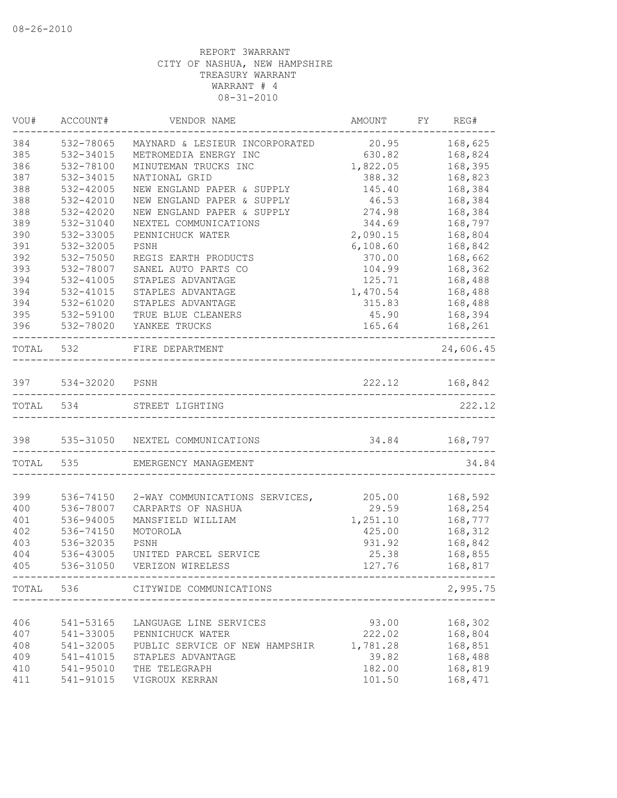| VOU#      | ACCOUNT#       | VENDOR NAME                         | AMOUNT                                  | FY REG#   |
|-----------|----------------|-------------------------------------|-----------------------------------------|-----------|
| 384       | 532-78065      | MAYNARD & LESIEUR INCORPORATED      | 20.95                                   | 168,625   |
| 385       | 532-34015      | METROMEDIA ENERGY INC               | 630.82                                  | 168,824   |
| 386       | 532-78100      | MINUTEMAN TRUCKS INC                | 1,822.05                                | 168,395   |
| 387       | 532-34015      | NATIONAL GRID                       | 388.32                                  | 168,823   |
| 388       | 532-42005      | NEW ENGLAND PAPER & SUPPLY          | 145.40                                  | 168,384   |
| 388       | 532-42010      | NEW ENGLAND PAPER & SUPPLY          | 46.53                                   | 168,384   |
| 388       | 532-42020      | NEW ENGLAND PAPER & SUPPLY          | 274.98                                  | 168,384   |
| 389       | 532-31040      | NEXTEL COMMUNICATIONS               | 344.69                                  | 168,797   |
| 390       | 532-33005      | PENNICHUCK WATER                    | 2,090.15                                | 168,804   |
| 391       | 532-32005      | PSNH                                | 6,108.60                                | 168,842   |
| 392       | 532-75050      | REGIS EARTH PRODUCTS                | 370.00                                  | 168,662   |
| 393       | 532-78007      | SANEL AUTO PARTS CO                 | 104.99                                  | 168,362   |
| 394       | 532-41005      | STAPLES ADVANTAGE                   | 125.71                                  | 168,488   |
| 394       | 532-41015      | STAPLES ADVANTAGE                   | 1,470.54                                | 168,488   |
| 394       | 532-61020      | STAPLES ADVANTAGE                   | 315.83                                  | 168,488   |
| 395       | 532-59100      | TRUE BLUE CLEANERS                  | 45.90                                   | 168,394   |
| 396       | 532-78020      | YANKEE TRUCKS                       | 165.64                                  | 168,261   |
| TOTAL 532 |                | FIRE DEPARTMENT                     |                                         | 24,606.45 |
| 397       | 534-32020 PSNH |                                     | 222.12                                  | 168,842   |
| TOTAL 534 |                | STREET LIGHTING                     |                                         | 222.12    |
|           |                | 398 535-31050 NEXTEL COMMUNICATIONS | 34.84 168,797                           |           |
|           | TOTAL 535      | EMERGENCY MANAGEMENT                | _______________                         | 34.84     |
|           |                |                                     |                                         |           |
| 399       | 536-74150      | 2-WAY COMMUNICATIONS SERVICES,      | 205.00                                  | 168,592   |
| 400       | 536-78007      | CARPARTS OF NASHUA                  | 29.59                                   | 168,254   |
| 401       | 536-94005      | MANSFIELD WILLIAM                   | 1,251.10                                | 168,777   |
| 402       | 536-74150      | MOTOROLA                            | 425.00                                  | 168,312   |
| 403       | 536-32035      | PSNH                                | 931.92                                  | 168,842   |
| 404       | 536-43005      | UNITED PARCEL SERVICE               | 25.38                                   | 168,855   |
| 405       | 536-31050      | VERIZON WIRELESS                    | 127.76<br>----------------------------- | 168,817   |
|           |                | TOTAL 536 CITYWIDE COMMUNICATIONS   |                                         | 2,995.75  |
|           |                |                                     |                                         |           |
| 406       | 541-53165      | LANGUAGE LINE SERVICES              | 93.00                                   | 168,302   |
| 407       | 541-33005      | PENNICHUCK WATER                    | 222.02                                  | 168,804   |
| 408       | 541-32005      | PUBLIC SERVICE OF NEW HAMPSHIR      | 1,781.28                                | 168,851   |
| 409       | 541-41015      | STAPLES ADVANTAGE                   | 39.82                                   | 168,488   |
| 410       | 541-95010      | THE TELEGRAPH                       | 182.00                                  | 168,819   |
| 411       | 541-91015      | VIGROUX KERRAN                      | 101.50                                  | 168,471   |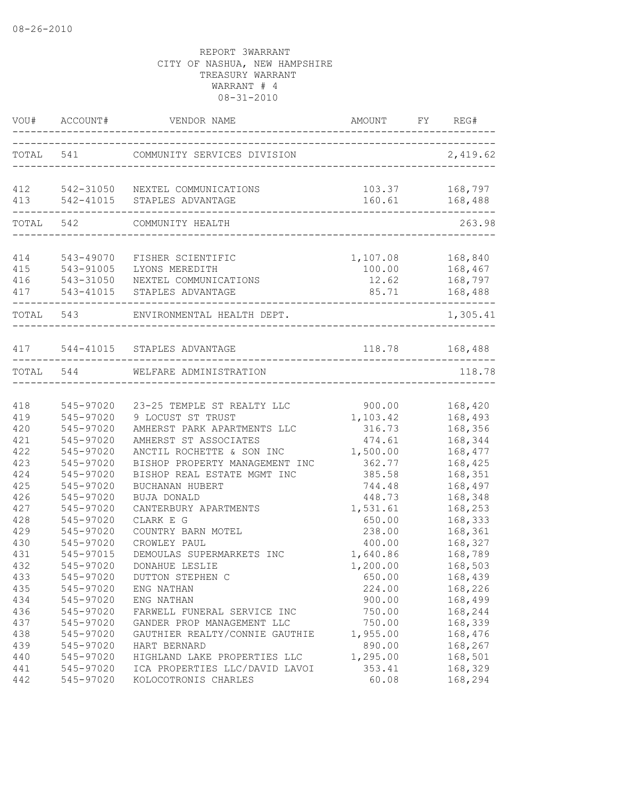|            | VOU# ACCOUNT# | VENDOR NAME                                                    | AMOUNT                  | FY REG#            |
|------------|---------------|----------------------------------------------------------------|-------------------------|--------------------|
|            |               | TOTAL 541 COMMUNITY SERVICES DIVISION                          | ----------------------- | 2,419.62           |
| 412<br>413 |               | 542-31050 NEXTEL COMMUNICATIONS<br>542-41015 STAPLES ADVANTAGE | 103.37<br>160.61        | 168,797<br>168,488 |
|            |               |                                                                |                         |                    |
| TOTAL 542  |               | COMMUNITY HEALTH                                               |                         | 263.98             |
| 414        | 543-49070     | FISHER SCIENTIFIC                                              | 1,107.08                | 168,840            |
| 415        | 543-91005     | LYONS MEREDITH                                                 | 100.00                  | 168,467            |
| 416        |               | 543-31050 NEXTEL COMMUNICATIONS                                | 12.62                   | 168,797            |
| 417        |               | 543-41015 STAPLES ADVANTAGE                                    | 85.71                   | 168,488            |
| TOTAL 543  |               | ENVIRONMENTAL HEALTH DEPT.                                     |                         | 1,305.41           |
|            |               |                                                                |                         |                    |
| 417        |               | 544-41015 STAPLES ADVANTAGE                                    |                         | 118.78 168,488     |
|            | TOTAL 544     | WELFARE ADMINISTRATION<br>_______________                      |                         | 118.78             |
|            |               |                                                                |                         |                    |
| 418        | 545-97020     | 23-25 TEMPLE ST REALTY LLC                                     | 900.00                  | 168,420            |
| 419        | 545-97020     | 9 LOCUST ST TRUST                                              | 1,103.42                | 168,493            |
| 420        | 545-97020     | AMHERST PARK APARTMENTS LLC                                    | 316.73                  | 168,356            |
| 421        | 545-97020     | AMHERST ST ASSOCIATES                                          | 474.61                  | 168,344            |
| 422        | 545-97020     | ANCTIL ROCHETTE & SON INC                                      | 1,500.00                | 168,477            |
| 423        | 545-97020     | BISHOP PROPERTY MANAGEMENT INC                                 | 362.77                  | 168,425            |
| 424        | 545-97020     | BISHOP REAL ESTATE MGMT INC                                    | 385.58                  | 168,351            |
| 425        | 545-97020     | BUCHANAN HUBERT                                                | 744.48                  | 168,497            |
| 426        | 545-97020     | BUJA DONALD                                                    | 448.73                  | 168,348            |
| 427        | 545-97020     | CANTERBURY APARTMENTS                                          | 1,531.61                | 168,253            |
| 428        | 545-97020     | CLARK E G                                                      | 650.00                  | 168,333            |
| 429        | 545-97020     | COUNTRY BARN MOTEL                                             | 238.00                  | 168,361            |
| 430        | 545-97020     | CROWLEY PAUL                                                   | 400.00                  | 168,327            |
| 431        | 545-97015     | DEMOULAS SUPERMARKETS INC                                      | 1,640.86                | 168,789            |
| 432        | 545-97020     | DONAHUE LESLIE                                                 | 1,200.00                | 168,503            |
| 433        | 545-97020     | DUTTON STEPHEN C                                               | 650.00                  | 168,439            |
| 435        | 545-97020     | ENG NATHAN                                                     | 224.00                  | 168,226            |
| 434        | 545-97020     | ENG NATHAN                                                     | 900.00                  | 168,499            |
| 436        | 545-97020     | FARWELL FUNERAL SERVICE INC                                    | 750.00                  | 168,244            |
| 437        | 545-97020     | GANDER PROP MANAGEMENT LLC                                     | 750.00                  | 168,339            |
| 438        | 545-97020     | GAUTHIER REALTY/CONNIE GAUTHIE                                 | 1,955.00                | 168,476            |
| 439        | 545-97020     | HART BERNARD                                                   | 890.00                  | 168,267            |
| 440        | 545-97020     | HIGHLAND LAKE PROPERTIES LLC                                   | 1,295.00                | 168,501            |
| 441        | 545-97020     | ICA PROPERTIES LLC/DAVID LAVOI                                 | 353.41                  | 168,329            |
| 442        | 545-97020     | KOLOCOTRONIS CHARLES                                           | 60.08                   | 168,294            |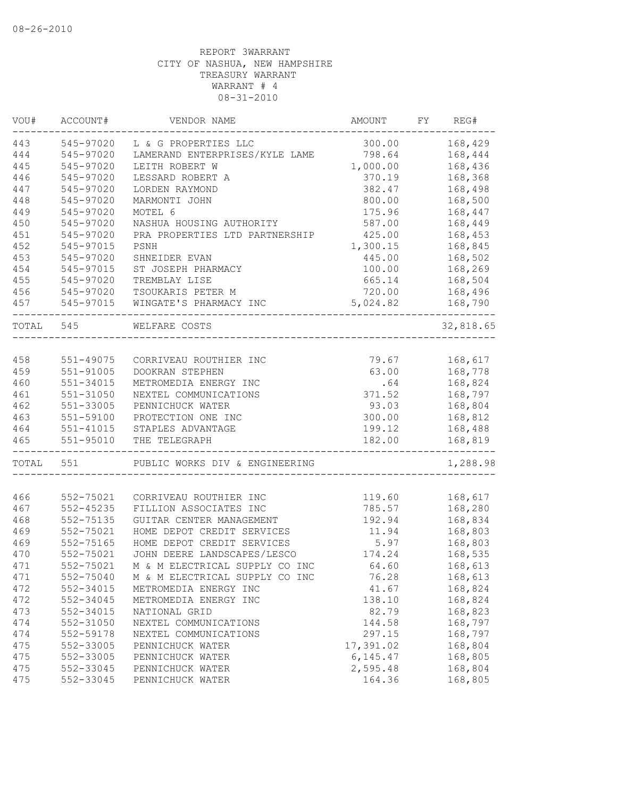| VOU#      | ACCOUNT#                   | VENDOR NAME                        | AMOUNT    | FY | REG#               |
|-----------|----------------------------|------------------------------------|-----------|----|--------------------|
| 443       | 545-97020                  | L & G PROPERTIES LLC               | 300.00    |    | 168,429            |
| 444       | 545-97020                  | LAMERAND ENTERPRISES/KYLE LAME     | 798.64    |    | 168,444            |
| 445       | 545-97020                  | LEITH ROBERT W                     | 1,000.00  |    | 168,436            |
| 446       | 545-97020                  | LESSARD ROBERT A                   | 370.19    |    | 168,368            |
| 447       | 545-97020                  | LORDEN RAYMOND                     | 382.47    |    | 168,498            |
| 448       | 545-97020                  | MARMONTI JOHN                      | 800.00    |    | 168,500            |
| 449       | 545-97020                  | MOTEL 6                            | 175.96    |    | 168,447            |
| 450       | 545-97020                  | NASHUA HOUSING AUTHORITY           | 587.00    |    | 168,449            |
| 451       | 545-97020                  | PRA PROPERTIES LTD PARTNERSHIP     | 425.00    |    | 168,453            |
| 452       | 545-97015                  | PSNH                               | 1,300.15  |    | 168,845            |
| 453       | 545-97020                  | SHNEIDER EVAN                      | 445.00    |    | 168,502            |
| 454       | 545-97015                  | ST JOSEPH PHARMACY                 | 100.00    |    | 168,269            |
| 455       | 545-97020                  | TREMBLAY LISE                      | 665.14    |    | 168,504            |
| 456       | 545-97020                  | TSOUKARIS PETER M                  | 720.00    |    | 168,496            |
| 457       | 545-97015                  | WINGATE'S PHARMACY INC             | 5,024.82  |    | 168,790            |
| TOTAL 545 |                            | WELFARE COSTS                      |           |    | 32,818.65          |
|           |                            |                                    |           |    |                    |
| 458       | 551-49075                  | CORRIVEAU ROUTHIER INC             | 79.67     |    | 168,617            |
| 459       | 551-91005                  | DOOKRAN STEPHEN                    | 63.00     |    | 168,778            |
| 460       | $551 - 34015$              | METROMEDIA ENERGY INC              | .64       |    | 168,824            |
| 461       | $551 - 31050$              | NEXTEL COMMUNICATIONS              | 371.52    |    | 168,797            |
| 462       | 551-33005                  | PENNICHUCK WATER                   | 93.03     |    | 168,804            |
| 463       | 551-59100                  | PROTECTION ONE INC                 | 300.00    |    | 168,812            |
| 464       |                            |                                    | 199.12    |    |                    |
| 465       | 551-41015<br>$551 - 95010$ | STAPLES ADVANTAGE<br>THE TELEGRAPH | 182.00    |    | 168,488<br>168,819 |
|           |                            |                                    |           |    |                    |
| TOTAL 551 |                            | PUBLIC WORKS DIV & ENGINEERING     |           |    | 1,288.98           |
|           |                            |                                    |           |    |                    |
| 466       | 552-75021                  | CORRIVEAU ROUTHIER INC             | 119.60    |    | 168,617            |
| 467       | $552 - 45235$              | FILLION ASSOCIATES INC             | 785.57    |    | 168,280            |
| 468       | 552-75135                  | GUITAR CENTER MANAGEMENT           | 192.94    |    | 168,834            |
| 469       | 552-75021                  | HOME DEPOT CREDIT SERVICES         | 11.94     |    | 168,803            |
| 469       | 552-75165                  | HOME DEPOT CREDIT SERVICES         | 5.97      |    | 168,803            |
| 470       | 552-75021                  | JOHN DEERE LANDSCAPES/LESCO        | 174.24    |    | 168,535            |
| 471       | 552-75021                  | M & M ELECTRICAL SUPPLY CO INC     | 64.60     |    | 168,613            |
| 471       | 552-75040                  | M & M ELECTRICAL SUPPLY CO INC     | 76.28     |    | 168,613            |
| 472       | 552-34015                  | METROMEDIA ENERGY INC              | 41.67     |    | 168,824            |
| 472       | 552-34045                  | METROMEDIA ENERGY INC              | 138.10    |    | 168,824            |
| 473       | 552-34015                  | NATIONAL GRID                      | 82.79     |    | 168,823            |
| 474       | 552-31050                  | NEXTEL COMMUNICATIONS              | 144.58    |    | 168,797            |
| 474       | 552-59178                  | NEXTEL COMMUNICATIONS              | 297.15    |    | 168,797            |
| 475       | 552-33005                  | PENNICHUCK WATER                   | 17,391.02 |    | 168,804            |
| 475       | 552-33005                  | PENNICHUCK WATER                   | 6, 145.47 |    | 168,805            |
| 475       | 552-33045                  | PENNICHUCK WATER                   | 2,595.48  |    | 168,804            |
| 475       | 552-33045                  | PENNICHUCK WATER                   | 164.36    |    | 168,805            |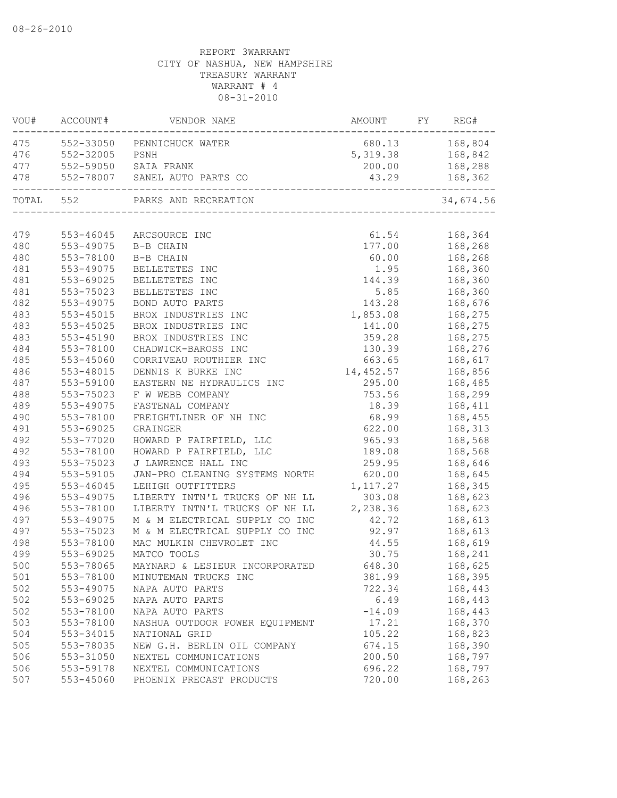| VOU#      | ACCOUNT#  | VENDOR NAME                                             | AMOUNT             | FY | REG#           |
|-----------|-----------|---------------------------------------------------------|--------------------|----|----------------|
| 475       |           | 552-33050 PENNICHUCK WATER                              |                    |    | 680.13 168,804 |
| 476       | 552-32005 | PSNH                                                    | 5, 319.38 168, 842 |    |                |
| 477       |           | 552-59050 SAIA FRANK                                    | 200.00             |    | 168,288        |
| 478       |           | 552-78007 SANEL AUTO PARTS CO                           | 43.29              |    | 168,362        |
| TOTAL 552 |           | PARKS AND RECREATION<br>\<br>-------------------------- |                    |    | 34,674.56      |
|           |           |                                                         |                    |    |                |
| 479       | 553-46045 | ARCSOURCE INC                                           | 61.54              |    | 168,364        |
| 480       | 553-49075 | B-B CHAIN                                               | 177.00             |    | 168,268        |
| 480       | 553-78100 | B-B CHAIN                                               | 60.00              |    | 168,268        |
| 481       | 553-49075 | BELLETETES INC                                          | 1.95               |    | 168,360        |
| 481       | 553-69025 | BELLETETES INC                                          | 144.39             |    | 168,360        |
| 481       | 553-75023 | BELLETETES INC                                          | 5.85               |    | 168,360        |
| 482       | 553-49075 | BOND AUTO PARTS                                         | 143.28             |    | 168,676        |
| 483       | 553-45015 | BROX INDUSTRIES INC                                     | 1,853.08           |    | 168,275        |
| 483       | 553-45025 | BROX INDUSTRIES INC                                     | 141.00             |    | 168,275        |
| 483       | 553-45190 | BROX INDUSTRIES INC                                     | 359.28             |    | 168,275        |
| 484       | 553-78100 | CHADWICK-BAROSS INC                                     | 130.39             |    | 168,276        |
| 485       | 553-45060 | CORRIVEAU ROUTHIER INC                                  | 663.65             |    | 168,617        |
| 486       | 553-48015 | DENNIS K BURKE INC                                      | 14,452.57          |    | 168,856        |
| 487       | 553-59100 | EASTERN NE HYDRAULICS INC                               | 295.00             |    | 168,485        |
| 488       | 553-75023 | F W WEBB COMPANY                                        | 753.56             |    | 168,299        |
| 489       | 553-49075 | FASTENAL COMPANY                                        | 18.39              |    | 168,411        |
| 490       | 553-78100 | FREIGHTLINER OF NH INC                                  | 68.99              |    | 168,455        |
| 491       | 553-69025 | GRAINGER                                                | 622.00             |    | 168,313        |
| 492       | 553-77020 | HOWARD P FAIRFIELD, LLC                                 | 965.93             |    | 168,568        |
| 492       | 553-78100 | HOWARD P FAIRFIELD, LLC                                 | 189.08             |    | 168,568        |
| 493       | 553-75023 | J LAWRENCE HALL INC                                     | 259.95             |    | 168,646        |
| 494       | 553-59105 | JAN-PRO CLEANING SYSTEMS NORTH                          | 620.00             |    | 168,645        |
| 495       | 553-46045 | LEHIGH OUTFITTERS                                       | 1,117.27           |    | 168,345        |
| 496       | 553-49075 | LIBERTY INTN'L TRUCKS OF NH LL                          | 303.08             |    | 168,623        |
| 496       | 553-78100 | LIBERTY INTN'L TRUCKS OF NH LL                          | 2,238.36           |    | 168,623        |
| 497       | 553-49075 | M & M ELECTRICAL SUPPLY CO INC                          | 42.72              |    | 168,613        |
| 497       | 553-75023 | M & M ELECTRICAL SUPPLY CO INC                          | 92.97              |    | 168,613        |
| 498       | 553-78100 | MAC MULKIN CHEVROLET INC                                | 44.55              |    | 168,619        |
| 499       | 553-69025 | MATCO TOOLS                                             | 30.75              |    | 168,241        |
| 500       | 553-78065 | MAYNARD & LESIEUR INCORPORATED                          | 648.30             |    | 168,625        |
| 501       | 553-78100 | MINUTEMAN TRUCKS INC                                    | 381.99             |    | 168,395        |
| 502       | 553-49075 | NAPA AUTO PARTS                                         | 722.34             |    | 168,443        |
| 502       | 553-69025 | NAPA AUTO PARTS                                         | 6.49               |    | 168,443        |
| 502       | 553-78100 | NAPA AUTO PARTS                                         | $-14.09$           |    | 168,443        |
| 503       | 553-78100 | NASHUA OUTDOOR POWER EQUIPMENT                          | 17.21              |    | 168,370        |
| 504       | 553-34015 | NATIONAL GRID                                           | 105.22             |    | 168,823        |
| 505       | 553-78035 | NEW G.H. BERLIN OIL COMPANY                             | 674.15             |    | 168,390        |
| 506       | 553-31050 | NEXTEL COMMUNICATIONS                                   | 200.50             |    | 168,797        |
| 506       | 553-59178 | NEXTEL COMMUNICATIONS                                   | 696.22             |    | 168,797        |
| 507       | 553-45060 | PHOENIX PRECAST PRODUCTS                                | 720.00             |    | 168,263        |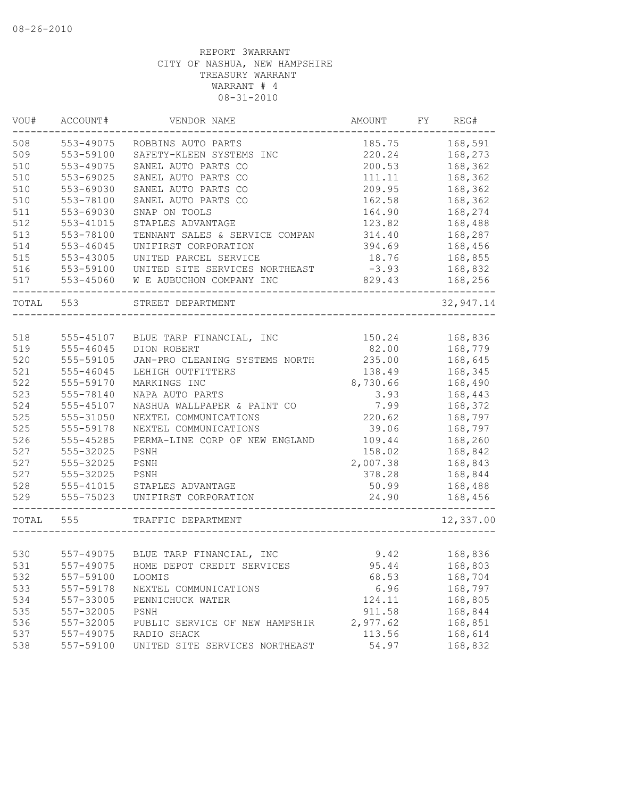| VOU#  | ACCOUNT#  | VENDOR NAME                          | AMOUNT   | FY | REG#       |
|-------|-----------|--------------------------------------|----------|----|------------|
| 508   | 553-49075 | ROBBINS AUTO PARTS                   | 185.75   |    | 168,591    |
| 509   | 553-59100 | SAFETY-KLEEN SYSTEMS INC             | 220.24   |    | 168,273    |
| 510   | 553-49075 | SANEL AUTO PARTS CO                  | 200.53   |    | 168,362    |
| 510   | 553-69025 | SANEL AUTO PARTS CO                  | 111.11   |    | 168,362    |
| 510   | 553-69030 | SANEL AUTO PARTS CO                  | 209.95   |    | 168,362    |
| 510   | 553-78100 | SANEL AUTO PARTS CO                  | 162.58   |    | 168,362    |
| 511   | 553-69030 | SNAP ON TOOLS                        | 164.90   |    | 168,274    |
| 512   | 553-41015 | STAPLES ADVANTAGE                    | 123.82   |    | 168,488    |
| 513   | 553-78100 | TENNANT SALES & SERVICE COMPAN       | 314.40   |    | 168,287    |
| 514   | 553-46045 | UNIFIRST CORPORATION                 | 394.69   |    | 168,456    |
| 515   | 553-43005 | UNITED PARCEL SERVICE                | 18.76    |    | 168,855    |
| 516   | 553-59100 | UNITED SITE SERVICES NORTHEAST       | $-3.93$  |    | 168,832    |
| 517   | 553-45060 | W E AUBUCHON COMPANY INC             | 829.43   |    | 168,256    |
| TOTAL | 553       | STREET DEPARTMENT                    |          |    | 32, 947.14 |
|       |           |                                      |          |    |            |
| 518   | 555-45107 | BLUE TARP FINANCIAL, INC             | 150.24   |    | 168,836    |
| 519   | 555-46045 | DION ROBERT                          | 82.00    |    | 168,779    |
| 520   | 555-59105 | JAN-PRO CLEANING SYSTEMS NORTH       | 235.00   |    | 168,645    |
| 521   | 555-46045 | LEHIGH OUTFITTERS                    | 138.49   |    | 168,345    |
| 522   | 555-59170 | MARKINGS INC                         | 8,730.66 |    | 168,490    |
| 523   | 555-78140 | NAPA AUTO PARTS                      | 3.93     |    | 168,443    |
| 524   | 555-45107 | NASHUA WALLPAPER & PAINT CO          | 7.99     |    | 168,372    |
| 525   | 555-31050 | NEXTEL COMMUNICATIONS                | 220.62   |    | 168,797    |
| 525   | 555-59178 | NEXTEL COMMUNICATIONS                | 39.06    |    | 168,797    |
| 526   | 555-45285 | PERMA-LINE CORP OF NEW ENGLAND       | 109.44   |    | 168,260    |
| 527   | 555-32025 | PSNH                                 | 158.02   |    | 168,842    |
| 527   | 555-32025 | PSNH                                 | 2,007.38 |    | 168,843    |
| 527   | 555-32025 | PSNH                                 | 378.28   |    | 168,844    |
| 528   | 555-41015 | STAPLES ADVANTAGE                    | 50.99    |    | 168,488    |
| 529   | 555-75023 | UNIFIRST CORPORATION                 | 24.90    |    | 168,456    |
| TOTAL | 555       | TRAFFIC DEPARTMENT                   |          |    | 12,337.00  |
|       |           |                                      |          |    |            |
| 530   |           | 557-49075 BLUE TARP FINANCIAL, INC   | 9.42     |    | 168,836    |
| 531   |           | 557-49075 HOME DEPOT CREDIT SERVICES | 95.44    |    | 168,803    |
| 532   | 557-59100 | LOOMIS                               | 68.53    |    | 168,704    |
| 533   | 557-59178 | NEXTEL COMMUNICATIONS                | 6.96     |    | 168,797    |
| 534   | 557-33005 | PENNICHUCK WATER                     | 124.11   |    | 168,805    |
| 535   | 557-32005 | PSNH                                 | 911.58   |    | 168,844    |
| 536   | 557-32005 | PUBLIC SERVICE OF NEW HAMPSHIR       | 2,977.62 |    | 168,851    |
| 537   | 557-49075 | RADIO SHACK                          | 113.56   |    | 168,614    |
| 538   | 557-59100 | UNITED SITE SERVICES NORTHEAST       | 54.97    |    | 168,832    |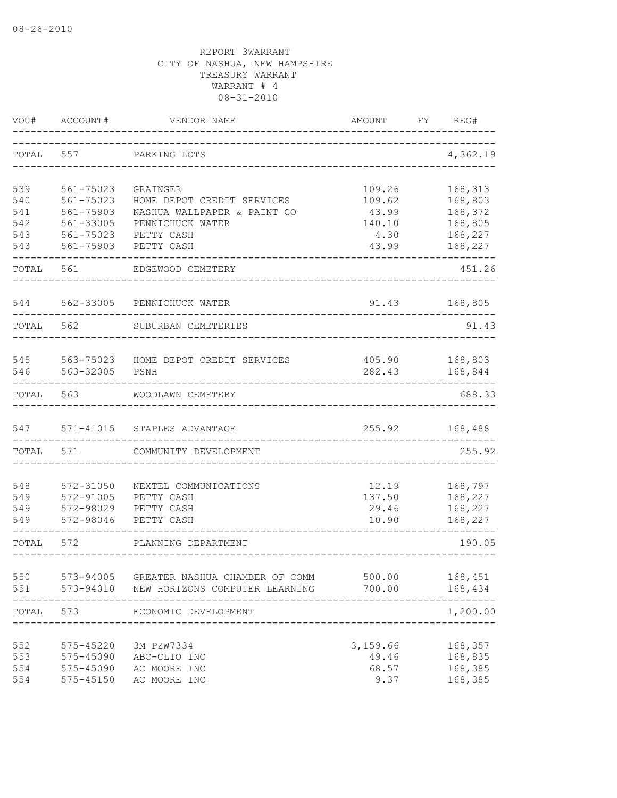| VOU#       | ACCOUNT#               | VENDOR NAME                         | <b>AMOUNT</b>    | FΥ | REG#               |
|------------|------------------------|-------------------------------------|------------------|----|--------------------|
| TOTAL      | 557                    | PARKING LOTS                        |                  |    | 4,362.19           |
| 539        | 561-75023              | GRAINGER                            | 109.26           |    | 168,313            |
| 540        | 561-75023              | HOME DEPOT CREDIT SERVICES          | 109.62           |    | 168,803            |
| 541        | 561-75903              | NASHUA WALLPAPER & PAINT CO         | 43.99            |    | 168,372            |
| 542        | 561-33005              | PENNICHUCK WATER                    | 140.10           |    | 168,805            |
| 543        | 561-75023              | PETTY CASH                          | 4.30             |    | 168,227            |
| 543        | 561-75903              | PETTY CASH                          | 43.99            |    | 168,227            |
| TOTAL      | 561                    | EDGEWOOD CEMETERY                   |                  |    | 451.26             |
| 544        | 562-33005              | PENNICHUCK WATER                    | 91.43            |    | 168,805            |
| TOTAL      | 562                    | SUBURBAN CEMETERIES                 |                  |    | 91.43              |
|            |                        |                                     |                  |    |                    |
| 545<br>546 | 563-75023<br>563-32005 | HOME DEPOT CREDIT SERVICES<br>PSNH  | 405.90<br>282.43 |    | 168,803<br>168,844 |
| TOTAL      | 563                    | WOODLAWN CEMETERY                   |                  |    | 688.33             |
| 547        | 571-41015              | STAPLES ADVANTAGE                   | 255.92           |    | 168,488            |
| TOTAL      | 571                    | COMMUNITY DEVELOPMENT               |                  |    | 255.92             |
| 548        | 572-31050              |                                     |                  |    | 168,797            |
| 549        | 572-91005              | NEXTEL COMMUNICATIONS<br>PETTY CASH | 12.19<br>137.50  |    | 168,227            |
| 549        | 572-98029              | PETTY CASH                          | 29.46            |    | 168,227            |
| 549        | 572-98046              | PETTY CASH                          | 10.90            |    | 168,227            |
| TOTAL      | 572                    | PLANNING DEPARTMENT                 |                  |    | 190.05             |
|            |                        |                                     |                  |    |                    |
| 550        | 573-94005              | GREATER NASHUA CHAMBER OF COMM      | 500.00           |    | 168,451            |
| 551        | 573-94010              | NEW HORIZONS COMPUTER LEARNING      | 700.00           |    | 168,434<br>-----   |
| TOTAL      | 573                    | ECONOMIC DEVELOPMENT                |                  |    | 1,200.00           |
| 552        | 575-45220              | 3M PZW7334                          | 3,159.66         |    | 168,357            |
| 553        | 575-45090              | ABC-CLIO INC                        | 49.46            |    | 168,835            |
| 554        | 575-45090              | AC MOORE INC                        | 68.57            |    | 168,385            |
| 554        | 575-45150              | AC MOORE INC                        | 9.37             |    | 168,385            |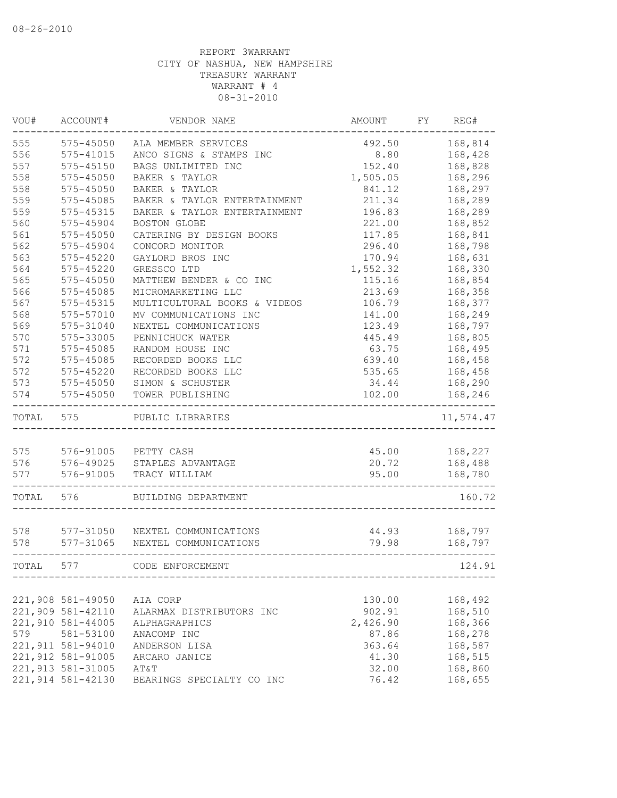| VOU#  | ACCOUNT#           | VENDOR NAME                  | AMOUNT   | FY | REG#      |
|-------|--------------------|------------------------------|----------|----|-----------|
| 555   | $575 - 45050$      | ALA MEMBER SERVICES          | 492.50   |    | 168,814   |
| 556   | 575-41015          | ANCO SIGNS & STAMPS INC      | 8.80     |    | 168,428   |
| 557   | 575-45150          | BAGS UNLIMITED INC           | 152.40   |    | 168,828   |
| 558   | $575 - 45050$      | BAKER & TAYLOR               | 1,505.05 |    | 168,296   |
| 558   | 575-45050          | BAKER & TAYLOR               | 841.12   |    | 168,297   |
| 559   | 575-45085          | BAKER & TAYLOR ENTERTAINMENT | 211.34   |    | 168,289   |
| 559   | 575-45315          | BAKER & TAYLOR ENTERTAINMENT | 196.83   |    | 168,289   |
| 560   | 575-45904          | <b>BOSTON GLOBE</b>          | 221.00   |    | 168,852   |
| 561   | 575-45050          | CATERING BY DESIGN BOOKS     | 117.85   |    | 168,841   |
| 562   | 575-45904          | CONCORD MONITOR              | 296.40   |    | 168,798   |
| 563   | $575 - 45220$      | GAYLORD BROS INC             | 170.94   |    | 168,631   |
| 564   | 575-45220          | GRESSCO LTD                  | 1,552.32 |    | 168,330   |
| 565   | 575-45050          | MATTHEW BENDER & CO INC      | 115.16   |    | 168,854   |
| 566   | 575-45085          | MICROMARKETING LLC           | 213.69   |    | 168,358   |
| 567   | 575-45315          | MULTICULTURAL BOOKS & VIDEOS | 106.79   |    | 168,377   |
| 568   | 575-57010          | MV COMMUNICATIONS INC        | 141.00   |    | 168,249   |
| 569   | 575-31040          | NEXTEL COMMUNICATIONS        | 123.49   |    | 168,797   |
| 570   | 575-33005          | PENNICHUCK WATER             | 445.49   |    | 168,805   |
| 571   | 575-45085          | RANDOM HOUSE INC             | 63.75    |    | 168,495   |
| 572   | 575-45085          | RECORDED BOOKS LLC           | 639.40   |    | 168,458   |
| 572   | $575 - 45220$      | RECORDED BOOKS LLC           | 535.65   |    | 168,458   |
| 573   | 575-45050          | SIMON & SCHUSTER             | 34.44    |    | 168,290   |
| 574   | 575-45050          | TOWER PUBLISHING             | 102.00   |    | 168,246   |
| TOTAL | 575                | PUBLIC LIBRARIES             |          |    | 11,574.47 |
|       |                    |                              |          |    |           |
| 575   | 576-91005          | PETTY CASH                   | 45.00    |    | 168,227   |
| 576   | 576-49025          | STAPLES ADVANTAGE            | 20.72    |    | 168,488   |
| 577   | 576-91005          | TRACY WILLIAM                | 95.00    |    | 168,780   |
| TOTAL | 576                | BUILDING DEPARTMENT          |          |    | 160.72    |
|       |                    |                              |          |    |           |
| 578   | 577-31050          | NEXTEL COMMUNICATIONS        | 44.93    |    | 168,797   |
| 578   | 577-31065          | NEXTEL COMMUNICATIONS        | 79.98    |    | 168,797   |
| TOTAL | 577                | CODE ENFORCEMENT             |          |    | 124.91    |
|       |                    |                              |          |    |           |
|       | 221,908 581-49050  | AIA CORP                     | 130.00   |    | 168,492   |
|       | 221,909 581-42110  | ALARMAX DISTRIBUTORS INC     | 902.91   |    | 168,510   |
|       | 221,910 581-44005  | ALPHAGRAPHICS                | 2,426.90 |    | 168,366   |
| 579   | 581-53100          | ANACOMP INC                  | 87.86    |    | 168,278   |
|       | 221,911 581-94010  | ANDERSON LISA                | 363.64   |    | 168,587   |
|       | 221, 912 581-91005 | ARCARO JANICE                | 41.30    |    | 168,515   |
|       | 221,913 581-31005  | AT&T                         | 32.00    |    | 168,860   |
|       | 221,914 581-42130  | BEARINGS SPECIALTY CO INC    | 76.42    |    | 168,655   |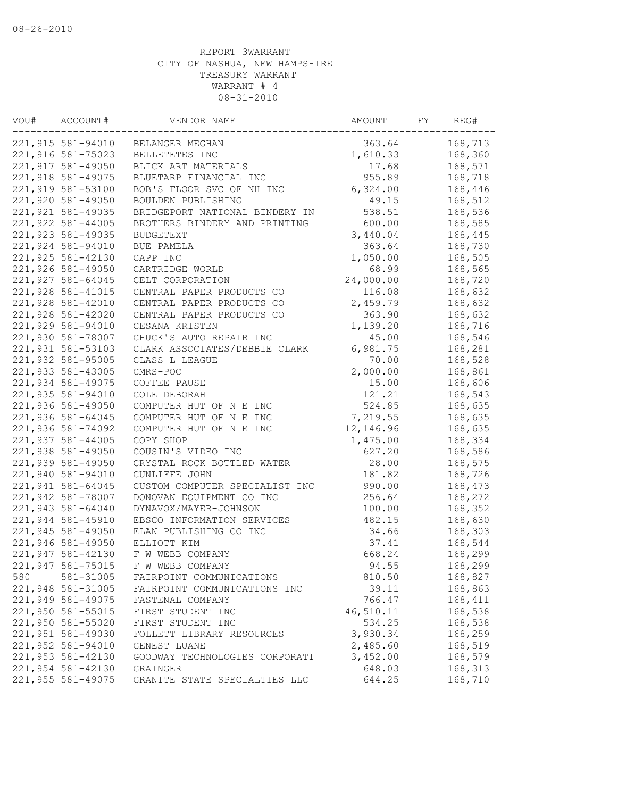| VOU# | ACCOUNT#          | VENDOR NAME                    | AMOUNT    | FY | REG#    |
|------|-------------------|--------------------------------|-----------|----|---------|
|      | 221,915 581-94010 | BELANGER MEGHAN                | 363.64    |    | 168,713 |
|      | 221,916 581-75023 | BELLETETES INC                 | 1,610.33  |    | 168,360 |
|      | 221,917 581-49050 | BLICK ART MATERIALS            | 17.68     |    | 168,571 |
|      | 221,918 581-49075 | BLUETARP FINANCIAL INC         | 955.89    |    | 168,718 |
|      | 221,919 581-53100 | BOB'S FLOOR SVC OF NH INC      | 6,324.00  |    | 168,446 |
|      | 221,920 581-49050 | BOULDEN PUBLISHING             | 49.15     |    | 168,512 |
|      | 221,921 581-49035 | BRIDGEPORT NATIONAL BINDERY IN | 538.51    |    | 168,536 |
|      | 221,922 581-44005 | BROTHERS BINDERY AND PRINTING  | 600.00    |    | 168,585 |
|      | 221,923 581-49035 | <b>BUDGETEXT</b>               | 3,440.04  |    | 168,445 |
|      | 221,924 581-94010 | BUE PAMELA                     | 363.64    |    | 168,730 |
|      | 221,925 581-42130 | CAPP INC                       | 1,050.00  |    | 168,505 |
|      | 221,926 581-49050 | CARTRIDGE WORLD                | 68.99     |    | 168,565 |
|      | 221,927 581-64045 | CELT CORPORATION               | 24,000.00 |    | 168,720 |
|      | 221,928 581-41015 | CENTRAL PAPER PRODUCTS CO      | 116.08    |    | 168,632 |
|      | 221,928 581-42010 | CENTRAL PAPER PRODUCTS CO      | 2,459.79  |    | 168,632 |
|      | 221,928 581-42020 | CENTRAL PAPER PRODUCTS CO      | 363.90    |    | 168,632 |
|      | 221,929 581-94010 | CESANA KRISTEN                 | 1,139.20  |    | 168,716 |
|      | 221,930 581-78007 | CHUCK'S AUTO REPAIR INC        | 45.00     |    | 168,546 |
|      | 221,931 581-53103 | CLARK ASSOCIATES/DEBBIE CLARK  | 6,981.75  |    | 168,281 |
|      | 221,932 581-95005 | CLASS L LEAGUE                 | 70.00     |    | 168,528 |
|      | 221,933 581-43005 | CMRS-POC                       | 2,000.00  |    | 168,861 |
|      | 221,934 581-49075 | COFFEE PAUSE                   | 15.00     |    | 168,606 |
|      | 221,935 581-94010 | COLE DEBORAH                   | 121.21    |    | 168,543 |
|      | 221,936 581-49050 | COMPUTER HUT OF N E INC        | 524.85    |    | 168,635 |
|      | 221,936 581-64045 | COMPUTER HUT OF N E INC        | 7,219.55  |    | 168,635 |
|      | 221,936 581-74092 | COMPUTER HUT OF N E INC        | 12,146.96 |    | 168,635 |
|      | 221,937 581-44005 | COPY SHOP                      | 1,475.00  |    | 168,334 |
|      | 221,938 581-49050 | COUSIN'S VIDEO INC             | 627.20    |    | 168,586 |
|      | 221,939 581-49050 | CRYSTAL ROCK BOTTLED WATER     | 28.00     |    | 168,575 |
|      | 221,940 581-94010 | CUNLIFFE JOHN                  | 181.82    |    | 168,726 |
|      | 221,941 581-64045 | CUSTOM COMPUTER SPECIALIST INC | 990.00    |    | 168,473 |
|      | 221,942 581-78007 | DONOVAN EQUIPMENT CO INC       | 256.64    |    | 168,272 |
|      | 221,943 581-64040 | DYNAVOX/MAYER-JOHNSON          | 100.00    |    | 168,352 |
|      | 221,944 581-45910 | EBSCO INFORMATION SERVICES     | 482.15    |    | 168,630 |
|      | 221,945 581-49050 | ELAN PUBLISHING CO INC         | 34.66     |    | 168,303 |
|      | 221,946 581-49050 | ELLIOTT KIM                    | 37.41     |    | 168,544 |
|      | 221,947 581-42130 | F W WEBB COMPANY               | 668.24    |    | 168,299 |
|      | 221,947 581-75015 | F W WEBB COMPANY               | 94.55     |    | 168,299 |
|      |                   |                                |           |    |         |
| 580  | 581-31005         | FAIRPOINT COMMUNICATIONS       | 810.50    |    | 168,827 |
|      | 221,948 581-31005 | FAIRPOINT COMMUNICATIONS INC   | 39.11     |    | 168,863 |
|      | 221,949 581-49075 | FASTENAL COMPANY               | 766.47    |    | 168,411 |
|      | 221,950 581-55015 | FIRST STUDENT INC              | 46,510.11 |    | 168,538 |
|      | 221,950 581-55020 | FIRST STUDENT INC              | 534.25    |    | 168,538 |
|      | 221,951 581-49030 | FOLLETT LIBRARY RESOURCES      | 3,930.34  |    | 168,259 |
|      | 221,952 581-94010 | GENEST LUANE                   | 2,485.60  |    | 168,519 |
|      | 221,953 581-42130 | GOODWAY TECHNOLOGIES CORPORATI | 3,452.00  |    | 168,579 |
|      | 221,954 581-42130 | GRAINGER                       | 648.03    |    | 168,313 |
|      | 221,955 581-49075 | GRANITE STATE SPECIALTIES LLC  | 644.25    |    | 168,710 |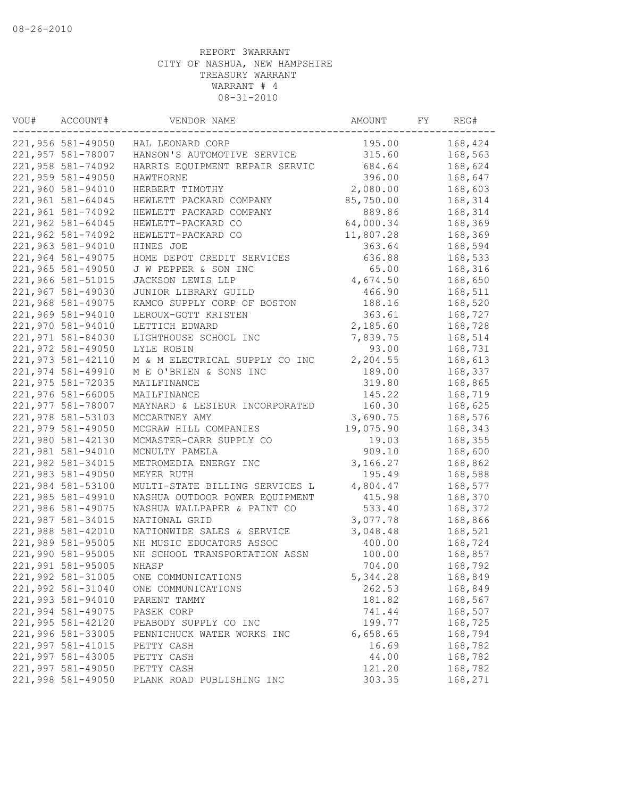| VOU# | ACCOUNT#          | VENDOR NAME                    | AMOUNT    | FY | REG#    |
|------|-------------------|--------------------------------|-----------|----|---------|
|      | 221,956 581-49050 | HAL LEONARD CORP               | 195.00    |    | 168,424 |
|      | 221,957 581-78007 | HANSON'S AUTOMOTIVE SERVICE    | 315.60    |    | 168,563 |
|      | 221,958 581-74092 | HARRIS EQUIPMENT REPAIR SERVIC | 684.64    |    | 168,624 |
|      | 221,959 581-49050 | HAWTHORNE                      | 396.00    |    | 168,647 |
|      | 221,960 581-94010 | HERBERT TIMOTHY                | 2,080.00  |    | 168,603 |
|      | 221,961 581-64045 | HEWLETT PACKARD COMPANY        | 85,750.00 |    | 168,314 |
|      | 221,961 581-74092 | HEWLETT PACKARD COMPANY        | 889.86    |    | 168,314 |
|      | 221,962 581-64045 | HEWLETT-PACKARD CO             | 64,000.34 |    | 168,369 |
|      | 221,962 581-74092 | HEWLETT-PACKARD CO             | 11,807.28 |    | 168,369 |
|      | 221,963 581-94010 | HINES JOE                      | 363.64    |    | 168,594 |
|      | 221,964 581-49075 | HOME DEPOT CREDIT SERVICES     | 636.88    |    | 168,533 |
|      | 221,965 581-49050 | J W PEPPER & SON INC           | 65.00     |    | 168,316 |
|      | 221,966 581-51015 | JACKSON LEWIS LLP              | 4,674.50  |    | 168,650 |
|      | 221,967 581-49030 | JUNIOR LIBRARY GUILD           | 466.90    |    | 168,511 |
|      | 221,968 581-49075 | KAMCO SUPPLY CORP OF BOSTON    | 188.16    |    | 168,520 |
|      | 221,969 581-94010 | LEROUX-GOTT KRISTEN            | 363.61    |    | 168,727 |
|      | 221,970 581-94010 | LETTICH EDWARD                 | 2,185.60  |    | 168,728 |
|      | 221,971 581-84030 | LIGHTHOUSE SCHOOL INC          | 7,839.75  |    | 168,514 |
|      | 221,972 581-49050 | LYLE ROBIN                     | 93.00     |    | 168,731 |
|      | 221,973 581-42110 | M & M ELECTRICAL SUPPLY CO INC | 2,204.55  |    | 168,613 |
|      | 221,974 581-49910 | M E O'BRIEN & SONS INC         | 189.00    |    | 168,337 |
|      | 221,975 581-72035 | MAILFINANCE                    | 319.80    |    | 168,865 |
|      | 221,976 581-66005 | MAILFINANCE                    | 145.22    |    | 168,719 |
|      | 221,977 581-78007 | MAYNARD & LESIEUR INCORPORATED | 160.30    |    | 168,625 |
|      | 221,978 581-53103 | MCCARTNEY AMY                  | 3,690.75  |    | 168,576 |
|      | 221,979 581-49050 | MCGRAW HILL COMPANIES          | 19,075.90 |    | 168,343 |
|      | 221,980 581-42130 | MCMASTER-CARR SUPPLY CO        | 19.03     |    | 168,355 |
|      | 221,981 581-94010 | MCNULTY PAMELA                 | 909.10    |    | 168,600 |
|      | 221,982 581-34015 | METROMEDIA ENERGY INC          | 3,166.27  |    | 168,862 |
|      | 221,983 581-49050 | MEYER RUTH                     | 195.49    |    | 168,588 |
|      | 221,984 581-53100 | MULTI-STATE BILLING SERVICES L | 4,804.47  |    | 168,577 |
|      | 221,985 581-49910 | NASHUA OUTDOOR POWER EQUIPMENT | 415.98    |    | 168,370 |
|      | 221,986 581-49075 | NASHUA WALLPAPER & PAINT CO    | 533.40    |    | 168,372 |
|      | 221,987 581-34015 | NATIONAL GRID                  | 3,077.78  |    | 168,866 |
|      | 221,988 581-42010 | NATIONWIDE SALES & SERVICE     | 3,048.48  |    | 168,521 |
|      | 221,989 581-95005 | NH MUSIC EDUCATORS ASSOC       | 400.00    |    | 168,724 |
|      | 221,990 581-95005 | NH SCHOOL TRANSPORTATION ASSN  | 100.00    |    | 168,857 |
|      | 221,991 581-95005 | NHASP                          | 704.00    |    | 168,792 |
|      | 221,992 581-31005 | ONE COMMUNICATIONS             | 5,344.28  |    | 168,849 |
|      | 221,992 581-31040 | ONE COMMUNICATIONS             | 262.53    |    | 168,849 |
|      | 221,993 581-94010 | PARENT TAMMY                   | 181.82    |    | 168,567 |
|      | 221,994 581-49075 | PASEK CORP                     | 741.44    |    | 168,507 |
|      | 221,995 581-42120 | PEABODY SUPPLY CO INC          | 199.77    |    | 168,725 |
|      | 221,996 581-33005 | PENNICHUCK WATER WORKS INC     | 6,658.65  |    | 168,794 |
|      | 221,997 581-41015 | PETTY CASH                     | 16.69     |    | 168,782 |
|      | 221,997 581-43005 | PETTY CASH                     | 44.00     |    | 168,782 |
|      | 221,997 581-49050 | PETTY CASH                     | 121.20    |    | 168,782 |
|      | 221,998 581-49050 | PLANK ROAD PUBLISHING INC      | 303.35    |    | 168,271 |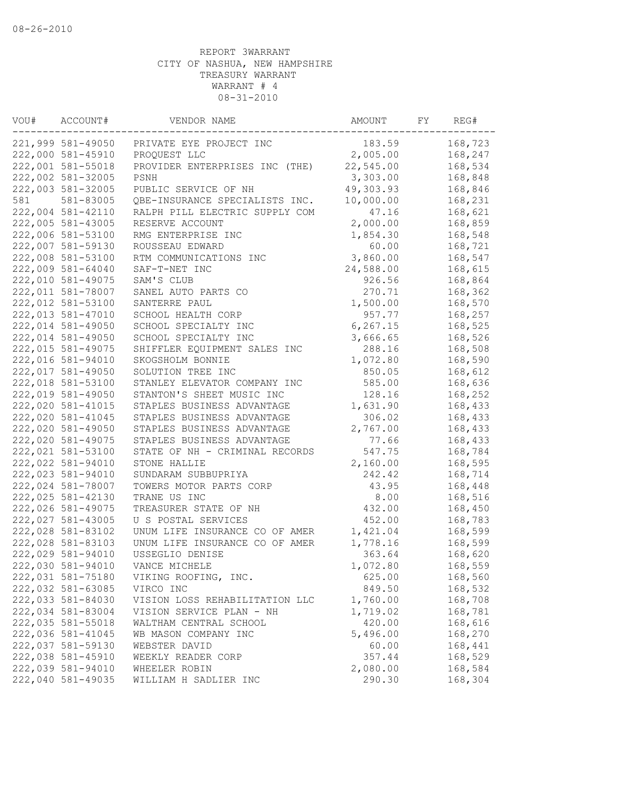| VOU# | ACCOUNT#          | VENDOR NAME                    | AMOUNT    | FY | REG#    |
|------|-------------------|--------------------------------|-----------|----|---------|
|      | 221,999 581-49050 | PRIVATE EYE PROJECT INC        | 183.59    |    | 168,723 |
|      | 222,000 581-45910 | PROQUEST LLC                   | 2,005.00  |    | 168,247 |
|      | 222,001 581-55018 | PROVIDER ENTERPRISES INC (THE) | 22,545.00 |    | 168,534 |
|      | 222,002 581-32005 | PSNH                           | 3,303.00  |    | 168,848 |
|      | 222,003 581-32005 | PUBLIC SERVICE OF NH           | 49,303.93 |    | 168,846 |
| 581  | 581-83005         | QBE-INSURANCE SPECIALISTS INC. | 10,000.00 |    | 168,231 |
|      | 222,004 581-42110 | RALPH PILL ELECTRIC SUPPLY COM | 47.16     |    | 168,621 |
|      | 222,005 581-43005 | RESERVE ACCOUNT                | 2,000.00  |    | 168,859 |
|      | 222,006 581-53100 | RMG ENTERPRISE INC             | 1,854.30  |    | 168,548 |
|      | 222,007 581-59130 | ROUSSEAU EDWARD                | 60.00     |    | 168,721 |
|      | 222,008 581-53100 | RTM COMMUNICATIONS INC         | 3,860.00  |    | 168,547 |
|      | 222,009 581-64040 | SAF-T-NET INC                  | 24,588.00 |    | 168,615 |
|      | 222,010 581-49075 | SAM'S CLUB                     | 926.56    |    | 168,864 |
|      | 222,011 581-78007 | SANEL AUTO PARTS CO            | 270.71    |    | 168,362 |
|      | 222,012 581-53100 | SANTERRE PAUL                  | 1,500.00  |    | 168,570 |
|      | 222,013 581-47010 | SCHOOL HEALTH CORP             | 957.77    |    | 168,257 |
|      | 222,014 581-49050 | SCHOOL SPECIALTY INC           | 6, 267.15 |    | 168,525 |
|      | 222,014 581-49050 | SCHOOL SPECIALTY INC           | 3,666.65  |    | 168,526 |
|      | 222,015 581-49075 | SHIFFLER EQUIPMENT SALES INC   | 288.16    |    | 168,508 |
|      | 222,016 581-94010 | SKOGSHOLM BONNIE               | 1,072.80  |    | 168,590 |
|      | 222,017 581-49050 | SOLUTION TREE INC              | 850.05    |    | 168,612 |
|      | 222,018 581-53100 | STANLEY ELEVATOR COMPANY INC   | 585.00    |    | 168,636 |
|      | 222,019 581-49050 | STANTON'S SHEET MUSIC INC      | 128.16    |    | 168,252 |
|      | 222,020 581-41015 | STAPLES BUSINESS ADVANTAGE     | 1,631.90  |    | 168,433 |
|      | 222,020 581-41045 | STAPLES BUSINESS ADVANTAGE     | 306.02    |    | 168,433 |
|      | 222,020 581-49050 | STAPLES BUSINESS ADVANTAGE     | 2,767.00  |    | 168,433 |
|      | 222,020 581-49075 | STAPLES BUSINESS ADVANTAGE     | 77.66     |    | 168,433 |
|      | 222,021 581-53100 | STATE OF NH - CRIMINAL RECORDS | 547.75    |    | 168,784 |
|      | 222,022 581-94010 | STONE HALLIE                   | 2,160.00  |    | 168,595 |
|      | 222,023 581-94010 | SUNDARAM SUBBUPRIYA            | 242.42    |    | 168,714 |
|      | 222,024 581-78007 | TOWERS MOTOR PARTS CORP        | 43.95     |    | 168,448 |
|      | 222,025 581-42130 | TRANE US INC                   | 8.00      |    | 168,516 |
|      | 222,026 581-49075 | TREASURER STATE OF NH          | 432.00    |    | 168,450 |
|      | 222,027 581-43005 | U S POSTAL SERVICES            | 452.00    |    | 168,783 |
|      | 222,028 581-83102 | UNUM LIFE INSURANCE CO OF AMER | 1,421.04  |    | 168,599 |
|      | 222,028 581-83103 | UNUM LIFE INSURANCE CO OF AMER | 1,778.16  |    | 168,599 |
|      | 222,029 581-94010 | USSEGLIO DENISE                | 363.64    |    | 168,620 |
|      | 222,030 581-94010 | VANCE MICHELE                  | 1,072.80  |    | 168,559 |
|      | 222,031 581-75180 | VIKING ROOFING, INC.           | 625.00    |    | 168,560 |
|      | 222,032 581-63085 | VIRCO INC                      | 849.50    |    | 168,532 |
|      | 222,033 581-84030 | VISION LOSS REHABILITATION LLC | 1,760.00  |    | 168,708 |
|      | 222,034 581-83004 | VISION SERVICE PLAN - NH       | 1,719.02  |    | 168,781 |
|      | 222,035 581-55018 | WALTHAM CENTRAL SCHOOL         | 420.00    |    | 168,616 |
|      | 222,036 581-41045 | WB MASON COMPANY INC           | 5,496.00  |    | 168,270 |
|      | 222,037 581-59130 | WEBSTER DAVID                  | 60.00     |    | 168,441 |
|      | 222,038 581-45910 | WEEKLY READER CORP             | 357.44    |    | 168,529 |
|      | 222,039 581-94010 | WHEELER ROBIN                  | 2,080.00  |    | 168,584 |
|      | 222,040 581-49035 | WILLIAM H SADLIER INC          | 290.30    |    | 168,304 |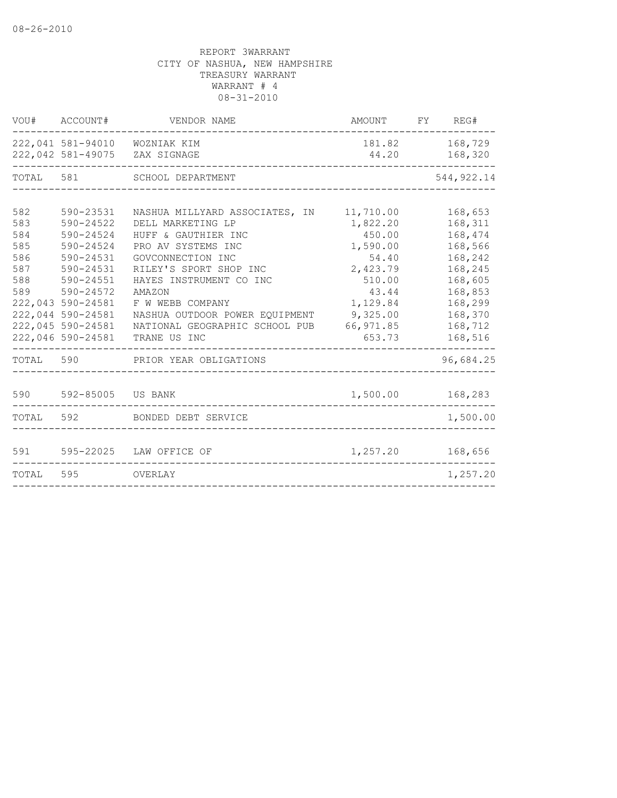|                                                      | VOU# ACCOUNT#                                                                                                                                                                                    | VENDOR NAME                                                                                                                                                                                                                                                                                     | AMOUNT FY REG#                                                                                                                     |                                                                                                                                  |
|------------------------------------------------------|--------------------------------------------------------------------------------------------------------------------------------------------------------------------------------------------------|-------------------------------------------------------------------------------------------------------------------------------------------------------------------------------------------------------------------------------------------------------------------------------------------------|------------------------------------------------------------------------------------------------------------------------------------|----------------------------------------------------------------------------------------------------------------------------------|
|                                                      |                                                                                                                                                                                                  | 222,041 581-94010 WOZNIAK KIM<br>222,042 581-49075 ZAX SIGNAGE                                                                                                                                                                                                                                  | 44.20                                                                                                                              | 181.82 168,729<br>168,320                                                                                                        |
| TOTAL 581                                            |                                                                                                                                                                                                  | SCHOOL DEPARTMENT                                                                                                                                                                                                                                                                               |                                                                                                                                    | 544, 922.14                                                                                                                      |
| 582<br>583<br>584<br>585<br>586<br>587<br>588<br>589 | 590-23531<br>590-24522<br>$590 - 24524$<br>$590 - 24524$<br>590-24531<br>590-24531<br>590-24551<br>590-24572<br>222,043 590-24581<br>222,044 590-24581<br>222,045 590-24581<br>222,046 590-24581 | NASHUA MILLYARD ASSOCIATES,<br>IN<br>DELL MARKETING LP<br>HUFF & GAUTHIER INC<br>PRO AV SYSTEMS INC<br>GOVCONNECTION INC<br>RILEY'S SPORT SHOP INC<br>HAYES INSTRUMENT CO INC<br>AMAZON<br>F W WEBB COMPANY<br>NASHUA OUTDOOR POWER EQUIPMENT<br>NATIONAL GEOGRAPHIC SCHOOL PUB<br>TRANE US INC | 11,710.00<br>1,822.20<br>450.00<br>1,590.00<br>54.40<br>2,423.79<br>510.00<br>43.44<br>1,129.84<br>9,325.00<br>66,971.85<br>653.73 | 168,653<br>168,311<br>168,474<br>168,566<br>168,242<br>168,245<br>168,605<br>168,853<br>168,299<br>168,370<br>168,712<br>168,516 |
| TOTAL                                                | 590                                                                                                                                                                                              | PRIOR YEAR OBLIGATIONS                                                                                                                                                                                                                                                                          |                                                                                                                                    | 96,684.25                                                                                                                        |
| 590                                                  | 592-85005                                                                                                                                                                                        | US BANK                                                                                                                                                                                                                                                                                         | 1,500.00                                                                                                                           | 168,283                                                                                                                          |
| TOTAL                                                | 592                                                                                                                                                                                              | BONDED DEBT SERVICE                                                                                                                                                                                                                                                                             |                                                                                                                                    | 1,500.00                                                                                                                         |
| 591                                                  |                                                                                                                                                                                                  | 595-22025 LAW OFFICE OF                                                                                                                                                                                                                                                                         | 1,257.20                                                                                                                           | 168,656                                                                                                                          |
| TOTAL                                                | 595                                                                                                                                                                                              | OVERLAY                                                                                                                                                                                                                                                                                         |                                                                                                                                    | 1,257.20                                                                                                                         |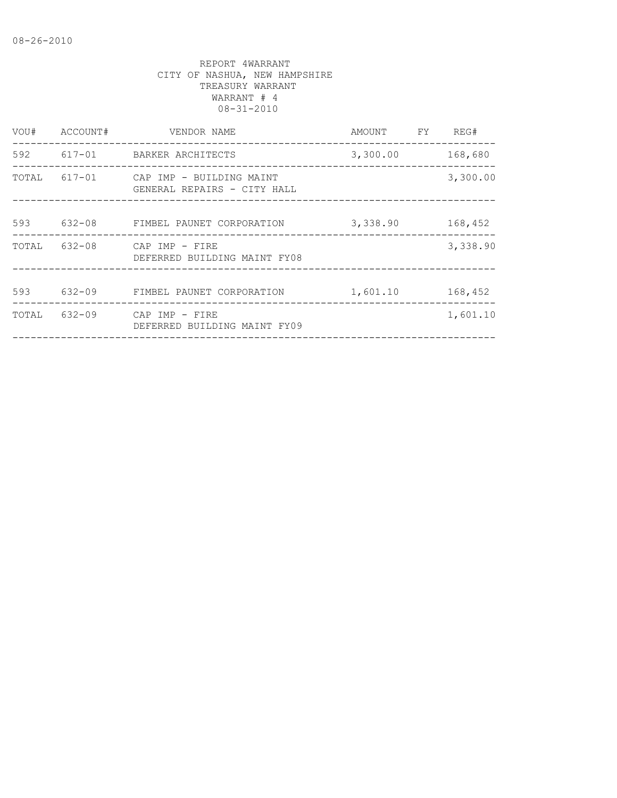| VOU#  | ACCOUNT#   | VENDOR NAME                                                    | AMOUNT   | FY. | REG#     |
|-------|------------|----------------------------------------------------------------|----------|-----|----------|
| 592   |            | 617-01 BARKER ARCHITECTS                                       | 3,300.00 |     | 168,680  |
| TOTAL |            | 617-01 CAP IMP - BUILDING MAINT<br>GENERAL REPAIRS - CITY HALL |          |     | 3,300.00 |
| 593   | $632 - 08$ | FIMBEL PAUNET CORPORATION                                      | 3,338.90 |     | 168,452  |
| TOTAL | $632 - 08$ | CAP IMP - FIRE<br>DEFERRED BUILDING MAINT FY08                 |          |     | 3,338.90 |
| 593   | $632 - 09$ | FIMBEL PAUNET CORPORATION                                      | 1,601.10 |     | 168,452  |
| TOTAL | $632 - 09$ | CAP IMP - FIRE<br>DEFERRED BUILDING MAINT FY09                 |          |     | 1,601.10 |
|       |            |                                                                |          |     |          |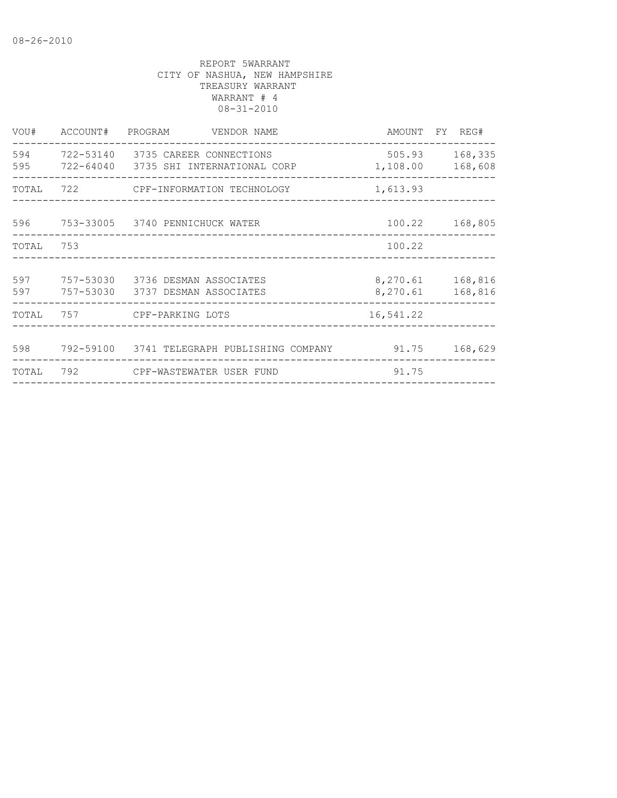| VOU#       |     | ACCOUNT# PROGRAM VENDOR NAME                                               |                    | AMOUNT FY REG#              |
|------------|-----|----------------------------------------------------------------------------|--------------------|-----------------------------|
| 594<br>595 |     | 722-53140 3735 CAREER CONNECTIONS<br>722-64040 3735 SHI INTERNATIONAL CORP | 505.93<br>1,108.00 | 168,335<br>168,608          |
| TOTAL      |     | 722 CPF-INFORMATION TECHNOLOGY                                             | 1,613.93           |                             |
|            |     | 596 753-33005 3740 PENNICHUCK WATER                                        |                    | 100.22 168,805              |
| TOTAL      | 753 |                                                                            | 100.22             |                             |
| 597<br>597 |     | 757-53030 3736 DESMAN ASSOCIATES<br>757-53030 3737 DESMAN ASSOCIATES       | 8,270.61           | 8,270.61 168,816<br>168,816 |
| TOTAL      |     | 757 CPF-PARKING LOTS                                                       | 16,541.22          |                             |
| 598        |     | 792-59100 3741 TELEGRAPH PUBLISHING COMPANY                                | 91.75              | 168,629                     |
| TOTAL      | 792 | CPF-WASTEWATER USER FUND                                                   | 91.75              |                             |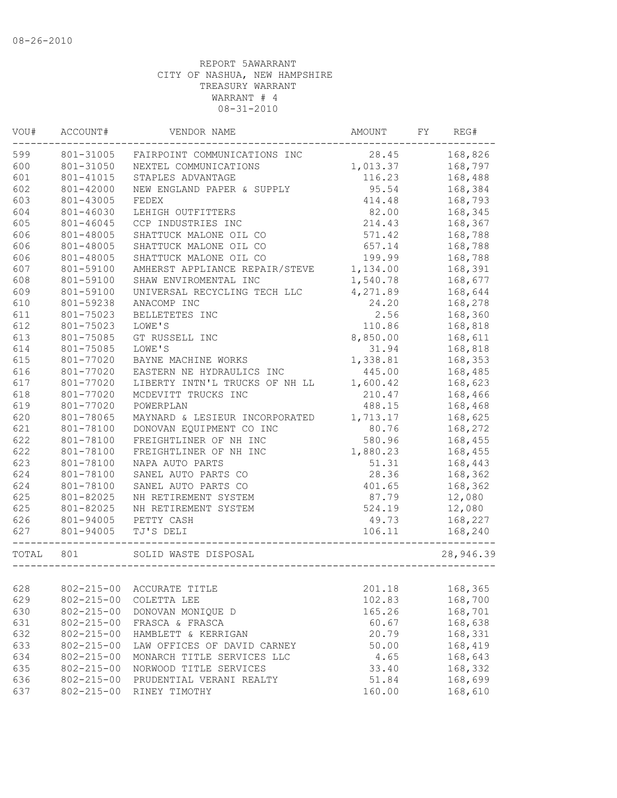| VOU#  | ACCOUNT#         | VENDOR NAME                    | AMOUNT   | FY | REG#      |
|-------|------------------|--------------------------------|----------|----|-----------|
| 599   | 801-31005        | FAIRPOINT COMMUNICATIONS INC   | 28.45    |    | 168,826   |
| 600   | 801-31050        | NEXTEL COMMUNICATIONS          | 1,013.37 |    | 168,797   |
| 601   | 801-41015        | STAPLES ADVANTAGE              | 116.23   |    | 168,488   |
| 602   | 801-42000        | NEW ENGLAND PAPER & SUPPLY     | 95.54    |    | 168,384   |
| 603   | 801-43005        | FEDEX                          | 414.48   |    | 168,793   |
| 604   | 801-46030        | LEHIGH OUTFITTERS              | 82.00    |    | 168,345   |
| 605   | 801-46045        | CCP INDUSTRIES INC             | 214.43   |    | 168,367   |
| 606   | 801-48005        | SHATTUCK MALONE OIL CO         | 571.42   |    | 168,788   |
| 606   | 801-48005        | SHATTUCK MALONE OIL CO         | 657.14   |    | 168,788   |
| 606   | 801-48005        | SHATTUCK MALONE OIL CO         | 199.99   |    | 168,788   |
| 607   | 801-59100        | AMHERST APPLIANCE REPAIR/STEVE | 1,134.00 |    | 168,391   |
| 608   | 801-59100        | SHAW ENVIROMENTAL INC          | 1,540.78 |    | 168,677   |
| 609   | 801-59100        | UNIVERSAL RECYCLING TECH LLC   | 4,271.89 |    | 168,644   |
| 610   | 801-59238        | ANACOMP INC                    | 24.20    |    | 168,278   |
| 611   | 801-75023        | BELLETETES INC                 | 2.56     |    | 168,360   |
| 612   | 801-75023        | LOWE'S                         | 110.86   |    | 168,818   |
| 613   | 801-75085        | GT RUSSELL INC                 | 8,850.00 |    | 168,611   |
| 614   | 801-75085        | LOWE'S                         | 31.94    |    | 168,818   |
| 615   | 801-77020        | BAYNE MACHINE WORKS            | 1,338.81 |    | 168,353   |
| 616   | 801-77020        | EASTERN NE HYDRAULICS INC      | 445.00   |    | 168,485   |
| 617   | 801-77020        | LIBERTY INTN'L TRUCKS OF NH LL | 1,600.42 |    | 168,623   |
| 618   | 801-77020        | MCDEVITT TRUCKS INC            | 210.47   |    | 168,466   |
| 619   | 801-77020        | POWERPLAN                      | 488.15   |    | 168,468   |
| 620   | 801-78065        | MAYNARD & LESIEUR INCORPORATED | 1,713.17 |    | 168,625   |
| 621   | 801-78100        | DONOVAN EQUIPMENT CO INC       | 80.76    |    | 168,272   |
| 622   | 801-78100        | FREIGHTLINER OF NH INC         | 580.96   |    | 168,455   |
| 622   | 801-78100        | FREIGHTLINER OF NH INC         | 1,880.23 |    | 168,455   |
| 623   | 801-78100        | NAPA AUTO PARTS                | 51.31    |    | 168,443   |
| 624   | 801-78100        | SANEL AUTO PARTS CO            | 28.36    |    | 168,362   |
| 624   | 801-78100        | SANEL AUTO PARTS CO            | 401.65   |    | 168,362   |
| 625   | 801-82025        | NH RETIREMENT SYSTEM           | 87.79    |    | 12,080    |
| 625   | 801-82025        | NH RETIREMENT SYSTEM           | 524.19   |    | 12,080    |
| 626   | 801-94005        | PETTY CASH                     | 49.73    |    | 168,227   |
| 627   | 801-94005        | TJ'S DELI                      | 106.11   |    | 168,240   |
| TOTAL | 801              | SOLID WASTE DISPOSAL           |          |    | 28,946.39 |
|       |                  |                                |          |    |           |
| 628   | $802 - 215 - 00$ | ACCURATE TITLE                 | 201.18   |    | 168,365   |
| 629   | $802 - 215 - 00$ | COLETTA LEE                    | 102.83   |    | 168,700   |
| 630   | $802 - 215 - 00$ | DONOVAN MONIQUE D              | 165.26   |    | 168,701   |
| 631   | $802 - 215 - 00$ | FRASCA & FRASCA                | 60.67    |    | 168,638   |
| 632   | $802 - 215 - 00$ | HAMBLETT & KERRIGAN            | 20.79    |    | 168,331   |
| 633   | $802 - 215 - 00$ | LAW OFFICES OF DAVID CARNEY    | 50.00    |    | 168,419   |
| 634   | $802 - 215 - 00$ | MONARCH TITLE SERVICES LLC     | 4.65     |    | 168,643   |
| 635   | $802 - 215 - 00$ | NORWOOD TITLE SERVICES         | 33.40    |    | 168,332   |
| 636   | $802 - 215 - 00$ | PRUDENTIAL VERANI REALTY       | 51.84    |    | 168,699   |
| 637   | $802 - 215 - 00$ | RINEY TIMOTHY                  | 160.00   |    | 168,610   |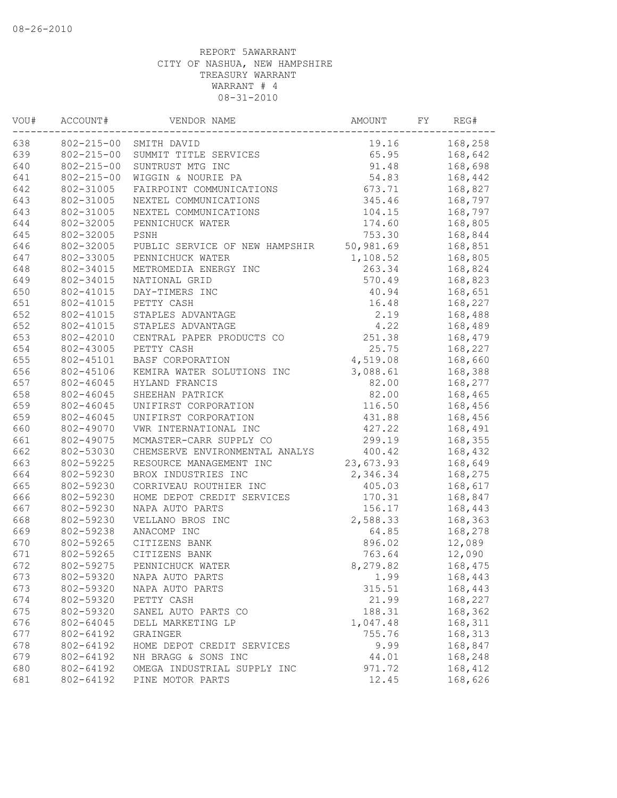| 168,258<br>802-215-00<br>19.16<br>SMITH DAVID<br>$802 - 215 - 00$<br>65.95<br>SUMMIT TITLE SERVICES<br>168,642<br>640<br>$802 - 215 - 00$<br>91.48<br>168,698<br>SUNTRUST MTG INC<br>641<br>54.83<br>$802 - 215 - 00$<br>WIGGIN & NOURIE PA<br>168,442<br>642<br>802-31005<br>FAIRPOINT COMMUNICATIONS<br>673.71<br>168,827<br>643<br>802-31005<br>345.46<br>168,797<br>NEXTEL COMMUNICATIONS<br>643<br>802-31005<br>104.15<br>168,797<br>NEXTEL COMMUNICATIONS<br>644<br>802-32005<br>174.60<br>168,805<br>PENNICHUCK WATER<br>645<br>753.30<br>802-32005<br>PSNH<br>168,844<br>646<br>802-32005<br>50,981.69<br>168,851<br>PUBLIC SERVICE OF NEW HAMPSHIR<br>647<br>802-33005<br>168,805<br>PENNICHUCK WATER<br>1,108.52<br>648<br>802-34015<br>METROMEDIA ENERGY INC<br>263.34<br>168,824<br>649<br>570.49<br>802-34015<br>NATIONAL GRID<br>168,823<br>650<br>802-41015<br>DAY-TIMERS INC<br>40.94<br>168,651<br>651<br>802-41015<br>PETTY CASH<br>16.48<br>168,227<br>652<br>802-41015<br>STAPLES ADVANTAGE<br>2.19<br>168,488<br>652<br>STAPLES ADVANTAGE<br>4.22<br>168,489<br>802-41015<br>653<br>251.38<br>802-42010<br>CENTRAL PAPER PRODUCTS CO<br>168,479<br>654<br>802-43005<br>25.75<br>PETTY CASH<br>168,227<br>655<br>802-45101<br>BASF CORPORATION<br>4,519.08<br>168,660<br>656<br>802-45106<br>KEMIRA WATER SOLUTIONS INC<br>3,088.61<br>168,388<br>657<br>802-46045<br>HYLAND FRANCIS<br>82.00<br>168,277<br>658<br>82.00<br>802-46045<br>SHEEHAN PATRICK<br>168,465<br>659<br>802-46045<br>UNIFIRST CORPORATION<br>116.50<br>168,456<br>659<br>431.88<br>802-46045<br>UNIFIRST CORPORATION<br>168,456<br>660<br>427.22<br>168,491<br>802-49070<br>VWR INTERNATIONAL INC<br>661<br>299.19<br>168,355<br>802-49075<br>MCMASTER-CARR SUPPLY CO<br>662<br>802-53030<br>CHEMSERVE ENVIRONMENTAL ANALYS<br>400.42<br>168,432<br>663<br>802-59225<br>RESOURCE MANAGEMENT INC<br>23,673.93<br>168,649<br>664<br>802-59230<br>BROX INDUSTRIES INC<br>2,346.34<br>168,275<br>665<br>802-59230<br>CORRIVEAU ROUTHIER INC<br>168,617<br>405.03<br>666<br>802-59230<br>170.31<br>HOME DEPOT CREDIT SERVICES<br>168,847<br>667<br>802-59230<br>NAPA AUTO PARTS<br>156.17<br>168,443<br>668<br>802-59230<br>VELLANO BROS INC<br>2,588.33<br>168,363<br>669<br>802-59238<br>ANACOMP INC<br>64.85<br>168,278<br>670<br>12,089<br>802-59265<br>CITIZENS BANK<br>896.02<br>671<br>802-59265<br>CITIZENS BANK<br>763.64<br>12,090<br>672<br>802-59275<br>PENNICHUCK WATER<br>8,279.82<br>168,475<br>802-59320<br>673<br>NAPA AUTO PARTS<br>168,443<br>1.99<br>673<br>802-59320<br>315.51<br>168,443<br>NAPA AUTO PARTS<br>674<br>21.99<br>802-59320<br>PETTY CASH<br>168,227<br>675<br>802-59320<br>SANEL AUTO PARTS CO<br>188.31<br>168,362<br>676<br>802-64045<br>1,047.48<br>168,311<br>DELL MARKETING LP<br>677<br>168,313<br>802-64192<br>755.76<br>GRAINGER<br>678<br>802-64192<br>HOME DEPOT CREDIT SERVICES<br>9.99<br>168,847<br>679<br>802-64192<br>NH BRAGG & SONS INC<br>168,248<br>44.01<br>680<br>802-64192<br>OMEGA INDUSTRIAL SUPPLY INC<br>971.72<br>168,412<br>12.45<br>681<br>802-64192<br>PINE MOTOR PARTS<br>168,626 | VOU# | ACCOUNT# | VENDOR NAME | AMOUNT | FΥ | REG# |
|-------------------------------------------------------------------------------------------------------------------------------------------------------------------------------------------------------------------------------------------------------------------------------------------------------------------------------------------------------------------------------------------------------------------------------------------------------------------------------------------------------------------------------------------------------------------------------------------------------------------------------------------------------------------------------------------------------------------------------------------------------------------------------------------------------------------------------------------------------------------------------------------------------------------------------------------------------------------------------------------------------------------------------------------------------------------------------------------------------------------------------------------------------------------------------------------------------------------------------------------------------------------------------------------------------------------------------------------------------------------------------------------------------------------------------------------------------------------------------------------------------------------------------------------------------------------------------------------------------------------------------------------------------------------------------------------------------------------------------------------------------------------------------------------------------------------------------------------------------------------------------------------------------------------------------------------------------------------------------------------------------------------------------------------------------------------------------------------------------------------------------------------------------------------------------------------------------------------------------------------------------------------------------------------------------------------------------------------------------------------------------------------------------------------------------------------------------------------------------------------------------------------------------------------------------------------------------------------------------------------------------------------------------------------------------------------------------------------------------------------------------------------------------------------------------------------------------------------------------------------------------------------------------------------------------------------------------------------------------------------------------------------------------------------------------------------------------------------------------------------------------------------|------|----------|-------------|--------|----|------|
|                                                                                                                                                                                                                                                                                                                                                                                                                                                                                                                                                                                                                                                                                                                                                                                                                                                                                                                                                                                                                                                                                                                                                                                                                                                                                                                                                                                                                                                                                                                                                                                                                                                                                                                                                                                                                                                                                                                                                                                                                                                                                                                                                                                                                                                                                                                                                                                                                                                                                                                                                                                                                                                                                                                                                                                                                                                                                                                                                                                                                                                                                                                                           | 638  |          |             |        |    |      |
|                                                                                                                                                                                                                                                                                                                                                                                                                                                                                                                                                                                                                                                                                                                                                                                                                                                                                                                                                                                                                                                                                                                                                                                                                                                                                                                                                                                                                                                                                                                                                                                                                                                                                                                                                                                                                                                                                                                                                                                                                                                                                                                                                                                                                                                                                                                                                                                                                                                                                                                                                                                                                                                                                                                                                                                                                                                                                                                                                                                                                                                                                                                                           | 639  |          |             |        |    |      |
|                                                                                                                                                                                                                                                                                                                                                                                                                                                                                                                                                                                                                                                                                                                                                                                                                                                                                                                                                                                                                                                                                                                                                                                                                                                                                                                                                                                                                                                                                                                                                                                                                                                                                                                                                                                                                                                                                                                                                                                                                                                                                                                                                                                                                                                                                                                                                                                                                                                                                                                                                                                                                                                                                                                                                                                                                                                                                                                                                                                                                                                                                                                                           |      |          |             |        |    |      |
|                                                                                                                                                                                                                                                                                                                                                                                                                                                                                                                                                                                                                                                                                                                                                                                                                                                                                                                                                                                                                                                                                                                                                                                                                                                                                                                                                                                                                                                                                                                                                                                                                                                                                                                                                                                                                                                                                                                                                                                                                                                                                                                                                                                                                                                                                                                                                                                                                                                                                                                                                                                                                                                                                                                                                                                                                                                                                                                                                                                                                                                                                                                                           |      |          |             |        |    |      |
|                                                                                                                                                                                                                                                                                                                                                                                                                                                                                                                                                                                                                                                                                                                                                                                                                                                                                                                                                                                                                                                                                                                                                                                                                                                                                                                                                                                                                                                                                                                                                                                                                                                                                                                                                                                                                                                                                                                                                                                                                                                                                                                                                                                                                                                                                                                                                                                                                                                                                                                                                                                                                                                                                                                                                                                                                                                                                                                                                                                                                                                                                                                                           |      |          |             |        |    |      |
|                                                                                                                                                                                                                                                                                                                                                                                                                                                                                                                                                                                                                                                                                                                                                                                                                                                                                                                                                                                                                                                                                                                                                                                                                                                                                                                                                                                                                                                                                                                                                                                                                                                                                                                                                                                                                                                                                                                                                                                                                                                                                                                                                                                                                                                                                                                                                                                                                                                                                                                                                                                                                                                                                                                                                                                                                                                                                                                                                                                                                                                                                                                                           |      |          |             |        |    |      |
|                                                                                                                                                                                                                                                                                                                                                                                                                                                                                                                                                                                                                                                                                                                                                                                                                                                                                                                                                                                                                                                                                                                                                                                                                                                                                                                                                                                                                                                                                                                                                                                                                                                                                                                                                                                                                                                                                                                                                                                                                                                                                                                                                                                                                                                                                                                                                                                                                                                                                                                                                                                                                                                                                                                                                                                                                                                                                                                                                                                                                                                                                                                                           |      |          |             |        |    |      |
|                                                                                                                                                                                                                                                                                                                                                                                                                                                                                                                                                                                                                                                                                                                                                                                                                                                                                                                                                                                                                                                                                                                                                                                                                                                                                                                                                                                                                                                                                                                                                                                                                                                                                                                                                                                                                                                                                                                                                                                                                                                                                                                                                                                                                                                                                                                                                                                                                                                                                                                                                                                                                                                                                                                                                                                                                                                                                                                                                                                                                                                                                                                                           |      |          |             |        |    |      |
|                                                                                                                                                                                                                                                                                                                                                                                                                                                                                                                                                                                                                                                                                                                                                                                                                                                                                                                                                                                                                                                                                                                                                                                                                                                                                                                                                                                                                                                                                                                                                                                                                                                                                                                                                                                                                                                                                                                                                                                                                                                                                                                                                                                                                                                                                                                                                                                                                                                                                                                                                                                                                                                                                                                                                                                                                                                                                                                                                                                                                                                                                                                                           |      |          |             |        |    |      |
|                                                                                                                                                                                                                                                                                                                                                                                                                                                                                                                                                                                                                                                                                                                                                                                                                                                                                                                                                                                                                                                                                                                                                                                                                                                                                                                                                                                                                                                                                                                                                                                                                                                                                                                                                                                                                                                                                                                                                                                                                                                                                                                                                                                                                                                                                                                                                                                                                                                                                                                                                                                                                                                                                                                                                                                                                                                                                                                                                                                                                                                                                                                                           |      |          |             |        |    |      |
|                                                                                                                                                                                                                                                                                                                                                                                                                                                                                                                                                                                                                                                                                                                                                                                                                                                                                                                                                                                                                                                                                                                                                                                                                                                                                                                                                                                                                                                                                                                                                                                                                                                                                                                                                                                                                                                                                                                                                                                                                                                                                                                                                                                                                                                                                                                                                                                                                                                                                                                                                                                                                                                                                                                                                                                                                                                                                                                                                                                                                                                                                                                                           |      |          |             |        |    |      |
|                                                                                                                                                                                                                                                                                                                                                                                                                                                                                                                                                                                                                                                                                                                                                                                                                                                                                                                                                                                                                                                                                                                                                                                                                                                                                                                                                                                                                                                                                                                                                                                                                                                                                                                                                                                                                                                                                                                                                                                                                                                                                                                                                                                                                                                                                                                                                                                                                                                                                                                                                                                                                                                                                                                                                                                                                                                                                                                                                                                                                                                                                                                                           |      |          |             |        |    |      |
|                                                                                                                                                                                                                                                                                                                                                                                                                                                                                                                                                                                                                                                                                                                                                                                                                                                                                                                                                                                                                                                                                                                                                                                                                                                                                                                                                                                                                                                                                                                                                                                                                                                                                                                                                                                                                                                                                                                                                                                                                                                                                                                                                                                                                                                                                                                                                                                                                                                                                                                                                                                                                                                                                                                                                                                                                                                                                                                                                                                                                                                                                                                                           |      |          |             |        |    |      |
|                                                                                                                                                                                                                                                                                                                                                                                                                                                                                                                                                                                                                                                                                                                                                                                                                                                                                                                                                                                                                                                                                                                                                                                                                                                                                                                                                                                                                                                                                                                                                                                                                                                                                                                                                                                                                                                                                                                                                                                                                                                                                                                                                                                                                                                                                                                                                                                                                                                                                                                                                                                                                                                                                                                                                                                                                                                                                                                                                                                                                                                                                                                                           |      |          |             |        |    |      |
|                                                                                                                                                                                                                                                                                                                                                                                                                                                                                                                                                                                                                                                                                                                                                                                                                                                                                                                                                                                                                                                                                                                                                                                                                                                                                                                                                                                                                                                                                                                                                                                                                                                                                                                                                                                                                                                                                                                                                                                                                                                                                                                                                                                                                                                                                                                                                                                                                                                                                                                                                                                                                                                                                                                                                                                                                                                                                                                                                                                                                                                                                                                                           |      |          |             |        |    |      |
|                                                                                                                                                                                                                                                                                                                                                                                                                                                                                                                                                                                                                                                                                                                                                                                                                                                                                                                                                                                                                                                                                                                                                                                                                                                                                                                                                                                                                                                                                                                                                                                                                                                                                                                                                                                                                                                                                                                                                                                                                                                                                                                                                                                                                                                                                                                                                                                                                                                                                                                                                                                                                                                                                                                                                                                                                                                                                                                                                                                                                                                                                                                                           |      |          |             |        |    |      |
|                                                                                                                                                                                                                                                                                                                                                                                                                                                                                                                                                                                                                                                                                                                                                                                                                                                                                                                                                                                                                                                                                                                                                                                                                                                                                                                                                                                                                                                                                                                                                                                                                                                                                                                                                                                                                                                                                                                                                                                                                                                                                                                                                                                                                                                                                                                                                                                                                                                                                                                                                                                                                                                                                                                                                                                                                                                                                                                                                                                                                                                                                                                                           |      |          |             |        |    |      |
|                                                                                                                                                                                                                                                                                                                                                                                                                                                                                                                                                                                                                                                                                                                                                                                                                                                                                                                                                                                                                                                                                                                                                                                                                                                                                                                                                                                                                                                                                                                                                                                                                                                                                                                                                                                                                                                                                                                                                                                                                                                                                                                                                                                                                                                                                                                                                                                                                                                                                                                                                                                                                                                                                                                                                                                                                                                                                                                                                                                                                                                                                                                                           |      |          |             |        |    |      |
|                                                                                                                                                                                                                                                                                                                                                                                                                                                                                                                                                                                                                                                                                                                                                                                                                                                                                                                                                                                                                                                                                                                                                                                                                                                                                                                                                                                                                                                                                                                                                                                                                                                                                                                                                                                                                                                                                                                                                                                                                                                                                                                                                                                                                                                                                                                                                                                                                                                                                                                                                                                                                                                                                                                                                                                                                                                                                                                                                                                                                                                                                                                                           |      |          |             |        |    |      |
|                                                                                                                                                                                                                                                                                                                                                                                                                                                                                                                                                                                                                                                                                                                                                                                                                                                                                                                                                                                                                                                                                                                                                                                                                                                                                                                                                                                                                                                                                                                                                                                                                                                                                                                                                                                                                                                                                                                                                                                                                                                                                                                                                                                                                                                                                                                                                                                                                                                                                                                                                                                                                                                                                                                                                                                                                                                                                                                                                                                                                                                                                                                                           |      |          |             |        |    |      |
|                                                                                                                                                                                                                                                                                                                                                                                                                                                                                                                                                                                                                                                                                                                                                                                                                                                                                                                                                                                                                                                                                                                                                                                                                                                                                                                                                                                                                                                                                                                                                                                                                                                                                                                                                                                                                                                                                                                                                                                                                                                                                                                                                                                                                                                                                                                                                                                                                                                                                                                                                                                                                                                                                                                                                                                                                                                                                                                                                                                                                                                                                                                                           |      |          |             |        |    |      |
|                                                                                                                                                                                                                                                                                                                                                                                                                                                                                                                                                                                                                                                                                                                                                                                                                                                                                                                                                                                                                                                                                                                                                                                                                                                                                                                                                                                                                                                                                                                                                                                                                                                                                                                                                                                                                                                                                                                                                                                                                                                                                                                                                                                                                                                                                                                                                                                                                                                                                                                                                                                                                                                                                                                                                                                                                                                                                                                                                                                                                                                                                                                                           |      |          |             |        |    |      |
|                                                                                                                                                                                                                                                                                                                                                                                                                                                                                                                                                                                                                                                                                                                                                                                                                                                                                                                                                                                                                                                                                                                                                                                                                                                                                                                                                                                                                                                                                                                                                                                                                                                                                                                                                                                                                                                                                                                                                                                                                                                                                                                                                                                                                                                                                                                                                                                                                                                                                                                                                                                                                                                                                                                                                                                                                                                                                                                                                                                                                                                                                                                                           |      |          |             |        |    |      |
|                                                                                                                                                                                                                                                                                                                                                                                                                                                                                                                                                                                                                                                                                                                                                                                                                                                                                                                                                                                                                                                                                                                                                                                                                                                                                                                                                                                                                                                                                                                                                                                                                                                                                                                                                                                                                                                                                                                                                                                                                                                                                                                                                                                                                                                                                                                                                                                                                                                                                                                                                                                                                                                                                                                                                                                                                                                                                                                                                                                                                                                                                                                                           |      |          |             |        |    |      |
|                                                                                                                                                                                                                                                                                                                                                                                                                                                                                                                                                                                                                                                                                                                                                                                                                                                                                                                                                                                                                                                                                                                                                                                                                                                                                                                                                                                                                                                                                                                                                                                                                                                                                                                                                                                                                                                                                                                                                                                                                                                                                                                                                                                                                                                                                                                                                                                                                                                                                                                                                                                                                                                                                                                                                                                                                                                                                                                                                                                                                                                                                                                                           |      |          |             |        |    |      |
|                                                                                                                                                                                                                                                                                                                                                                                                                                                                                                                                                                                                                                                                                                                                                                                                                                                                                                                                                                                                                                                                                                                                                                                                                                                                                                                                                                                                                                                                                                                                                                                                                                                                                                                                                                                                                                                                                                                                                                                                                                                                                                                                                                                                                                                                                                                                                                                                                                                                                                                                                                                                                                                                                                                                                                                                                                                                                                                                                                                                                                                                                                                                           |      |          |             |        |    |      |
|                                                                                                                                                                                                                                                                                                                                                                                                                                                                                                                                                                                                                                                                                                                                                                                                                                                                                                                                                                                                                                                                                                                                                                                                                                                                                                                                                                                                                                                                                                                                                                                                                                                                                                                                                                                                                                                                                                                                                                                                                                                                                                                                                                                                                                                                                                                                                                                                                                                                                                                                                                                                                                                                                                                                                                                                                                                                                                                                                                                                                                                                                                                                           |      |          |             |        |    |      |
|                                                                                                                                                                                                                                                                                                                                                                                                                                                                                                                                                                                                                                                                                                                                                                                                                                                                                                                                                                                                                                                                                                                                                                                                                                                                                                                                                                                                                                                                                                                                                                                                                                                                                                                                                                                                                                                                                                                                                                                                                                                                                                                                                                                                                                                                                                                                                                                                                                                                                                                                                                                                                                                                                                                                                                                                                                                                                                                                                                                                                                                                                                                                           |      |          |             |        |    |      |
|                                                                                                                                                                                                                                                                                                                                                                                                                                                                                                                                                                                                                                                                                                                                                                                                                                                                                                                                                                                                                                                                                                                                                                                                                                                                                                                                                                                                                                                                                                                                                                                                                                                                                                                                                                                                                                                                                                                                                                                                                                                                                                                                                                                                                                                                                                                                                                                                                                                                                                                                                                                                                                                                                                                                                                                                                                                                                                                                                                                                                                                                                                                                           |      |          |             |        |    |      |
|                                                                                                                                                                                                                                                                                                                                                                                                                                                                                                                                                                                                                                                                                                                                                                                                                                                                                                                                                                                                                                                                                                                                                                                                                                                                                                                                                                                                                                                                                                                                                                                                                                                                                                                                                                                                                                                                                                                                                                                                                                                                                                                                                                                                                                                                                                                                                                                                                                                                                                                                                                                                                                                                                                                                                                                                                                                                                                                                                                                                                                                                                                                                           |      |          |             |        |    |      |
|                                                                                                                                                                                                                                                                                                                                                                                                                                                                                                                                                                                                                                                                                                                                                                                                                                                                                                                                                                                                                                                                                                                                                                                                                                                                                                                                                                                                                                                                                                                                                                                                                                                                                                                                                                                                                                                                                                                                                                                                                                                                                                                                                                                                                                                                                                                                                                                                                                                                                                                                                                                                                                                                                                                                                                                                                                                                                                                                                                                                                                                                                                                                           |      |          |             |        |    |      |
|                                                                                                                                                                                                                                                                                                                                                                                                                                                                                                                                                                                                                                                                                                                                                                                                                                                                                                                                                                                                                                                                                                                                                                                                                                                                                                                                                                                                                                                                                                                                                                                                                                                                                                                                                                                                                                                                                                                                                                                                                                                                                                                                                                                                                                                                                                                                                                                                                                                                                                                                                                                                                                                                                                                                                                                                                                                                                                                                                                                                                                                                                                                                           |      |          |             |        |    |      |
|                                                                                                                                                                                                                                                                                                                                                                                                                                                                                                                                                                                                                                                                                                                                                                                                                                                                                                                                                                                                                                                                                                                                                                                                                                                                                                                                                                                                                                                                                                                                                                                                                                                                                                                                                                                                                                                                                                                                                                                                                                                                                                                                                                                                                                                                                                                                                                                                                                                                                                                                                                                                                                                                                                                                                                                                                                                                                                                                                                                                                                                                                                                                           |      |          |             |        |    |      |
|                                                                                                                                                                                                                                                                                                                                                                                                                                                                                                                                                                                                                                                                                                                                                                                                                                                                                                                                                                                                                                                                                                                                                                                                                                                                                                                                                                                                                                                                                                                                                                                                                                                                                                                                                                                                                                                                                                                                                                                                                                                                                                                                                                                                                                                                                                                                                                                                                                                                                                                                                                                                                                                                                                                                                                                                                                                                                                                                                                                                                                                                                                                                           |      |          |             |        |    |      |
|                                                                                                                                                                                                                                                                                                                                                                                                                                                                                                                                                                                                                                                                                                                                                                                                                                                                                                                                                                                                                                                                                                                                                                                                                                                                                                                                                                                                                                                                                                                                                                                                                                                                                                                                                                                                                                                                                                                                                                                                                                                                                                                                                                                                                                                                                                                                                                                                                                                                                                                                                                                                                                                                                                                                                                                                                                                                                                                                                                                                                                                                                                                                           |      |          |             |        |    |      |
|                                                                                                                                                                                                                                                                                                                                                                                                                                                                                                                                                                                                                                                                                                                                                                                                                                                                                                                                                                                                                                                                                                                                                                                                                                                                                                                                                                                                                                                                                                                                                                                                                                                                                                                                                                                                                                                                                                                                                                                                                                                                                                                                                                                                                                                                                                                                                                                                                                                                                                                                                                                                                                                                                                                                                                                                                                                                                                                                                                                                                                                                                                                                           |      |          |             |        |    |      |
|                                                                                                                                                                                                                                                                                                                                                                                                                                                                                                                                                                                                                                                                                                                                                                                                                                                                                                                                                                                                                                                                                                                                                                                                                                                                                                                                                                                                                                                                                                                                                                                                                                                                                                                                                                                                                                                                                                                                                                                                                                                                                                                                                                                                                                                                                                                                                                                                                                                                                                                                                                                                                                                                                                                                                                                                                                                                                                                                                                                                                                                                                                                                           |      |          |             |        |    |      |
|                                                                                                                                                                                                                                                                                                                                                                                                                                                                                                                                                                                                                                                                                                                                                                                                                                                                                                                                                                                                                                                                                                                                                                                                                                                                                                                                                                                                                                                                                                                                                                                                                                                                                                                                                                                                                                                                                                                                                                                                                                                                                                                                                                                                                                                                                                                                                                                                                                                                                                                                                                                                                                                                                                                                                                                                                                                                                                                                                                                                                                                                                                                                           |      |          |             |        |    |      |
|                                                                                                                                                                                                                                                                                                                                                                                                                                                                                                                                                                                                                                                                                                                                                                                                                                                                                                                                                                                                                                                                                                                                                                                                                                                                                                                                                                                                                                                                                                                                                                                                                                                                                                                                                                                                                                                                                                                                                                                                                                                                                                                                                                                                                                                                                                                                                                                                                                                                                                                                                                                                                                                                                                                                                                                                                                                                                                                                                                                                                                                                                                                                           |      |          |             |        |    |      |
|                                                                                                                                                                                                                                                                                                                                                                                                                                                                                                                                                                                                                                                                                                                                                                                                                                                                                                                                                                                                                                                                                                                                                                                                                                                                                                                                                                                                                                                                                                                                                                                                                                                                                                                                                                                                                                                                                                                                                                                                                                                                                                                                                                                                                                                                                                                                                                                                                                                                                                                                                                                                                                                                                                                                                                                                                                                                                                                                                                                                                                                                                                                                           |      |          |             |        |    |      |
|                                                                                                                                                                                                                                                                                                                                                                                                                                                                                                                                                                                                                                                                                                                                                                                                                                                                                                                                                                                                                                                                                                                                                                                                                                                                                                                                                                                                                                                                                                                                                                                                                                                                                                                                                                                                                                                                                                                                                                                                                                                                                                                                                                                                                                                                                                                                                                                                                                                                                                                                                                                                                                                                                                                                                                                                                                                                                                                                                                                                                                                                                                                                           |      |          |             |        |    |      |
|                                                                                                                                                                                                                                                                                                                                                                                                                                                                                                                                                                                                                                                                                                                                                                                                                                                                                                                                                                                                                                                                                                                                                                                                                                                                                                                                                                                                                                                                                                                                                                                                                                                                                                                                                                                                                                                                                                                                                                                                                                                                                                                                                                                                                                                                                                                                                                                                                                                                                                                                                                                                                                                                                                                                                                                                                                                                                                                                                                                                                                                                                                                                           |      |          |             |        |    |      |
|                                                                                                                                                                                                                                                                                                                                                                                                                                                                                                                                                                                                                                                                                                                                                                                                                                                                                                                                                                                                                                                                                                                                                                                                                                                                                                                                                                                                                                                                                                                                                                                                                                                                                                                                                                                                                                                                                                                                                                                                                                                                                                                                                                                                                                                                                                                                                                                                                                                                                                                                                                                                                                                                                                                                                                                                                                                                                                                                                                                                                                                                                                                                           |      |          |             |        |    |      |
|                                                                                                                                                                                                                                                                                                                                                                                                                                                                                                                                                                                                                                                                                                                                                                                                                                                                                                                                                                                                                                                                                                                                                                                                                                                                                                                                                                                                                                                                                                                                                                                                                                                                                                                                                                                                                                                                                                                                                                                                                                                                                                                                                                                                                                                                                                                                                                                                                                                                                                                                                                                                                                                                                                                                                                                                                                                                                                                                                                                                                                                                                                                                           |      |          |             |        |    |      |
|                                                                                                                                                                                                                                                                                                                                                                                                                                                                                                                                                                                                                                                                                                                                                                                                                                                                                                                                                                                                                                                                                                                                                                                                                                                                                                                                                                                                                                                                                                                                                                                                                                                                                                                                                                                                                                                                                                                                                                                                                                                                                                                                                                                                                                                                                                                                                                                                                                                                                                                                                                                                                                                                                                                                                                                                                                                                                                                                                                                                                                                                                                                                           |      |          |             |        |    |      |
|                                                                                                                                                                                                                                                                                                                                                                                                                                                                                                                                                                                                                                                                                                                                                                                                                                                                                                                                                                                                                                                                                                                                                                                                                                                                                                                                                                                                                                                                                                                                                                                                                                                                                                                                                                                                                                                                                                                                                                                                                                                                                                                                                                                                                                                                                                                                                                                                                                                                                                                                                                                                                                                                                                                                                                                                                                                                                                                                                                                                                                                                                                                                           |      |          |             |        |    |      |
|                                                                                                                                                                                                                                                                                                                                                                                                                                                                                                                                                                                                                                                                                                                                                                                                                                                                                                                                                                                                                                                                                                                                                                                                                                                                                                                                                                                                                                                                                                                                                                                                                                                                                                                                                                                                                                                                                                                                                                                                                                                                                                                                                                                                                                                                                                                                                                                                                                                                                                                                                                                                                                                                                                                                                                                                                                                                                                                                                                                                                                                                                                                                           |      |          |             |        |    |      |
|                                                                                                                                                                                                                                                                                                                                                                                                                                                                                                                                                                                                                                                                                                                                                                                                                                                                                                                                                                                                                                                                                                                                                                                                                                                                                                                                                                                                                                                                                                                                                                                                                                                                                                                                                                                                                                                                                                                                                                                                                                                                                                                                                                                                                                                                                                                                                                                                                                                                                                                                                                                                                                                                                                                                                                                                                                                                                                                                                                                                                                                                                                                                           |      |          |             |        |    |      |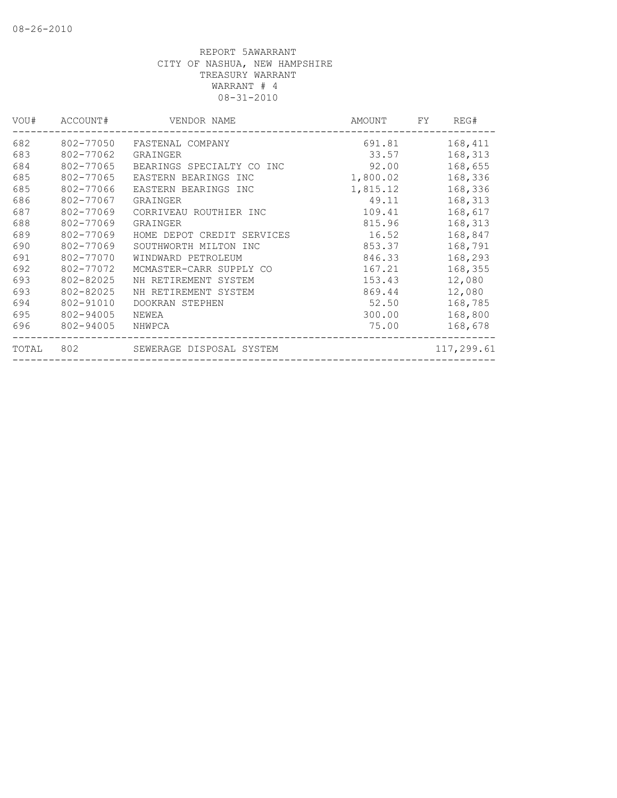| 802-77050 | FASTENAL COMPANY           | 691.81   | 168,411    |
|-----------|----------------------------|----------|------------|
| 802-77062 | GRAINGER                   | 33.57    | 168,313    |
| 802-77065 | BEARINGS SPECIALTY CO INC  | 92.00    | 168,655    |
| 802-77065 | EASTERN BEARINGS INC       | 1,800.02 | 168,336    |
| 802-77066 | EASTERN BEARINGS INC       | 1,815.12 | 168,336    |
| 802-77067 | GRAINGER                   | 49.11    | 168,313    |
| 802-77069 | CORRIVEAU ROUTHIER INC     | 109.41   | 168,617    |
| 802-77069 | GRAINGER                   | 815.96   | 168,313    |
| 802-77069 | HOME DEPOT CREDIT SERVICES | 16.52    | 168,847    |
| 802-77069 | SOUTHWORTH MILTON INC      | 853.37   | 168,791    |
| 802-77070 | WINDWARD PETROLEUM         | 846.33   | 168,293    |
| 802-77072 | MCMASTER-CARR SUPPLY CO    | 167.21   | 168,355    |
| 802-82025 | NH RETIREMENT SYSTEM       | 153.43   | 12,080     |
| 802-82025 | NH RETIREMENT SYSTEM       | 869.44   | 12,080     |
| 802-91010 | DOOKRAN STEPHEN            | 52.50    | 168,785    |
| 802-94005 | NEWEA                      | 300.00   | 168,800    |
| 802-94005 | NHWPCA                     | 75.00    | 168,678    |
| 802       | SEWERAGE DISPOSAL SYSTEM   |          | 117,299.61 |
|           |                            |          |            |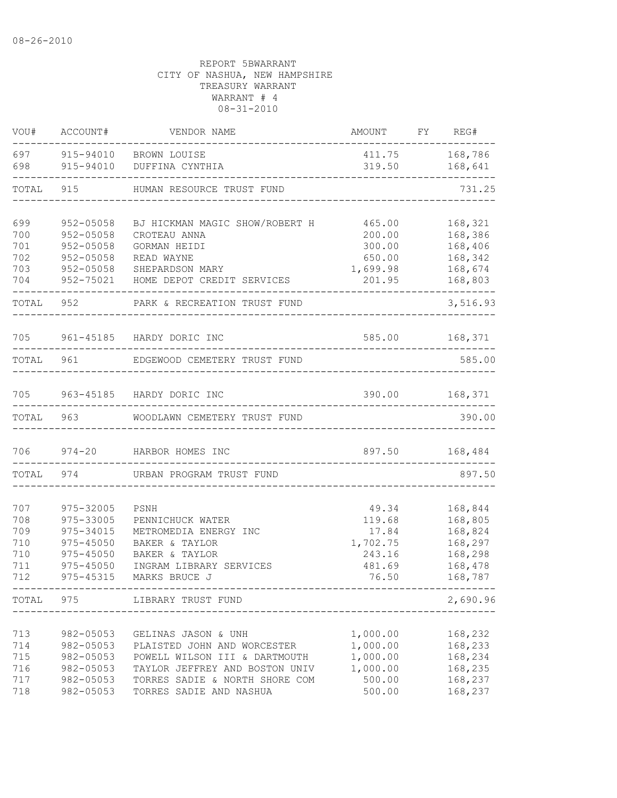| VOU#                                          | ACCOUNT#                                                                                    | VENDOR NAME                                                                                                                                                                        | AMOUNT                                                            | FY REG#                                                                   |
|-----------------------------------------------|---------------------------------------------------------------------------------------------|------------------------------------------------------------------------------------------------------------------------------------------------------------------------------------|-------------------------------------------------------------------|---------------------------------------------------------------------------|
| 697<br>698                                    | 915-94010                                                                                   | 915-94010 BROWN LOUISE<br>DUFFINA CYNTHIA                                                                                                                                          | 411.75<br>319.50                                                  | 168,786<br>168,641                                                        |
| TOTAL                                         | 915                                                                                         | HUMAN RESOURCE TRUST FUND                                                                                                                                                          |                                                                   | 731.25                                                                    |
| 699<br>700<br>701<br>702<br>703<br>704        | 952-05058<br>$952 - 05058$<br>$952 - 05058$<br>952-05058<br>952-05058<br>952-75021          | BJ HICKMAN MAGIC SHOW/ROBERT H<br>CROTEAU ANNA<br>GORMAN HEIDI<br>READ WAYNE<br>SHEPARDSON MARY<br>HOME DEPOT CREDIT SERVICES                                                      | 465.00<br>200.00<br>300.00<br>650.00<br>1,699.98<br>201.95        | 168,321<br>168,386<br>168,406<br>168,342<br>168,674<br>168,803            |
|                                               | TOTAL 952                                                                                   | PARK & RECREATION TRUST FUND                                                                                                                                                       |                                                                   | 3,516.93                                                                  |
| 705                                           |                                                                                             | 961-45185 HARDY DORIC INC                                                                                                                                                          |                                                                   | 585.00 168,371                                                            |
| TOTAL 961                                     |                                                                                             | EDGEWOOD CEMETERY TRUST FUND                                                                                                                                                       |                                                                   | 585.00                                                                    |
| 705                                           |                                                                                             | 963-45185 HARDY DORIC INC                                                                                                                                                          |                                                                   | 390.00 168,371                                                            |
| TOTAL 963                                     |                                                                                             | WOODLAWN CEMETERY TRUST FUND                                                                                                                                                       |                                                                   | 390.00                                                                    |
|                                               |                                                                                             | 706 974-20 HARBOR HOMES INC                                                                                                                                                        | 897.50 168,484                                                    |                                                                           |
|                                               |                                                                                             | TOTAL 974 URBAN PROGRAM TRUST FUND                                                                                                                                                 |                                                                   | 897.50                                                                    |
| 707<br>708<br>709<br>710<br>710<br>711<br>712 | 975-32005<br>975-33005<br>975-34015<br>$975 - 45050$<br>975-45050<br>975-45050<br>975-45315 | PSNH<br>PENNICHUCK WATER<br>METROMEDIA ENERGY INC<br>BAKER & TAYLOR<br>BAKER & TAYLOR<br>INGRAM LIBRARY SERVICES<br>MARKS BRUCE J<br>---------------------------                   | 49.34<br>119.68<br>17.84<br>1,702.75<br>243.16<br>481.69<br>76.50 | 168,844<br>168,805<br>168,824<br>168,297<br>168,298<br>168,478<br>168,787 |
|                                               |                                                                                             | TOTAL 975 LIBRARY TRUST FUND<br>-----------------------                                                                                                                            |                                                                   | 2,690.96                                                                  |
| 713<br>714<br>715<br>716<br>717<br>718        | 982-05053<br>982-05053<br>982-05053<br>982-05053<br>982-05053<br>982-05053                  | GELINAS JASON & UNH<br>PLAISTED JOHN AND WORCESTER<br>POWELL WILSON III & DARTMOUTH<br>TAYLOR JEFFREY AND BOSTON UNIV<br>TORRES SADIE & NORTH SHORE COM<br>TORRES SADIE AND NASHUA | 1,000.00<br>1,000.00<br>1,000.00<br>1,000.00<br>500.00<br>500.00  | 168,232<br>168,233<br>168,234<br>168,235<br>168,237<br>168,237            |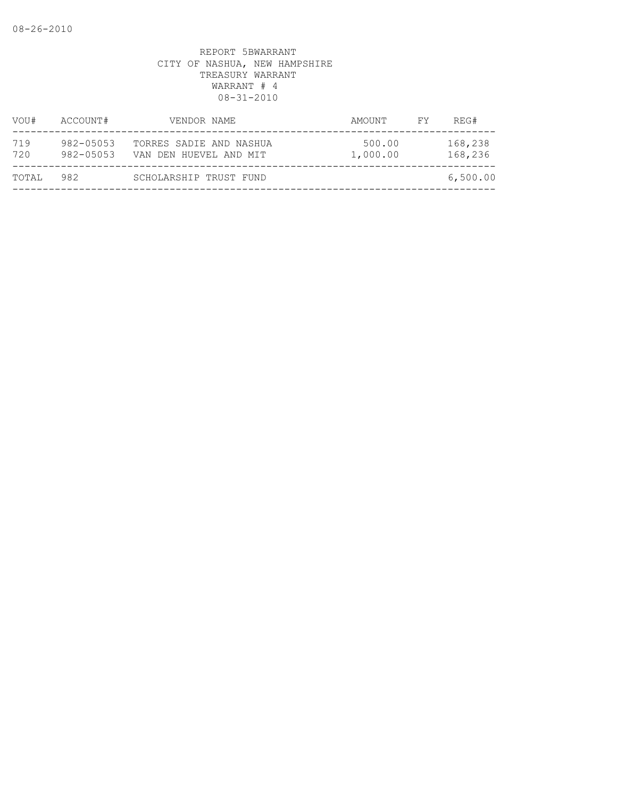| VOU#       | ACCOUNT#               | VENDOR NAME                                       | AMOUNT             | FY. | REG#               |
|------------|------------------------|---------------------------------------------------|--------------------|-----|--------------------|
| 719<br>720 | 982-05053<br>982-05053 | TORRES SADIE AND NASHUA<br>VAN DEN HUEVEL AND MIT | 500.00<br>1,000.00 |     | 168,238<br>168,236 |
| TOTAL      | 982                    | SCHOLARSHIP TRUST FUND                            |                    |     | 6,500.00           |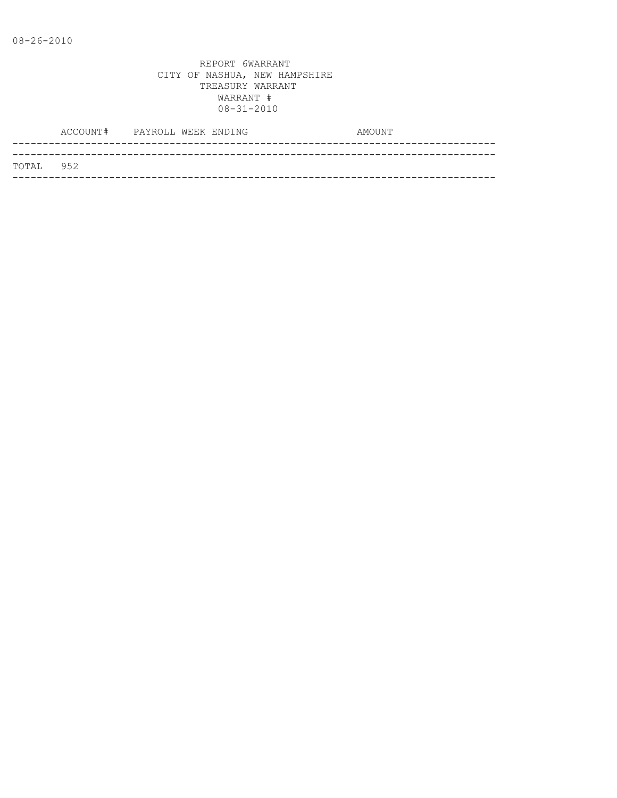|           | ACCOUNT# PAYROLL WEEK ENDING |  |  | AMOUNT |
|-----------|------------------------------|--|--|--------|
|           |                              |  |  |        |
| TOTAL 952 |                              |  |  |        |
|           |                              |  |  |        |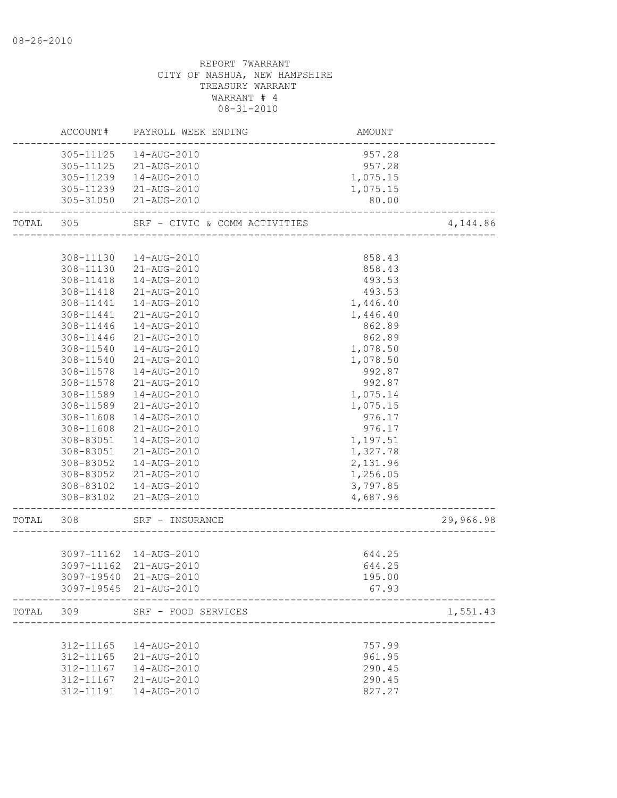|           |           | ACCOUNT# PAYROLL WEEK ENDING  | AMOUNT   |           |
|-----------|-----------|-------------------------------|----------|-----------|
|           | 305-11125 | 14-AUG-2010                   | 957.28   |           |
|           |           | 305-11125 21-AUG-2010         | 957.28   |           |
|           | 305-11239 | 14-AUG-2010                   | 1,075.15 |           |
|           |           | 305-11239 21-AUG-2010         | 1,075.15 |           |
|           |           | 305-31050 21-AUG-2010         | 80.00    |           |
| TOTAL 305 |           | SRF - CIVIC & COMM ACTIVITIES |          | 4,144.86  |
|           |           |                               |          |           |
|           |           | 308-11130  14-AUG-2010        | 858.43   |           |
|           |           | 308-11130 21-AUG-2010         | 858.43   |           |
|           |           | 308-11418  14-AUG-2010        | 493.53   |           |
|           |           | 308-11418 21-AUG-2010         | 493.53   |           |
|           |           | 308-11441  14-AUG-2010        | 1,446.40 |           |
|           |           | 308-11441 21-AUG-2010         | 1,446.40 |           |
|           | 308-11446 | 14-AUG-2010                   | 862.89   |           |
|           | 308-11446 | 21-AUG-2010                   | 862.89   |           |
|           | 308-11540 | 14-AUG-2010                   | 1,078.50 |           |
|           | 308-11540 | 21-AUG-2010                   | 1,078.50 |           |
|           | 308-11578 | 14-AUG-2010                   | 992.87   |           |
|           | 308-11578 | 21-AUG-2010                   | 992.87   |           |
|           | 308-11589 | 14-AUG-2010                   | 1,075.14 |           |
|           | 308-11589 | 21-AUG-2010                   | 1,075.15 |           |
|           | 308-11608 | 14-AUG-2010                   | 976.17   |           |
|           | 308-11608 | 21-AUG-2010                   | 976.17   |           |
|           | 308-83051 | 14-AUG-2010                   | 1,197.51 |           |
|           | 308-83051 | 21-AUG-2010                   | 1,327.78 |           |
|           | 308-83052 | 14-AUG-2010                   | 2,131.96 |           |
|           |           | 308-83052 21-AUG-2010         | 1,256.05 |           |
|           |           | 308-83102  14-AUG-2010        | 3,797.85 |           |
|           |           | 308-83102 21-AUG-2010         | 4,687.96 |           |
| TOTAL 308 |           | SRF - INSURANCE               |          | 29,966.98 |
|           |           |                               |          |           |
|           |           | 3097-11162  14-AUG-2010       | 644.25   |           |
|           |           | 3097-11162 21-AUG-2010        | 644.25   |           |
|           |           | 3097-19540 21-AUG-2010        | 195.00   |           |
|           |           | 3097-19545 21-AUG-2010        | 67.93    |           |
| TOTAL 309 |           | SRF - FOOD SERVICES           |          | 1,551.43  |
|           |           |                               |          |           |
|           |           | 312-11165  14-AUG-2010        | 757.99   |           |
|           |           | 312-11165 21-AUG-2010         | 961.95   |           |
|           | 312-11167 | 14-AUG-2010                   | 290.45   |           |
|           | 312-11167 | 21-AUG-2010                   | 290.45   |           |
|           | 312-11191 | 14-AUG-2010                   | 827.27   |           |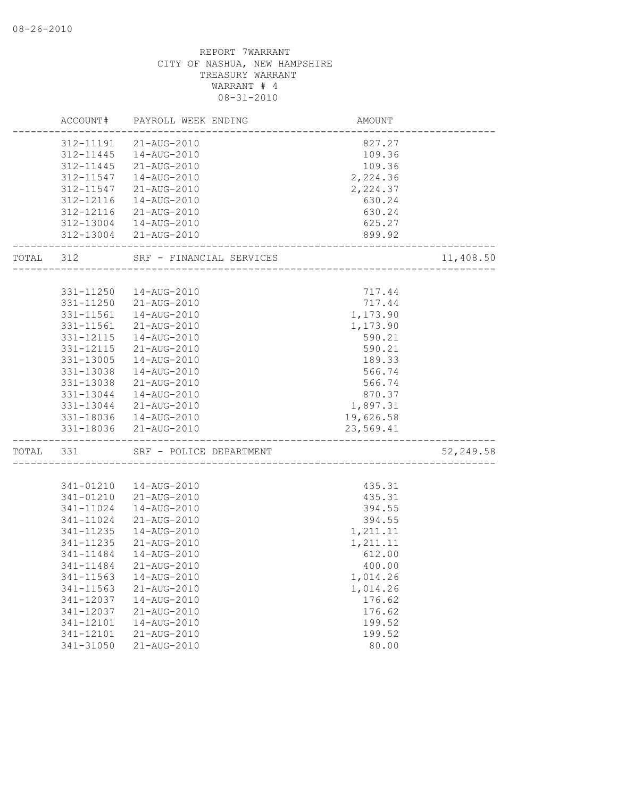|           |           | ACCOUNT# PAYROLL WEEK ENDING | AMOUNT                           |            |
|-----------|-----------|------------------------------|----------------------------------|------------|
|           |           | 312-11191 21-AUG-2010        | 827.27                           |            |
|           |           | 312-11445  14-AUG-2010       | 109.36                           |            |
|           |           | 312-11445 21-AUG-2010        | 109.36                           |            |
|           | 312-11547 | 14-AUG-2010                  | 2,224.36                         |            |
|           | 312-11547 | 21-AUG-2010                  | 2,224.37                         |            |
|           | 312-12116 | 14-AUG-2010                  | 630.24                           |            |
|           | 312-12116 | 21-AUG-2010                  | 630.24                           |            |
|           |           | 312-13004  14-AUG-2010       | 625.27                           |            |
|           |           | 312-13004 21-AUG-2010        | 899.92                           |            |
| TOTAL 312 |           | SRF - FINANCIAL SERVICES     |                                  | 11,408.50  |
|           |           |                              |                                  |            |
|           | 331-11250 | 14-AUG-2010                  | 717.44                           |            |
|           | 331-11250 | 21-AUG-2010                  | 717.44<br>1,173.90               |            |
|           | 331-11561 | 14-AUG-2010                  |                                  |            |
|           | 331-11561 | 21-AUG-2010                  | 1,173.90                         |            |
|           | 331-12115 | 14-AUG-2010                  | 590.21                           |            |
|           | 331-12115 | 21-AUG-2010                  | 590.21                           |            |
|           | 331-13005 | 14-AUG-2010                  | 189.33                           |            |
|           | 331-13038 | 14-AUG-2010                  | 566.74                           |            |
|           | 331-13038 | 21-AUG-2010                  | 566.74                           |            |
|           | 331-13044 | 14-AUG-2010                  | 870.37                           |            |
|           | 331-13044 | 21-AUG-2010                  | 1,897.31                         |            |
|           |           | 331-18036  14-AUG-2010       | 19,626.58                        |            |
|           |           | 331-18036 21-AUG-2010        | 23,569.41<br>___________________ |            |
| TOTAL 331 |           | SRF - POLICE DEPARTMENT      |                                  | 52, 249.58 |
|           |           |                              |                                  |            |
|           | 341-01210 | 14-AUG-2010                  | 435.31                           |            |
|           | 341-01210 | 21-AUG-2010                  | 435.31                           |            |
|           | 341-11024 | 14-AUG-2010                  | 394.55                           |            |
|           | 341-11024 | 21-AUG-2010                  | 394.55                           |            |
|           | 341-11235 | 14-AUG-2010                  | 1,211.11                         |            |
|           | 341-11235 | 21-AUG-2010                  | 1,211.11                         |            |
|           | 341-11484 | 14-AUG-2010                  | 612.00                           |            |
|           | 341-11484 | 21-AUG-2010                  | 400.00                           |            |
|           | 341-11563 | 14-AUG-2010                  | 1,014.26                         |            |
|           | 341-11563 | 21-AUG-2010                  | 1,014.26                         |            |
|           | 341-12037 | 14-AUG-2010                  | 176.62                           |            |
|           | 341-12037 | 21-AUG-2010                  | 176.62                           |            |
|           | 341-12101 | 14-AUG-2010                  | 199.52                           |            |
|           | 341-12101 | 21-AUG-2010                  | 199.52                           |            |
|           | 341-31050 | 21-AUG-2010                  | 80.00                            |            |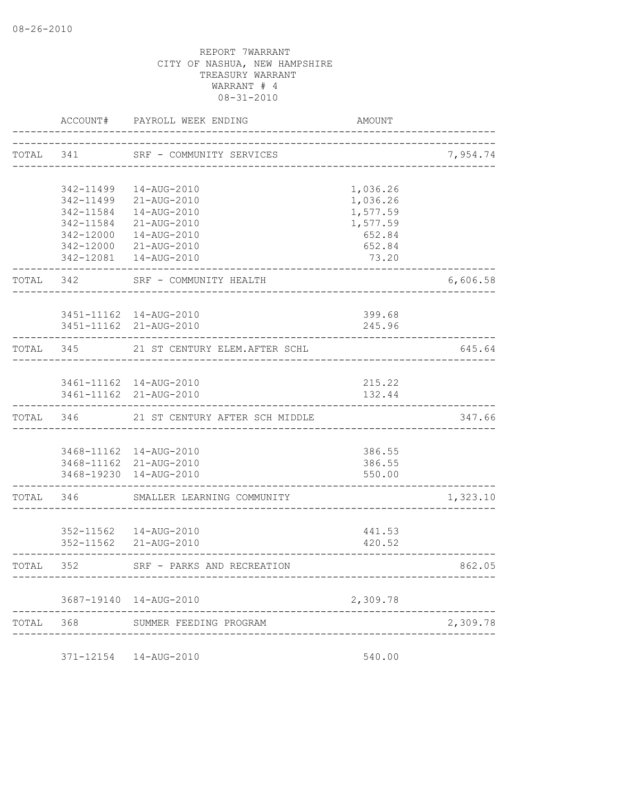|           |           | ACCOUNT# PAYROLL WEEK ENDING                      | AMOUNT                      |          |
|-----------|-----------|---------------------------------------------------|-----------------------------|----------|
| TOTAL 341 |           | SRF - COMMUNITY SERVICES                          | --------------------------- | 7,954.74 |
|           | 342-11499 | 14-AUG-2010                                       | 1,036.26                    |          |
|           | 342-11499 | 21-AUG-2010                                       | 1,036.26                    |          |
|           | 342-11584 | 14-AUG-2010                                       | 1,577.59                    |          |
|           | 342-11584 | 21-AUG-2010                                       | 1,577.59                    |          |
|           | 342-12000 | 14-AUG-2010                                       | 652.84                      |          |
|           |           | 342-12000 21-AUG-2010                             | 652.84                      |          |
|           |           | 342-12081  14-AUG-2010                            | 73.20                       |          |
| TOTAL 342 |           | SRF - COMMUNITY HEALTH                            |                             | 6,606.58 |
|           |           | 3451-11162  14-AUG-2010                           | 399.68                      |          |
|           |           | 3451-11162 21-AUG-2010                            | 245.96                      |          |
|           |           |                                                   |                             |          |
| TOTAL 345 |           | 21 ST CENTURY ELEM.AFTER SCHL                     |                             | 645.64   |
|           |           |                                                   |                             |          |
|           |           | 3461-11162  14-AUG-2010                           | 215.22                      |          |
|           |           | 3461-11162 21-AUG-2010                            | 132.44                      |          |
| TOTAL 346 |           | 21 ST CENTURY AFTER SCH MIDDLE                    |                             | 347.66   |
|           |           |                                                   |                             |          |
|           |           | 3468-11162  14-AUG-2010<br>3468-11162 21-AUG-2010 | 386.55<br>386.55            |          |
|           |           | 3468-19230 14-AUG-2010                            | 550.00                      |          |
| TOTAL     | 346       | SMALLER LEARNING COMMUNITY                        |                             | 1,323.10 |
|           |           |                                                   |                             |          |
|           |           | 352-11562  14-AUG-2010                            | 441.53                      |          |
|           |           | 352-11562 21-AUG-2010                             | 420.52                      |          |
| TOTAL     | 352       | SRF - PARKS AND RECREATION                        |                             | 862.05   |
|           |           | 3687-19140  14-AUG-2010                           | 2,309.78                    |          |
| TOTAL     | 368       | SUMMER FEEDING PROGRAM                            |                             | 2,309.78 |
|           |           |                                                   |                             |          |
|           |           |                                                   |                             |          |

371-12154 14-AUG-2010 540.00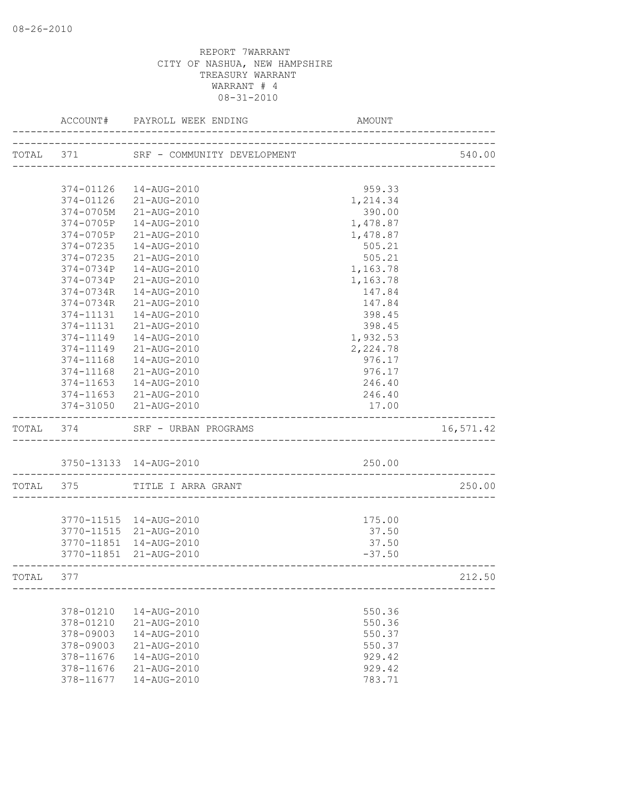|           |               | ACCOUNT# PAYROLL WEEK ENDING          | AMOUNT   |           |
|-----------|---------------|---------------------------------------|----------|-----------|
|           |               | TOTAL 371 SRF - COMMUNITY DEVELOPMENT |          | 540.00    |
|           |               |                                       |          |           |
|           |               | 374-01126  14-AUG-2010                | 959.33   |           |
|           | 374-01126     | 21-AUG-2010                           | 1,214.34 |           |
|           | 374-0705M     | 21-AUG-2010                           | 390.00   |           |
|           | 374-0705P     | 14-AUG-2010                           | 1,478.87 |           |
|           | 374-0705P     | 21-AUG-2010                           | 1,478.87 |           |
|           | 374-07235     | 14-AUG-2010                           | 505.21   |           |
|           | 374-07235     | 21-AUG-2010                           | 505.21   |           |
|           | 374-0734P     | 14-AUG-2010                           | 1,163.78 |           |
|           | 374-0734P     | 21-AUG-2010                           | 1,163.78 |           |
|           | 374-0734R     | 14-AUG-2010                           | 147.84   |           |
|           | 374-0734R     | 21-AUG-2010                           | 147.84   |           |
|           | 374-11131     | 14-AUG-2010                           | 398.45   |           |
|           | 374-11131     | 21-AUG-2010                           | 398.45   |           |
|           | 374-11149     | 14-AUG-2010                           | 1,932.53 |           |
|           | 374-11149     | 21-AUG-2010                           | 2,224.78 |           |
|           | 374-11168     | 14-AUG-2010                           | 976.17   |           |
|           | 374-11168     | 21-AUG-2010                           | 976.17   |           |
|           | $374 - 11653$ | 14-AUG-2010                           | 246.40   |           |
|           | 374-11653     | 21-AUG-2010                           | 246.40   |           |
|           |               | 374-31050 21-AUG-2010                 | 17.00    |           |
| TOTAL 374 |               | SRF - URBAN PROGRAMS                  |          | 16,571.42 |
|           |               | 3750-13133 14-AUG-2010                | 250.00   |           |
|           |               | TOTAL 375 TITLE I ARRA GRANT          |          | 250.00    |
|           |               |                                       |          |           |
|           |               | 3770-11515  14-AUG-2010               | 175.00   |           |
|           | 3770-11515    | 21-AUG-2010                           | 37.50    |           |
|           | 3770-11851    | 14-AUG-2010                           | 37.50    |           |
|           |               | 3770-11851 21-AUG-2010                | $-37.50$ |           |
| TOTAL     | 377           |                                       |          | 212.50    |
|           |               |                                       |          |           |
|           | 378-01210     | 14-AUG-2010                           | 550.36   |           |
|           | 378-01210     | 21-AUG-2010                           | 550.36   |           |
|           | 378-09003     | 14-AUG-2010                           | 550.37   |           |
|           | 378-09003     | 21-AUG-2010                           | 550.37   |           |
|           | 378-11676     | 14-AUG-2010                           | 929.42   |           |
|           | 378-11676     | 21-AUG-2010                           | 929.42   |           |
|           | 378-11677     | 14-AUG-2010                           | 783.71   |           |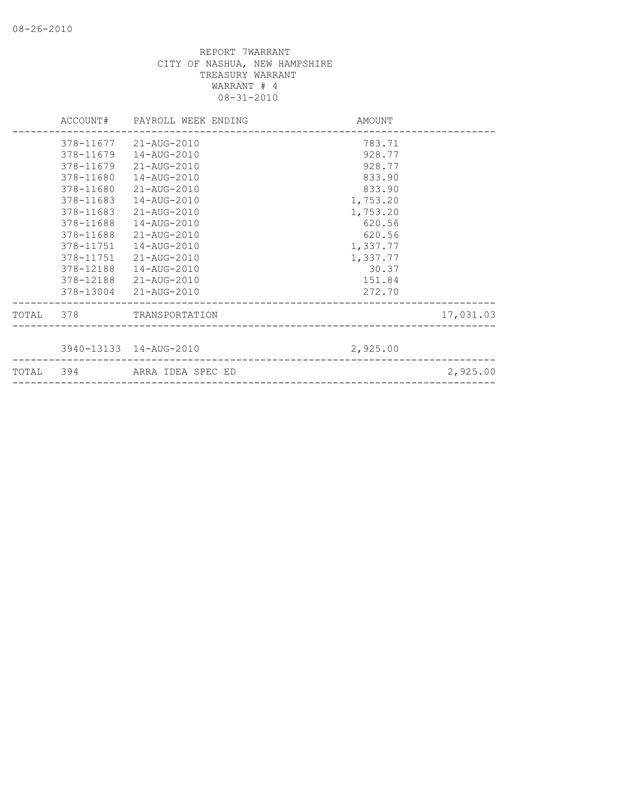|           | ACCOUNT# PAYROLL WEEK ENDING | AMOUNT   |           |
|-----------|------------------------------|----------|-----------|
|           | 378-11677 21-AUG-2010        | 783.71   |           |
| 378-11679 | 14-AUG-2010                  | 928.77   |           |
| 378-11679 | 21-AUG-2010                  | 928.77   |           |
| 378-11680 | 14-AUG-2010                  | 833.90   |           |
| 378-11680 | 21-AUG-2010                  | 833.90   |           |
| 378-11683 | 14-AUG-2010                  | 1,753.20 |           |
| 378-11683 | 21-AUG-2010                  | 1,753.20 |           |
| 378-11688 | 14-AUG-2010                  | 620.56   |           |
| 378-11688 | 21-AUG-2010                  | 620.56   |           |
| 378-11751 | 14-AUG-2010                  | 1,337.77 |           |
| 378-11751 | 21-AUG-2010                  | 1,337.77 |           |
| 378-12188 | 14-AUG-2010                  | 30.37    |           |
| 378-12188 | 21-AUG-2010                  | 151.84   |           |
|           | 378-13004 21-AUG-2010        | 272.70   |           |
|           | TOTAL 378 TRANSPORTATION     |          | 17,031.03 |
|           |                              |          |           |
|           | 3940-13133 14-AUG-2010       | 2,925.00 |           |
|           | TOTAL 394 ARRA IDEA SPEC ED  |          | 2,925.00  |
|           |                              |          |           |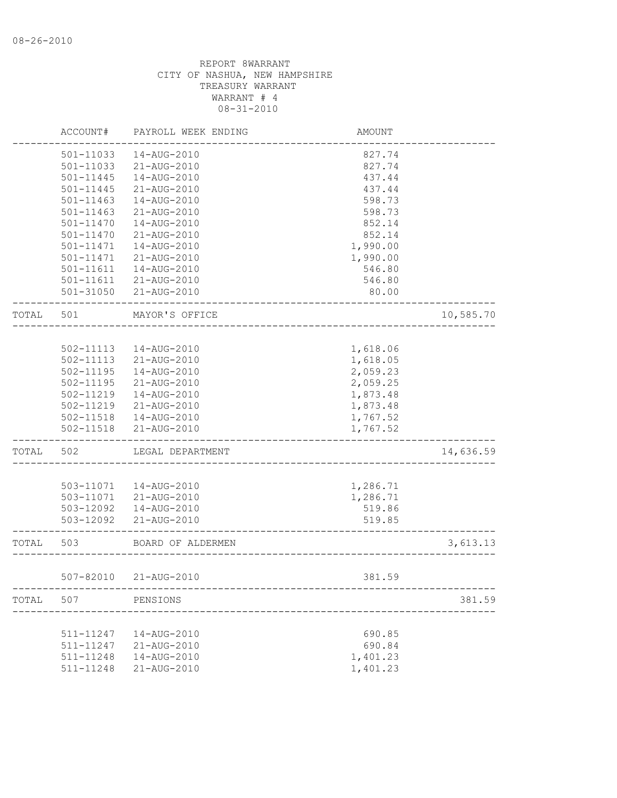|       | ACCOUNT#               | PAYROLL WEEK ENDING        | <b>AMOUNT</b>                |           |
|-------|------------------------|----------------------------|------------------------------|-----------|
|       | 501-11033              | 14-AUG-2010                | 827.74                       |           |
|       | 501-11033              | 21-AUG-2010                | 827.74                       |           |
|       | 501-11445              | 14-AUG-2010                | 437.44                       |           |
|       | 501-11445              | 21-AUG-2010                | 437.44                       |           |
|       | 501-11463              | 14-AUG-2010                | 598.73                       |           |
|       | 501-11463              | 21-AUG-2010                | 598.73                       |           |
|       | 501-11470              | 14-AUG-2010                | 852.14                       |           |
|       | 501-11470              | 21-AUG-2010                | 852.14                       |           |
|       | 501-11471              | 14-AUG-2010                | 1,990.00                     |           |
|       | 501-11471              | 21-AUG-2010                | 1,990.00                     |           |
|       | 501-11611              | 14-AUG-2010                | 546.80                       |           |
|       | 501-11611              | 21-AUG-2010                | 546.80                       |           |
|       |                        | 501-31050 21-AUG-2010      | 80.00                        |           |
| TOTAL | 501                    | MAYOR'S OFFICE             |                              | 10,585.70 |
|       |                        |                            |                              |           |
|       | 502-11113              | 14-AUG-2010                | 1,618.06                     |           |
|       | 502-11113              | 21-AUG-2010                | 1,618.05                     |           |
|       | 502-11195              | 14-AUG-2010                | 2,059.23                     |           |
|       | 502-11195              | 21-AUG-2010                | 2,059.25                     |           |
|       | 502-11219              | 14-AUG-2010                | 1,873.48                     |           |
|       |                        | 21-AUG-2010                |                              |           |
|       | 502-11219              |                            | 1,873.48                     |           |
|       | 502-11518<br>502-11518 | 14-AUG-2010<br>21-AUG-2010 | 1,767.52<br>1,767.52         |           |
| TOTAL | 502                    | LEGAL DEPARTMENT           |                              | 14,636.59 |
|       |                        |                            |                              |           |
|       | 503-11071              | 14-AUG-2010                | 1,286.71                     |           |
|       | 503-11071              | 21-AUG-2010                | 1,286.71                     |           |
|       | 503-12092              | 14-AUG-2010                | 519.86                       |           |
|       | 503-12092              | 21-AUG-2010                | 519.85                       |           |
| TOTAL | 503                    | BOARD OF ALDERMEN          | ---------------------------- | 3,613.13  |
|       |                        | 507-82010 21-AUG-2010      | 381.59                       |           |
|       |                        |                            |                              |           |
| TOTAL | 507                    | PENSIONS                   |                              | 381.59    |
|       |                        |                            |                              |           |
|       | 511-11247              | 14-AUG-2010                | 690.85                       |           |
|       | 511-11247              | 21-AUG-2010                | 690.84                       |           |
|       | 511-11248              | 14-AUG-2010                | 1,401.23                     |           |
|       | 511-11248              | 21-AUG-2010                | 1,401.23                     |           |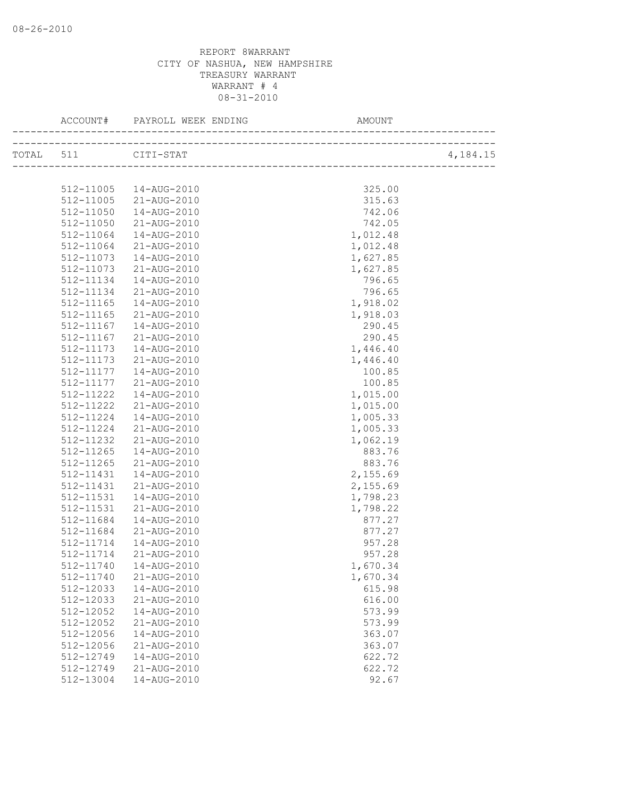|       |               | ACCOUNT# PAYROLL WEEK ENDING | AMOUNT   |          |
|-------|---------------|------------------------------|----------|----------|
| TOTAL | 511           | CITI-STAT                    |          | 4,184.15 |
|       |               |                              |          |          |
|       |               |                              |          |          |
|       | 512-11005     | 14-AUG-2010                  | 325.00   |          |
|       |               | 512-11005 21-AUG-2010        | 315.63   |          |
|       | 512-11050     | 14-AUG-2010                  | 742.06   |          |
|       | 512-11050     | 21-AUG-2010                  | 742.05   |          |
|       | 512-11064     | 14-AUG-2010                  | 1,012.48 |          |
|       | 512-11064     | 21-AUG-2010                  | 1,012.48 |          |
|       | 512-11073     | 14-AUG-2010                  | 1,627.85 |          |
|       | 512-11073     | 21-AUG-2010                  | 1,627.85 |          |
|       | 512-11134     | 14-AUG-2010                  | 796.65   |          |
|       | 512-11134     | 21-AUG-2010                  | 796.65   |          |
|       | 512-11165     | 14-AUG-2010                  | 1,918.02 |          |
|       | 512-11165     | 21-AUG-2010                  | 1,918.03 |          |
|       | 512-11167     | 14-AUG-2010                  | 290.45   |          |
|       | 512-11167     | 21-AUG-2010                  | 290.45   |          |
|       | 512-11173     | 14-AUG-2010                  | 1,446.40 |          |
|       | 512-11173     | 21-AUG-2010                  | 1,446.40 |          |
|       | 512-11177     | 14-AUG-2010                  | 100.85   |          |
|       | 512-11177     | 21-AUG-2010                  | 100.85   |          |
|       | 512-11222     | 14-AUG-2010                  | 1,015.00 |          |
|       | 512-11222     | 21-AUG-2010                  | 1,015.00 |          |
|       | 512-11224     | 14-AUG-2010                  | 1,005.33 |          |
|       | 512-11224     | 21-AUG-2010                  | 1,005.33 |          |
|       | 512-11232     | 21-AUG-2010                  | 1,062.19 |          |
|       | 512-11265     | 14-AUG-2010                  | 883.76   |          |
|       | $512 - 11265$ | 21-AUG-2010                  | 883.76   |          |
|       | 512-11431     | 14-AUG-2010                  | 2,155.69 |          |
|       | 512-11431     | 21-AUG-2010                  | 2,155.69 |          |
|       | 512-11531     | 14-AUG-2010                  | 1,798.23 |          |
|       | 512-11531     | 21-AUG-2010                  | 1,798.22 |          |
|       | 512-11684     | 14-AUG-2010                  | 877.27   |          |
|       | 512-11684     | 21-AUG-2010                  | 877.27   |          |
|       | 512-11714     | 14-AUG-2010                  | 957.28   |          |
|       | 512-11714     | 21-AUG-2010                  | 957.28   |          |
|       |               | 512-11740  14-AUG-2010       | 1,670.34 |          |
|       | 512-11740     | 21-AUG-2010                  | 1,670.34 |          |
|       | 512-12033     | 14-AUG-2010                  | 615.98   |          |
|       | 512-12033     | 21-AUG-2010                  | 616.00   |          |
|       | 512-12052     | 14-AUG-2010                  | 573.99   |          |
|       | 512-12052     | 21-AUG-2010                  | 573.99   |          |
|       | 512-12056     | 14-AUG-2010                  | 363.07   |          |
|       | 512-12056     | 21-AUG-2010                  | 363.07   |          |
|       | 512-12749     | 14-AUG-2010                  | 622.72   |          |
|       | 512-12749     | 21-AUG-2010                  | 622.72   |          |
|       | 512-13004     | 14-AUG-2010                  | 92.67    |          |
|       |               |                              |          |          |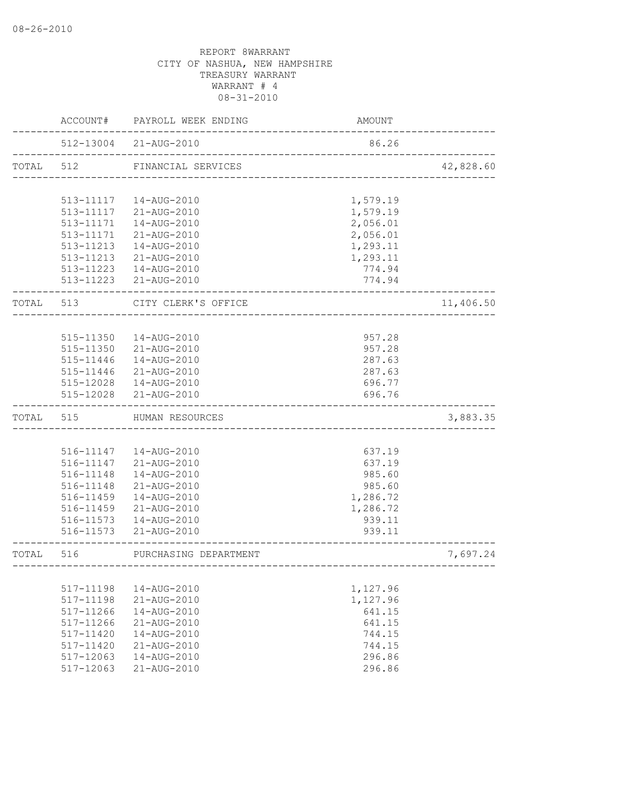|           | ACCOUNT#  | PAYROLL WEEK ENDING    | AMOUNT                    |           |
|-----------|-----------|------------------------|---------------------------|-----------|
|           |           | 512-13004 21-AUG-2010  | 86.26                     |           |
| TOTAL 512 |           | FINANCIAL SERVICES     | _________________________ | 42,828.60 |
|           |           |                        |                           |           |
|           |           | 513-11117  14-AUG-2010 | 1,579.19                  |           |
|           |           | 513-11117 21-AUG-2010  | 1,579.19                  |           |
|           | 513-11171 | 14-AUG-2010            | 2,056.01                  |           |
|           |           | 513-11171 21-AUG-2010  | 2,056.01                  |           |
|           | 513-11213 | 14-AUG-2010            | 1,293.11                  |           |
|           | 513-11213 | 21-AUG-2010            | 1,293.11                  |           |
|           |           | 513-11223  14-AUG-2010 | 774.94                    |           |
|           |           | 513-11223 21-AUG-2010  | 774.94                    |           |
| TOTAL 513 |           | CITY CLERK'S OFFICE    |                           | 11,406.50 |
|           |           |                        |                           |           |
|           | 515-11350 | 14-AUG-2010            | 957.28                    |           |
|           | 515-11350 | 21-AUG-2010            | 957.28                    |           |
|           | 515-11446 | 14-AUG-2010            | 287.63                    |           |
|           | 515-11446 | 21-AUG-2010            | 287.63                    |           |
|           |           | 515-12028  14-AUG-2010 | 696.77                    |           |
|           |           | 515-12028 21-AUG-2010  | 696.76                    |           |
| TOTAL     | 515       | HUMAN RESOURCES        |                           | 3,883.35  |
|           |           |                        |                           |           |
|           |           | 516-11147  14-AUG-2010 | 637.19                    |           |
|           | 516-11147 | 21-AUG-2010            | 637.19                    |           |
|           | 516-11148 | 14-AUG-2010            | 985.60                    |           |
|           | 516-11148 | 21-AUG-2010            | 985.60                    |           |
|           | 516-11459 | 14-AUG-2010            | 1,286.72                  |           |
|           | 516-11459 | 21-AUG-2010            | 1,286.72                  |           |
|           |           | 516-11573  14-AUG-2010 | 939.11                    |           |
|           | 516-11573 | 21-AUG-2010            | 939.11                    |           |
| TOTAL     | 516       | PURCHASING DEPARTMENT  |                           | 7,697.24  |
|           |           |                        |                           |           |
|           | 517-11198 | 14-AUG-2010            | 1,127.96                  |           |
|           | 517-11198 | 21-AUG-2010            | 1,127.96                  |           |
|           | 517-11266 | 14-AUG-2010            | 641.15                    |           |
|           | 517-11266 | 21-AUG-2010            | 641.15                    |           |
|           | 517-11420 | 14-AUG-2010            | 744.15                    |           |
|           | 517-11420 | 21-AUG-2010            | 744.15                    |           |
|           | 517-12063 | 14-AUG-2010            | 296.86                    |           |
|           | 517-12063 | 21-AUG-2010            | 296.86                    |           |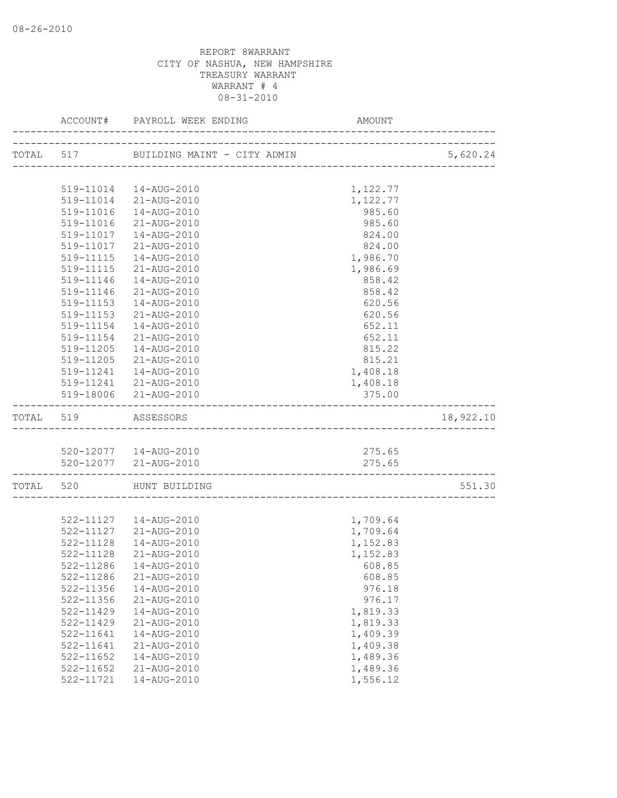|                     | ACCOUNT# PAYROLL WEEK ENDING                                  | AMOUNT                               |           |
|---------------------|---------------------------------------------------------------|--------------------------------------|-----------|
|                     | TOTAL 517 BUILDING MAINT - CITY ADMIN                         |                                      | 5,620.24  |
|                     |                                                               | ____________________________________ |           |
|                     | 519-11014  14-AUG-2010                                        | 1,122.77                             |           |
|                     | 519-11014 21-AUG-2010                                         | 1,122.77                             |           |
|                     | 519-11016  14-AUG-2010                                        | 985.60                               |           |
| 519-11016           | 21-AUG-2010                                                   | 985.60                               |           |
| 519-11017           | 14-AUG-2010                                                   | 824.00                               |           |
| 519-11017           | 21-AUG-2010                                                   | 824.00                               |           |
| 519-11115           | 14-AUG-2010                                                   | 1,986.70                             |           |
| 519-11115           | 21-AUG-2010                                                   | 1,986.69                             |           |
| 519-11146           | 14-AUG-2010                                                   | 858.42                               |           |
| 519-11146           | 21-AUG-2010                                                   | 858.42                               |           |
| 519-11153           | 14-AUG-2010                                                   | 620.56                               |           |
| 519-11153           | 21-AUG-2010                                                   | 620.56                               |           |
| 519-11154           | 14-AUG-2010                                                   | 652.11                               |           |
| 519-11154           | 21-AUG-2010                                                   | 652.11                               |           |
| 519-11205           | 14-AUG-2010                                                   | 815.22                               |           |
| 519-11205           | 21-AUG-2010                                                   | 815.21                               |           |
| 519-11241           | 14-AUG-2010                                                   | 1,408.18                             |           |
|                     | 519-11241 21-AUG-2010                                         | 1,408.18                             |           |
|                     | 519-18006 21-AUG-2010                                         | 375.00                               |           |
| TOTAL 519 ASSESSORS | .___________________________                                  |                                      | 18,922.10 |
|                     |                                                               |                                      |           |
|                     | 520-12077  14-AUG-2010                                        | 275.65                               |           |
|                     | 520-12077 21-AUG-2010<br>------------------------------------ | 275.65                               |           |
|                     | TOTAL 520 HUNT BUILDING                                       |                                      | 551.30    |
|                     |                                                               |                                      |           |
|                     | 522-11127  14-AUG-2010                                        | 1,709.64                             |           |
|                     | 522-11127 21-AUG-2010                                         | 1,709.64                             |           |
| 522-11128           | 14-AUG-2010                                                   | 1,152.83                             |           |
| 522-11128           | 21-AUG-2010                                                   | 1,152.83                             |           |
|                     | 522-11286  14-AUG-2010                                        | 608.85                               |           |
| 522-11286           | 21-AUG-2010                                                   | 608.85                               |           |
| 522-11356           | 14-AUG-2010                                                   | 976.18                               |           |
| 522-11356           | 21-AUG-2010                                                   | 976.17                               |           |
| 522-11429           | 14-AUG-2010                                                   | 1,819.33                             |           |
| 522-11429           | 21-AUG-2010                                                   | 1,819.33                             |           |
| 522-11641           | 14-AUG-2010                                                   | 1,409.39                             |           |
| 522-11641           | 21-AUG-2010                                                   | 1,409.38                             |           |
| 522-11652           | 14-AUG-2010                                                   | 1,489.36                             |           |
| $522 - 11652$       | 21-AUG-2010                                                   | 1,489.36                             |           |
| 522-11721           | 14-AUG-2010                                                   | 1,556.12                             |           |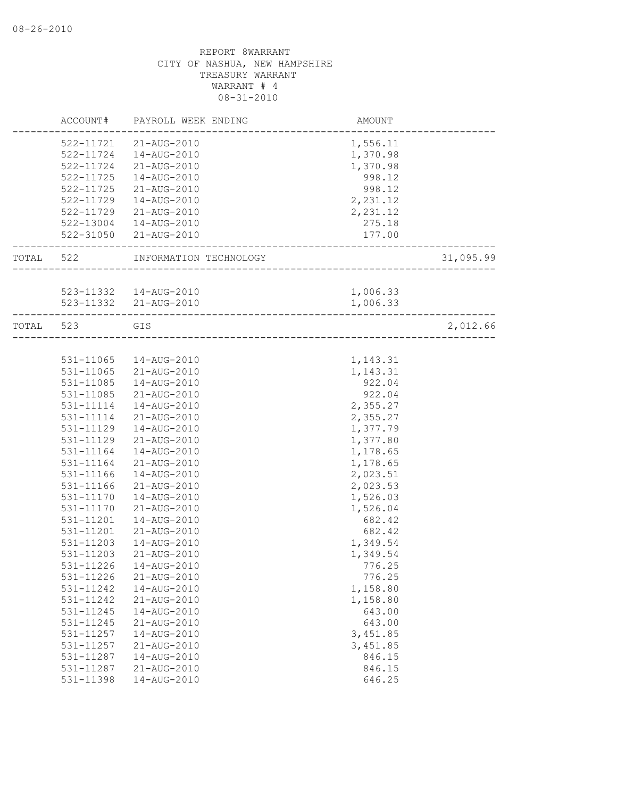|           | ACCOUNT#  | PAYROLL WEEK ENDING    | AMOUNT          |           |
|-----------|-----------|------------------------|-----------------|-----------|
|           | 522-11721 | 21-AUG-2010            | 1,556.11        |           |
|           | 522-11724 | 14-AUG-2010            | 1,370.98        |           |
|           | 522-11724 | 21-AUG-2010            | 1,370.98        |           |
|           | 522-11725 | 14-AUG-2010            | 998.12          |           |
|           | 522-11725 | 21-AUG-2010            | 998.12          |           |
|           | 522-11729 | 14-AUG-2010            | 2,231.12        |           |
|           | 522-11729 | 21-AUG-2010            | 2,231.12        |           |
|           | 522-13004 | 14-AUG-2010            | 275.18          |           |
|           |           | 522-31050 21-AUG-2010  | 177.00          |           |
|           |           |                        | ______________  |           |
| TOTAL 522 |           | INFORMATION TECHNOLOGY | _______________ | 31,095.99 |
|           |           |                        |                 |           |
|           |           | 523-11332  14-AUG-2010 | 1,006.33        |           |
|           |           | 523-11332 21-AUG-2010  | 1,006.33        |           |
| TOTAL 523 |           | GIS                    |                 | 2,012.66  |
|           |           |                        |                 |           |
|           | 531-11065 | 14-AUG-2010            | 1,143.31        |           |
|           | 531-11065 | 21-AUG-2010            | 1,143.31        |           |
|           | 531-11085 | 14-AUG-2010            | 922.04          |           |
|           | 531-11085 | 21-AUG-2010            | 922.04          |           |
|           | 531-11114 | 14-AUG-2010            | 2,355.27        |           |
|           | 531-11114 | 21-AUG-2010            | 2,355.27        |           |
|           | 531-11129 | 14-AUG-2010            | 1,377.79        |           |
|           | 531-11129 | 21-AUG-2010            | 1,377.80        |           |
|           | 531-11164 | 14-AUG-2010            | 1,178.65        |           |
|           | 531-11164 | 21-AUG-2010            | 1,178.65        |           |
|           | 531-11166 | 14-AUG-2010            | 2,023.51        |           |
|           | 531-11166 | 21-AUG-2010            | 2,023.53        |           |
|           | 531-11170 | 14-AUG-2010            | 1,526.03        |           |
|           | 531-11170 | 21-AUG-2010            | 1,526.04        |           |
|           | 531-11201 | 14-AUG-2010            | 682.42          |           |
|           | 531-11201 | 21-AUG-2010            | 682.42          |           |
|           | 531-11203 | 14-AUG-2010            | 1,349.54        |           |
|           | 531-11203 | 21-AUG-2010            | 1,349.54        |           |
|           | 531-11226 | 14-AUG-2010            | 776.25          |           |
|           | 531-11226 | 21-AUG-2010            | 776.25          |           |
|           | 531-11242 | 14-AUG-2010            | 1,158.80        |           |
|           | 531-11242 | 21-AUG-2010            | 1,158.80        |           |
|           | 531-11245 | 14-AUG-2010            | 643.00          |           |
|           | 531-11245 | 21-AUG-2010            | 643.00          |           |
|           | 531-11257 | 14-AUG-2010            | 3,451.85        |           |
|           | 531-11257 | 21-AUG-2010            | 3,451.85        |           |
|           | 531-11287 | 14-AUG-2010            | 846.15          |           |
|           | 531-11287 | 21-AUG-2010            | 846.15          |           |
|           | 531-11398 | 14-AUG-2010            | 646.25          |           |
|           |           |                        |                 |           |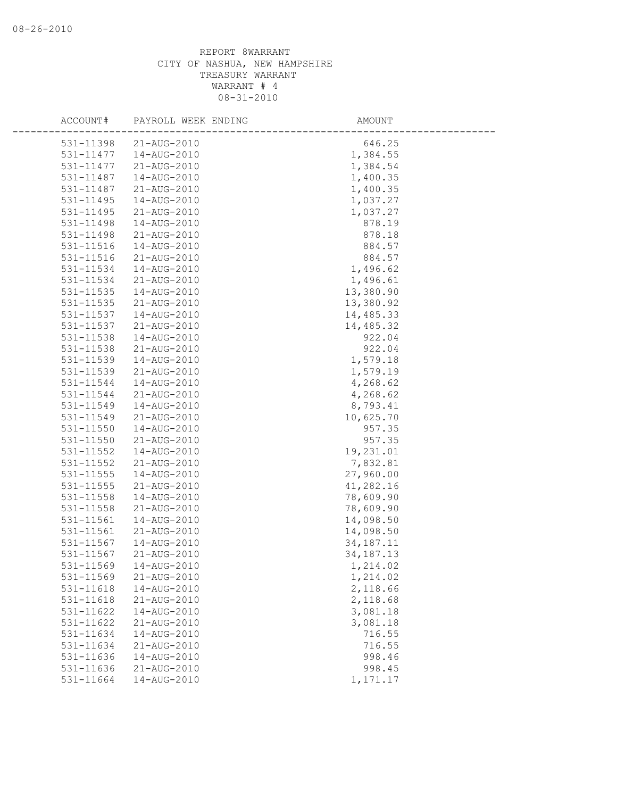| ACCOUNT#               | PAYROLL WEEK ENDING        | AMOUNT                   |
|------------------------|----------------------------|--------------------------|
| 531-11398              | 21-AUG-2010                | 646.25                   |
| 531-11477              | 14-AUG-2010                | 1,384.55                 |
| 531-11477              | 21-AUG-2010                | 1,384.54                 |
| 531-11487              | 14-AUG-2010                | 1,400.35                 |
| 531-11487              | 21-AUG-2010                | 1,400.35                 |
| 531-11495              | 14-AUG-2010                | 1,037.27                 |
| 531-11495              | 21-AUG-2010                | 1,037.27                 |
| 531-11498              | 14-AUG-2010                | 878.19                   |
| 531-11498              | 21-AUG-2010                | 878.18                   |
| 531-11516              | 14-AUG-2010                | 884.57                   |
| 531-11516              | 21-AUG-2010                | 884.57                   |
| 531-11534              | 14-AUG-2010                | 1,496.62                 |
| 531-11534              | 21-AUG-2010                | 1,496.61                 |
| 531-11535              | 14-AUG-2010                | 13,380.90                |
| 531-11535              | 21-AUG-2010                | 13,380.92                |
| 531-11537              | 14-AUG-2010                | 14,485.33                |
| 531-11537              | 21-AUG-2010                | 14,485.32                |
| 531-11538              | 14-AUG-2010                | 922.04                   |
| 531-11538              | 21-AUG-2010                | 922.04                   |
| 531-11539              | 14-AUG-2010                | 1,579.18                 |
| 531-11539              | 21-AUG-2010                | 1,579.19                 |
| 531-11544              | 14-AUG-2010                | 4,268.62                 |
| 531-11544              | 21-AUG-2010                | 4,268.62                 |
| 531-11549              | 14-AUG-2010                | 8,793.41                 |
| 531-11549              | 21-AUG-2010                | 10,625.70                |
| 531-11550              | 14-AUG-2010                | 957.35                   |
| 531-11550              | 21-AUG-2010                | 957.35                   |
| 531-11552              | 14-AUG-2010                | 19,231.01                |
| 531-11552              | 21-AUG-2010                | 7,832.81                 |
| 531-11555              | 14-AUG-2010                | 27,960.00                |
| 531-11555              | 21-AUG-2010                | 41,282.16                |
| 531-11558              | 14-AUG-2010                | 78,609.90                |
| 531-11558              | 21-AUG-2010                | 78,609.90                |
| 531-11561<br>531-11561 | 14-AUG-2010<br>21-AUG-2010 | 14,098.50                |
| 531-11567              | 14-AUG-2010                | 14,098.50<br>34, 187. 11 |
| 531-11567              | 21-AUG-2010                | 34, 187. 13              |
| 531-11569              | 14-AUG-2010                | 1,214.02                 |
| 531-11569              | 21-AUG-2010                | 1,214.02                 |
| 531-11618              | 14-AUG-2010                | 2,118.66                 |
| 531-11618              | 21-AUG-2010                | 2,118.68                 |
| 531-11622              | 14-AUG-2010                | 3,081.18                 |
| 531-11622              | 21-AUG-2010                | 3,081.18                 |
| 531-11634              | 14-AUG-2010                | 716.55                   |
| 531-11634              | 21-AUG-2010                | 716.55                   |
| 531-11636              | 14-AUG-2010                | 998.46                   |
| 531-11636              | 21-AUG-2010                | 998.45                   |
| 531-11664              | 14-AUG-2010                | 1,171.17                 |
|                        |                            |                          |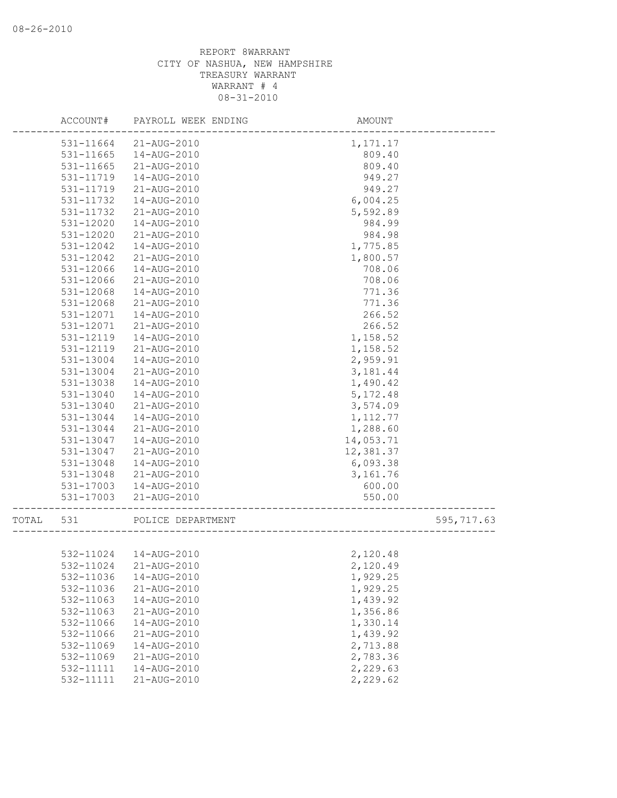|       | ACCOUNT#  | PAYROLL WEEK ENDING    | AMOUNT    |            |
|-------|-----------|------------------------|-----------|------------|
|       | 531-11664 | 21-AUG-2010            | 1,171.17  |            |
|       | 531-11665 | 14-AUG-2010            | 809.40    |            |
|       | 531-11665 | 21-AUG-2010            | 809.40    |            |
|       | 531-11719 | 14-AUG-2010            | 949.27    |            |
|       | 531-11719 | 21-AUG-2010            | 949.27    |            |
|       | 531-11732 | 14-AUG-2010            | 6,004.25  |            |
|       | 531-11732 | 21-AUG-2010            | 5,592.89  |            |
|       | 531-12020 | 14-AUG-2010            | 984.99    |            |
|       | 531-12020 | 21-AUG-2010            | 984.98    |            |
|       | 531-12042 | 14-AUG-2010            | 1,775.85  |            |
|       | 531-12042 | 21-AUG-2010            | 1,800.57  |            |
|       | 531-12066 | 14-AUG-2010            | 708.06    |            |
|       | 531-12066 | 21-AUG-2010            | 708.06    |            |
|       | 531-12068 | 14-AUG-2010            | 771.36    |            |
|       | 531-12068 | 21-AUG-2010            | 771.36    |            |
|       | 531-12071 | 14-AUG-2010            | 266.52    |            |
|       | 531-12071 | 21-AUG-2010            | 266.52    |            |
|       | 531-12119 | 14-AUG-2010            | 1,158.52  |            |
|       | 531-12119 | 21-AUG-2010            | 1,158.52  |            |
|       | 531-13004 | 14-AUG-2010            | 2,959.91  |            |
|       | 531-13004 | 21-AUG-2010            | 3,181.44  |            |
|       | 531-13038 | 14-AUG-2010            | 1,490.42  |            |
|       | 531-13040 | 14-AUG-2010            | 5, 172.48 |            |
|       | 531-13040 | 21-AUG-2010            | 3,574.09  |            |
|       | 531-13044 | 14-AUG-2010            | 1, 112.77 |            |
|       | 531-13044 | 21-AUG-2010            | 1,288.60  |            |
|       | 531-13047 | 14-AUG-2010            | 14,053.71 |            |
|       | 531-13047 | 21-AUG-2010            | 12,381.37 |            |
|       | 531-13048 | 14-AUG-2010            | 6,093.38  |            |
|       | 531-13048 | 21-AUG-2010            | 3,161.76  |            |
|       | 531-17003 | 14-AUG-2010            | 600.00    |            |
|       | 531-17003 | 21-AUG-2010            | 550.00    |            |
| TOTAL | 531       | POLICE DEPARTMENT      |           | 595,717.63 |
|       |           |                        |           |            |
|       |           | 532-11024  14-AUG-2010 | 2,120.48  |            |
|       | 532-11024 | 21-AUG-2010            | 2,120.49  |            |
|       | 532-11036 | 14-AUG-2010            | 1,929.25  |            |
|       | 532-11036 | 21-AUG-2010            | 1,929.25  |            |
|       | 532-11063 | 14-AUG-2010            | 1,439.92  |            |
|       | 532-11063 | 21-AUG-2010            | 1,356.86  |            |
|       | 532-11066 | 14-AUG-2010            | 1,330.14  |            |
|       | 532-11066 | 21-AUG-2010            | 1,439.92  |            |
|       | 532-11069 | 14-AUG-2010            | 2,713.88  |            |
|       | 532-11069 | 21-AUG-2010            | 2,783.36  |            |
|       | 532-11111 | 14-AUG-2010            | 2,229.63  |            |
|       | 532-11111 | 21-AUG-2010            | 2,229.62  |            |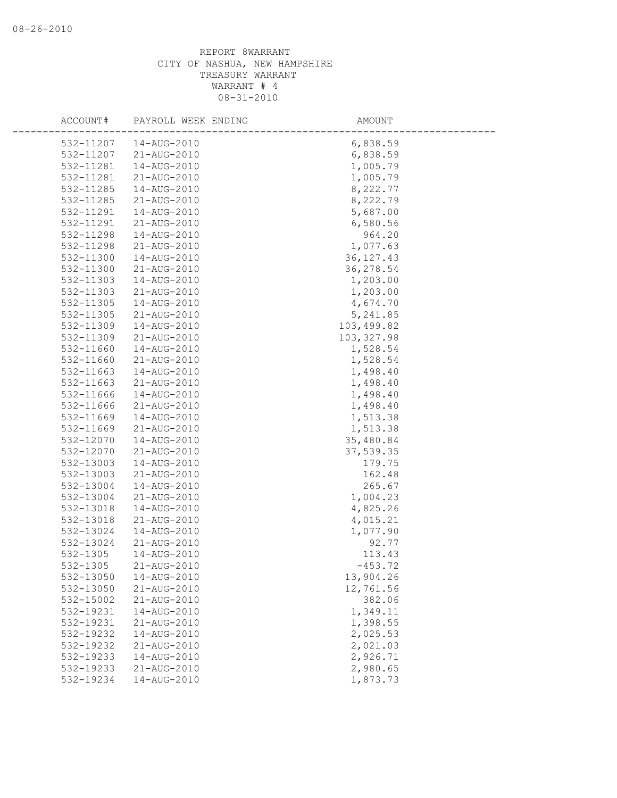| ACCOUNT#     | PAYROLL WEEK ENDING | AMOUNT      |  |
|--------------|---------------------|-------------|--|
| 532-11207    | 14-AUG-2010         | 6,838.59    |  |
| 532-11207    | 21-AUG-2010         | 6,838.59    |  |
| 532-11281    | 14-AUG-2010         | 1,005.79    |  |
| 532-11281    | 21-AUG-2010         | 1,005.79    |  |
| 532-11285    | 14-AUG-2010         | 8,222.77    |  |
| 532-11285    | 21-AUG-2010         | 8,222.79    |  |
| 532-11291    | 14-AUG-2010         | 5,687.00    |  |
| 532-11291    | 21-AUG-2010         | 6,580.56    |  |
| 532-11298    | 14-AUG-2010         | 964.20      |  |
| 532-11298    | 21-AUG-2010         | 1,077.63    |  |
| 532-11300    | 14-AUG-2010         | 36, 127. 43 |  |
| 532-11300    | 21-AUG-2010         | 36,278.54   |  |
| 532-11303    | 14-AUG-2010         | 1,203.00    |  |
| 532-11303    | 21-AUG-2010         | 1,203.00    |  |
| 532-11305    | 14-AUG-2010         | 4,674.70    |  |
| 532-11305    | 21-AUG-2010         | 5,241.85    |  |
| 532-11309    | 14-AUG-2010         | 103,499.82  |  |
| 532-11309    | 21-AUG-2010         | 103, 327.98 |  |
| 532-11660    | 14-AUG-2010         | 1,528.54    |  |
| 532-11660    | 21-AUG-2010         | 1,528.54    |  |
| 532-11663    | 14-AUG-2010         | 1,498.40    |  |
| 532-11663    | 21-AUG-2010         | 1,498.40    |  |
| 532-11666    | 14-AUG-2010         | 1,498.40    |  |
| 532-11666    | 21-AUG-2010         | 1,498.40    |  |
| 532-11669    | 14-AUG-2010         | 1,513.38    |  |
| 532-11669    | 21-AUG-2010         | 1,513.38    |  |
| 532-12070    | 14-AUG-2010         | 35,480.84   |  |
| 532-12070    | 21-AUG-2010         | 37,539.35   |  |
| 532-13003    | 14-AUG-2010         | 179.75      |  |
| 532-13003    | 21-AUG-2010         | 162.48      |  |
| 532-13004    | 14-AUG-2010         | 265.67      |  |
| 532-13004    | 21-AUG-2010         | 1,004.23    |  |
| 532-13018    | 14-AUG-2010         | 4,825.26    |  |
| 532-13018    | 21-AUG-2010         | 4,015.21    |  |
| 532-13024    | 14-AUG-2010         | 1,077.90    |  |
| 532-13024    | 21-AUG-2010         | 92.77       |  |
| $532 - 1305$ | 14-AUG-2010         | 113.43      |  |
| 532-1305     | 21-AUG-2010         | $-453.72$   |  |
| 532-13050    | 14-AUG-2010         | 13,904.26   |  |
| 532-13050    | 21-AUG-2010         | 12,761.56   |  |
| 532-15002    | 21-AUG-2010         | 382.06      |  |
| 532-19231    | 14-AUG-2010         | 1,349.11    |  |
| 532-19231    | 21-AUG-2010         | 1,398.55    |  |
| 532-19232    | 14-AUG-2010         | 2,025.53    |  |
| 532-19232    | 21-AUG-2010         | 2,021.03    |  |
| 532-19233    | $14 - AUG - 2010$   | 2,926.71    |  |
| 532-19233    | 21-AUG-2010         | 2,980.65    |  |
| 532-19234    | 14-AUG-2010         | 1,873.73    |  |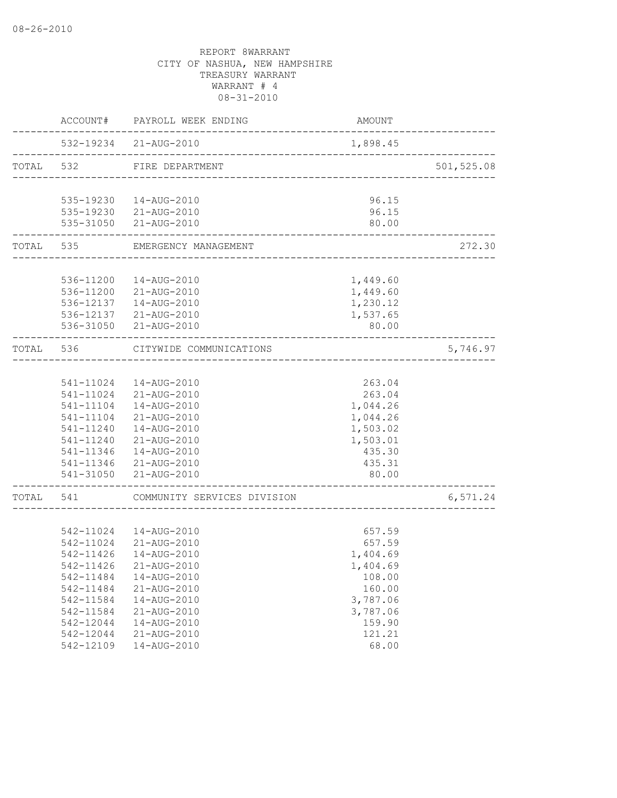|           | ACCOUNT#<br>PAYROLL WEEK ENDING        |                                                   | AMOUNT               |            |  |
|-----------|----------------------------------------|---------------------------------------------------|----------------------|------------|--|
|           |                                        | 532-19234 21-AUG-2010                             | 1,898.45             |            |  |
| TOTAL 532 |                                        | FIRE DEPARTMENT<br>------------------------------ |                      | 501,525.08 |  |
|           |                                        | 535-19230  14-AUG-2010                            | 96.15                |            |  |
|           |                                        | 535-19230 21-AUG-2010                             | 96.15                |            |  |
|           |                                        | 535-31050 21-AUG-2010                             | 80.00                |            |  |
| TOTAL     | 535                                    | EMERGENCY MANAGEMENT                              |                      | 272.30     |  |
|           |                                        |                                                   |                      |            |  |
|           | 536-11200                              | 14-AUG-2010<br>536-11200 21-AUG-2010              | 1,449.60<br>1,449.60 |            |  |
|           |                                        | 536-12137  14-AUG-2010                            | 1,230.12             |            |  |
|           |                                        | 536-12137 21-AUG-2010                             | 1,537.65             |            |  |
|           |                                        | 536-31050 21-AUG-2010                             | 80.00                |            |  |
|           | TOTAL 536                              | CITYWIDE COMMUNICATIONS                           |                      | 5,746.97   |  |
|           |                                        |                                                   |                      |            |  |
|           |                                        | 541-11024  14-AUG-2010                            | 263.04               |            |  |
|           |                                        | 541-11024 21-AUG-2010                             | 263.04               |            |  |
|           | 541-11104                              | 14-AUG-2010                                       | 1,044.26             |            |  |
|           |                                        | 541-11104 21-AUG-2010                             | 1,044.26             |            |  |
|           | 541-11240                              | 14-AUG-2010                                       | 1,503.02             |            |  |
|           | 541-11240                              | 21-AUG-2010                                       | 1,503.01             |            |  |
|           | 541-11346                              | 14-AUG-2010                                       | 435.30               |            |  |
|           | 541-11346                              | 21-AUG-2010                                       | 435.31               |            |  |
|           | 541-31050<br>. _ _ _ _ _ _ _ _ _ _ _ _ | 21-AUG-2010                                       | 80.00                |            |  |
| TOTAL     | 541                                    | COMMUNITY SERVICES DIVISION                       |                      | 6,571.24   |  |
|           |                                        |                                                   |                      |            |  |
|           |                                        | 542-11024  14-AUG-2010                            | 657.59               |            |  |
|           |                                        | 542-11024 21-AUG-2010                             | 657.59               |            |  |
|           | 542-11426                              | 14-AUG-2010                                       | 1,404.69             |            |  |
|           | 542-11426                              | 21-AUG-2010                                       | 1,404.69             |            |  |
|           | 542-11484                              | 14-AUG-2010                                       | 108.00               |            |  |
|           | 542-11484                              | 21-AUG-2010                                       | 160.00               |            |  |
|           | 542-11584                              | 14-AUG-2010                                       | 3,787.06             |            |  |
|           | 542-11584                              | 21-AUG-2010                                       | 3,787.06             |            |  |
|           | 542-12044                              | 14-AUG-2010                                       | 159.90               |            |  |
|           | 542-12044                              | 21-AUG-2010                                       | 121.21               |            |  |
|           | 542-12109                              | 14-AUG-2010                                       | 68.00                |            |  |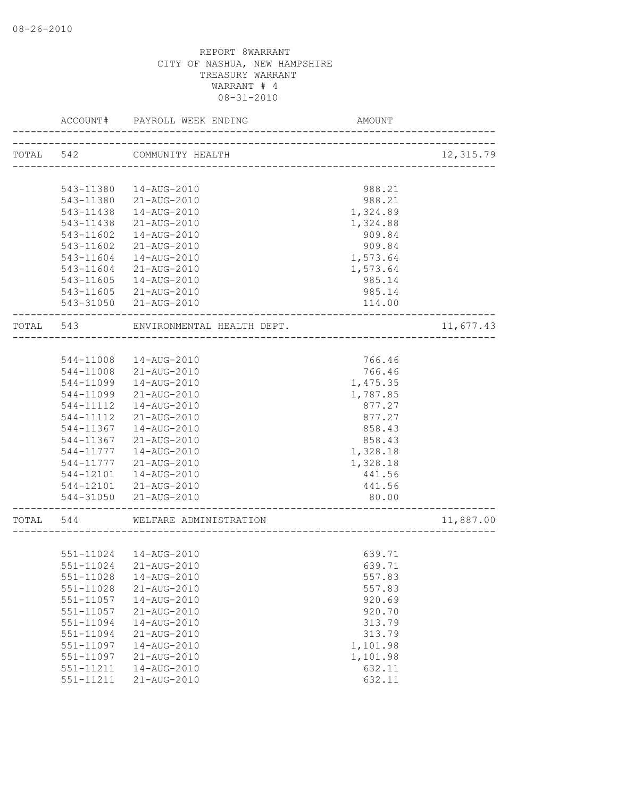|           | ACCOUNT#      | PAYROLL WEEK ENDING        | AMOUNT                                 |           |
|-----------|---------------|----------------------------|----------------------------------------|-----------|
| TOTAL 542 |               | COMMUNITY HEALTH           |                                        | 12,315.79 |
|           |               |                            | -------------------------------------- |           |
|           | 543-11380     | 14-AUG-2010                | 988.21                                 |           |
|           | 543-11380     | 21-AUG-2010                | 988.21                                 |           |
|           | 543-11438     | 14-AUG-2010                | 1,324.89                               |           |
|           | 543-11438     | 21-AUG-2010                | 1,324.88                               |           |
|           | 543-11602     | 14-AUG-2010                | 909.84                                 |           |
|           | 543-11602     | 21-AUG-2010                | 909.84                                 |           |
|           | $543 - 11604$ | 14-AUG-2010                | 1,573.64                               |           |
|           | 543-11604     | 21-AUG-2010                | 1,573.64                               |           |
|           | 543-11605     | 14-AUG-2010                | 985.14                                 |           |
|           | 543-11605     | 21-AUG-2010                | 985.14                                 |           |
|           | 543-31050     | 21-AUG-2010                | 114.00                                 |           |
| TOTAL 543 |               | ENVIRONMENTAL HEALTH DEPT. | _______________                        | 11,677.43 |
|           |               |                            |                                        |           |
|           | 544-11008     | 14-AUG-2010                | 766.46                                 |           |
|           | 544-11008     | 21-AUG-2010                | 766.46                                 |           |
|           | 544-11099     | 14-AUG-2010                | 1,475.35                               |           |
|           | 544-11099     | 21-AUG-2010                | 1,787.85                               |           |
|           | 544-11112     | 14-AUG-2010                | 877.27                                 |           |
|           | 544-11112     | 21-AUG-2010                | 877.27                                 |           |
|           | 544-11367     | 14-AUG-2010                | 858.43                                 |           |
|           | 544-11367     | 21-AUG-2010                | 858.43                                 |           |
|           | 544-11777     | 14-AUG-2010                | 1,328.18                               |           |
|           | 544-11777     | 21-AUG-2010                | 1,328.18                               |           |
|           | 544-12101     | 14-AUG-2010                | 441.56                                 |           |
|           | 544-12101     | 21-AUG-2010                | 441.56                                 |           |
|           | 544-31050     | 21-AUG-2010                | 80.00                                  |           |
|           |               | WELFARE ADMINISTRATION     |                                        | 11,887.00 |
| TOTAL 544 |               |                            |                                        |           |
|           |               |                            |                                        |           |
|           |               | 551-11024  14-AUG-2010     | 639.71                                 |           |
|           |               | 551-11024 21-AUG-2010      | 639.71                                 |           |
|           | 551-11028     | 14-AUG-2010                | 557.83                                 |           |
|           | 551-11028     | 21-AUG-2010                | 557.83                                 |           |
|           | 551-11057     | 14-AUG-2010                | 920.69                                 |           |
|           | 551-11057     | 21-AUG-2010                | 920.70                                 |           |
|           | 551-11094     | 14-AUG-2010                | 313.79                                 |           |
|           | 551-11094     | 21-AUG-2010                | 313.79                                 |           |
|           | 551-11097     | 14-AUG-2010                | 1,101.98                               |           |
|           | 551-11097     | 21-AUG-2010                | 1,101.98                               |           |
|           | 551-11211     | 14-AUG-2010                | 632.11                                 |           |
|           | 551-11211     | 21-AUG-2010                | 632.11                                 |           |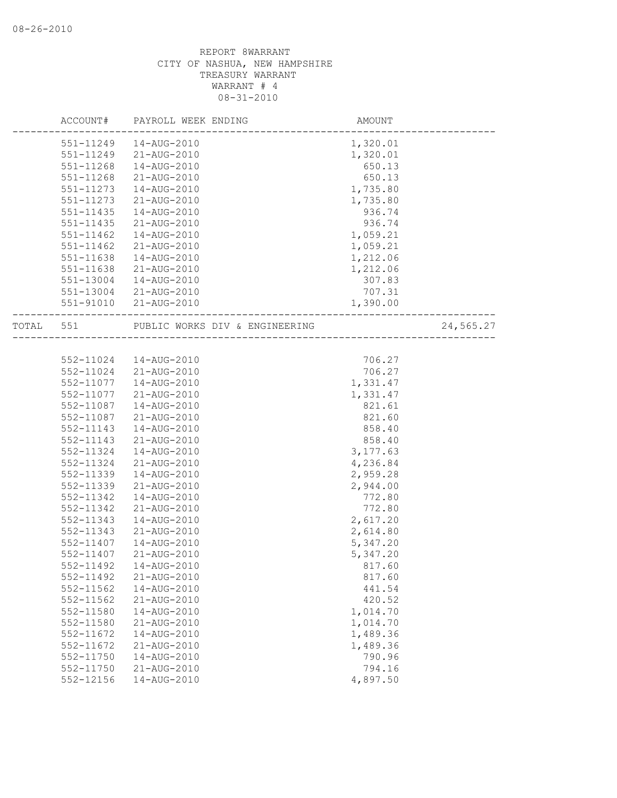|           | ACCOUNT#  | PAYROLL WEEK ENDING            | AMOUNT    |           |
|-----------|-----------|--------------------------------|-----------|-----------|
|           | 551-11249 | 14-AUG-2010                    | 1,320.01  |           |
|           | 551-11249 | 21-AUG-2010                    | 1,320.01  |           |
|           | 551-11268 | 14-AUG-2010                    | 650.13    |           |
|           | 551-11268 | 21-AUG-2010                    | 650.13    |           |
|           | 551-11273 | 14-AUG-2010                    | 1,735.80  |           |
|           | 551-11273 | 21-AUG-2010                    | 1,735.80  |           |
|           | 551-11435 | 14-AUG-2010                    | 936.74    |           |
|           | 551-11435 | 21-AUG-2010                    | 936.74    |           |
|           | 551-11462 | 14-AUG-2010                    | 1,059.21  |           |
|           | 551-11462 | 21-AUG-2010                    | 1,059.21  |           |
|           | 551-11638 | 14-AUG-2010                    | 1,212.06  |           |
|           | 551-11638 | 21-AUG-2010                    | 1,212.06  |           |
|           | 551-13004 | 14-AUG-2010                    | 307.83    |           |
|           | 551-13004 | 21-AUG-2010                    | 707.31    |           |
|           | 551-91010 | 21-AUG-2010                    | 1,390.00  |           |
| TOTAL 551 |           | PUBLIC WORKS DIV & ENGINEERING |           | 24,565.27 |
|           |           | -----------------------------  |           |           |
|           | 552-11024 | 14-AUG-2010                    | 706.27    |           |
|           | 552-11024 | 21-AUG-2010                    | 706.27    |           |
|           | 552-11077 | 14-AUG-2010                    | 1,331.47  |           |
|           | 552-11077 | 21-AUG-2010                    | 1,331.47  |           |
|           | 552-11087 | 14-AUG-2010                    | 821.61    |           |
|           | 552-11087 | 21-AUG-2010                    | 821.60    |           |
|           | 552-11143 | 14-AUG-2010                    | 858.40    |           |
|           | 552-11143 | 21-AUG-2010                    | 858.40    |           |
|           | 552-11324 | 14-AUG-2010                    | 3, 177.63 |           |
|           | 552-11324 | 21-AUG-2010                    | 4,236.84  |           |
|           | 552-11339 | 14-AUG-2010                    | 2,959.28  |           |
|           | 552-11339 | 21-AUG-2010                    | 2,944.00  |           |
|           | 552-11342 | 14-AUG-2010                    | 772.80    |           |
|           | 552-11342 | 21-AUG-2010                    | 772.80    |           |
|           | 552-11343 | 14-AUG-2010                    | 2,617.20  |           |
|           | 552-11343 | 21-AUG-2010                    | 2,614.80  |           |
|           | 552-11407 | 14-AUG-2010                    | 5,347.20  |           |
|           | 552-11407 | 21-AUG-2010                    | 5,347.20  |           |
|           | 552-11492 | 14-AUG-2010                    | 817.60    |           |
|           | 552-11492 | 21-AUG-2010                    | 817.60    |           |
|           | 552-11562 | 14-AUG-2010                    | 441.54    |           |
|           | 552-11562 | 21-AUG-2010                    | 420.52    |           |
|           | 552-11580 | 14-AUG-2010                    | 1,014.70  |           |
|           | 552-11580 | 21-AUG-2010                    | 1,014.70  |           |
|           | 552-11672 | 14-AUG-2010                    | 1,489.36  |           |
|           | 552-11672 | 21-AUG-2010                    | 1,489.36  |           |
|           | 552-11750 | 14-AUG-2010                    | 790.96    |           |
|           | 552-11750 | 21-AUG-2010                    | 794.16    |           |
|           | 552-12156 | 14-AUG-2010                    | 4,897.50  |           |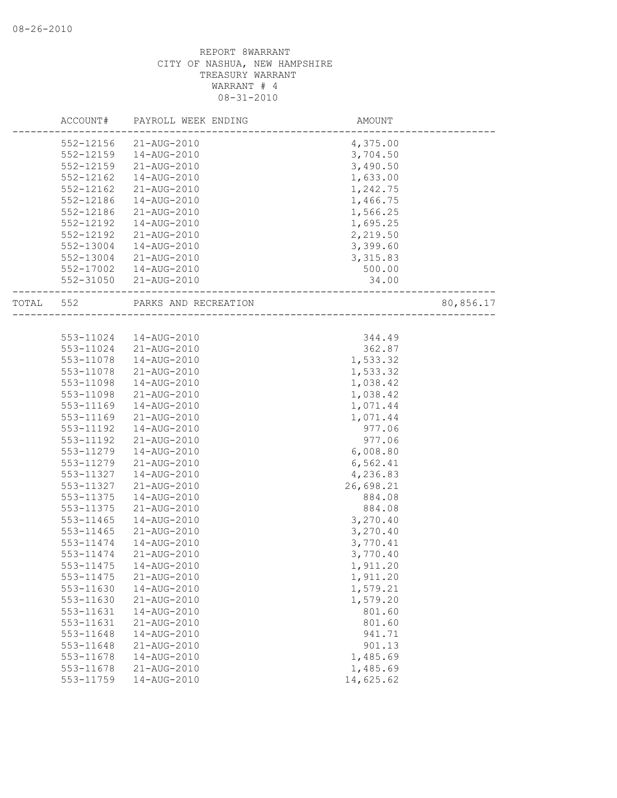|       | ACCOUNT#  | PAYROLL WEEK ENDING  | AMOUNT    |           |
|-------|-----------|----------------------|-----------|-----------|
|       | 552-12156 | 21-AUG-2010          | 4,375.00  |           |
|       | 552-12159 | 14-AUG-2010          | 3,704.50  |           |
|       | 552-12159 | 21-AUG-2010          | 3,490.50  |           |
|       | 552-12162 | 14-AUG-2010          | 1,633.00  |           |
|       | 552-12162 | 21-AUG-2010          | 1,242.75  |           |
|       | 552-12186 | 14-AUG-2010          | 1,466.75  |           |
|       | 552-12186 | 21-AUG-2010          | 1,566.25  |           |
|       | 552-12192 | 14-AUG-2010          | 1,695.25  |           |
|       | 552-12192 | 21-AUG-2010          | 2,219.50  |           |
|       | 552-13004 | 14-AUG-2010          | 3,399.60  |           |
|       | 552-13004 | 21-AUG-2010          | 3, 315.83 |           |
|       | 552-17002 | 14-AUG-2010          | 500.00    |           |
|       | 552-31050 | 21-AUG-2010          | 34.00     |           |
| TOTAL | 552       | PARKS AND RECREATION |           | 80,856.17 |
|       |           |                      |           |           |
|       | 553-11024 | 14-AUG-2010          | 344.49    |           |
|       | 553-11024 | 21-AUG-2010          | 362.87    |           |
|       | 553-11078 | 14-AUG-2010          | 1,533.32  |           |
|       | 553-11078 | 21-AUG-2010          | 1,533.32  |           |
|       | 553-11098 | 14-AUG-2010          | 1,038.42  |           |
|       | 553-11098 | 21-AUG-2010          | 1,038.42  |           |
|       | 553-11169 | 14-AUG-2010          | 1,071.44  |           |
|       | 553-11169 | 21-AUG-2010          | 1,071.44  |           |
|       | 553-11192 | 14-AUG-2010          | 977.06    |           |
|       | 553-11192 | 21-AUG-2010          | 977.06    |           |
|       | 553-11279 | 14-AUG-2010          | 6,008.80  |           |
|       | 553-11279 | 21-AUG-2010          | 6,562.41  |           |
|       | 553-11327 | 14-AUG-2010          | 4,236.83  |           |
|       | 553-11327 | 21-AUG-2010          | 26,698.21 |           |
|       | 553-11375 | 14-AUG-2010          | 884.08    |           |
|       | 553-11375 | 21-AUG-2010          | 884.08    |           |
|       | 553-11465 | 14-AUG-2010          | 3,270.40  |           |
|       | 553-11465 | 21-AUG-2010          | 3,270.40  |           |
|       | 553-11474 | 14-AUG-2010          | 3,770.41  |           |
|       | 553-11474 | 21-AUG-2010          | 3,770.40  |           |
|       | 553-11475 | 14-AUG-2010          | 1,911.20  |           |
|       | 553-11475 | 21-AUG-2010          | 1,911.20  |           |
|       | 553-11630 | 14-AUG-2010          | 1,579.21  |           |
|       | 553-11630 | 21-AUG-2010          | 1,579.20  |           |
|       | 553-11631 | 14-AUG-2010          | 801.60    |           |
|       | 553-11631 | 21-AUG-2010          | 801.60    |           |
|       | 553-11648 | 14-AUG-2010          | 941.71    |           |
|       | 553-11648 | 21-AUG-2010          | 901.13    |           |
|       | 553-11678 | 14-AUG-2010          | 1,485.69  |           |
|       | 553-11678 | 21-AUG-2010          | 1,485.69  |           |
|       | 553-11759 | 14-AUG-2010          | 14,625.62 |           |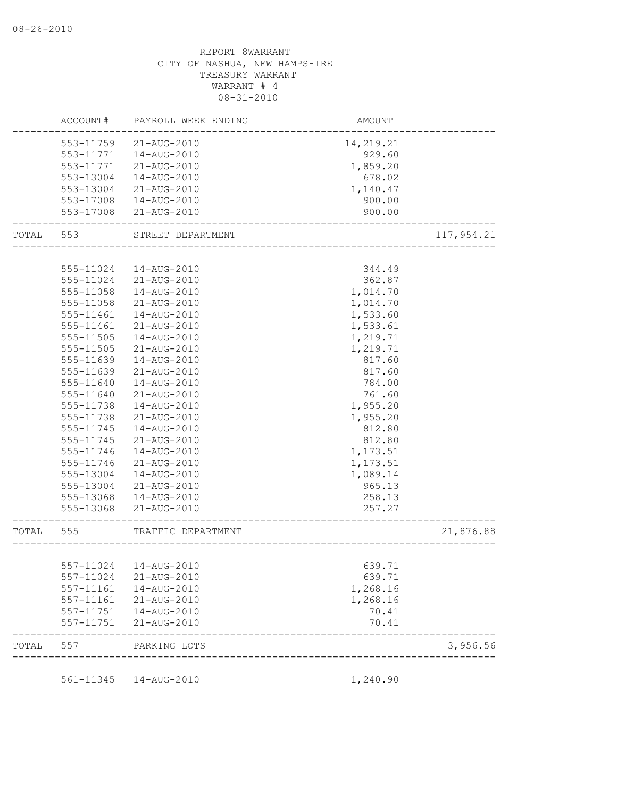|       | ACCOUNT#                   | PAYROLL WEEK ENDING        | AMOUNT         |            |
|-------|----------------------------|----------------------------|----------------|------------|
|       | 553-11759                  | 21-AUG-2010                | 14,219.21      |            |
|       | 553-11771                  | 14-AUG-2010                | 929.60         |            |
|       | 553-11771                  | 21-AUG-2010                | 1,859.20       |            |
|       | 553-13004                  | 14-AUG-2010                | 678.02         |            |
|       | 553-13004                  | 21-AUG-2010                | 1,140.47       |            |
|       | 553-17008                  | 14-AUG-2010                | 900.00         |            |
|       | 553-17008                  | 21-AUG-2010                | 900.00         |            |
| TOTAL | 553                        | STREET DEPARTMENT          |                | 117,954.21 |
|       |                            |                            |                |            |
|       | 555-11024                  | 14-AUG-2010                | 344.49         |            |
|       | 555-11024                  | 21-AUG-2010                | 362.87         |            |
|       | 555-11058                  | 14-AUG-2010                | 1,014.70       |            |
|       | 555-11058                  | 21-AUG-2010                | 1,014.70       |            |
|       | 555-11461                  | 14-AUG-2010                | 1,533.60       |            |
|       | 555-11461                  | 21-AUG-2010                | 1,533.61       |            |
|       | 555-11505                  | 14-AUG-2010                | 1,219.71       |            |
|       | 555-11505                  | 21-AUG-2010                | 1,219.71       |            |
|       | 555-11639                  | 14-AUG-2010                | 817.60         |            |
|       | 555-11639                  | 21-AUG-2010                | 817.60         |            |
|       | 555-11640                  | 14-AUG-2010                | 784.00         |            |
|       | 555-11640                  | 21-AUG-2010                | 761.60         |            |
|       | 555-11738                  | 14-AUG-2010                | 1,955.20       |            |
|       | 555-11738                  | 21-AUG-2010                | 1,955.20       |            |
|       | 555-11745                  | 14-AUG-2010                | 812.80         |            |
|       | 555-11745                  | 21-AUG-2010                | 812.80         |            |
|       | 555-11746                  | 14-AUG-2010                | 1,173.51       |            |
|       | 555-11746                  | 21-AUG-2010                | 1,173.51       |            |
|       | 555-13004                  | 14-AUG-2010                | 1,089.14       |            |
|       | 555-13004                  | 21-AUG-2010                | 965.13         |            |
|       | 555-13068                  | 14-AUG-2010                | 258.13         |            |
|       | 555-13068                  | 21-AUG-2010                | 257.27         |            |
| TOTAL | 555                        | TRAFFIC DEPARTMENT         |                | 21,876.88  |
|       |                            |                            |                |            |
|       |                            | 557-11024  14-AUG-2010     | 639.71         |            |
|       | 557-11024                  | 21-AUG-2010                | 639.71         |            |
|       | 557-11161                  | 14-AUG-2010                | 1,268.16       |            |
|       | 557-11161                  | 21-AUG-2010                | 1,268.16       |            |
|       | $557 - 11751$<br>557-11751 | 14-AUG-2010<br>21-AUG-2010 | 70.41<br>70.41 |            |
| TOTAL | 557                        | PARKING LOTS               |                | 3,956.56   |
|       |                            |                            |                |            |
|       |                            | 561-11345  14-AUG-2010     | 1,240.90       |            |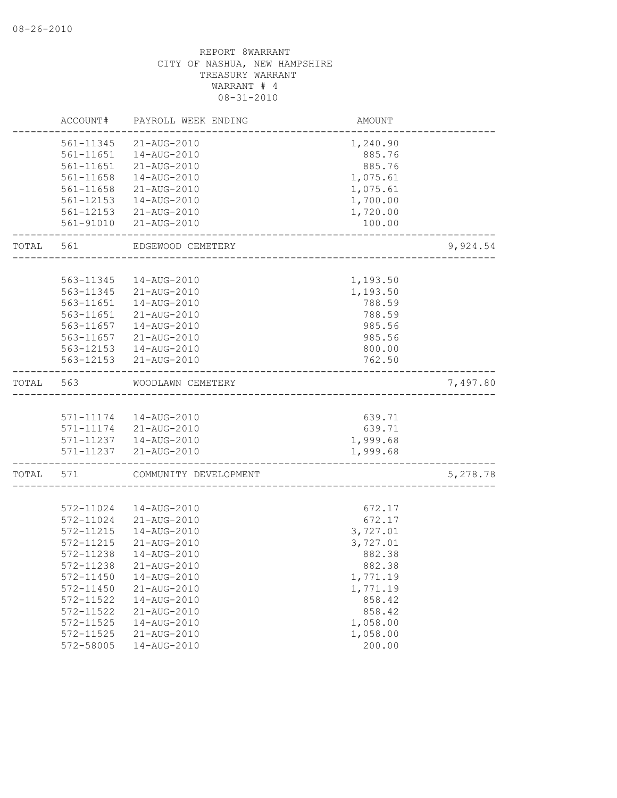|       | ACCOUNT#  | PAYROLL WEEK ENDING    | <b>AMOUNT</b> |          |
|-------|-----------|------------------------|---------------|----------|
|       | 561-11345 | 21-AUG-2010            | 1,240.90      |          |
|       | 561-11651 | 14-AUG-2010            | 885.76        |          |
|       | 561-11651 | 21-AUG-2010            | 885.76        |          |
|       | 561-11658 | 14-AUG-2010            | 1,075.61      |          |
|       | 561-11658 | 21-AUG-2010            | 1,075.61      |          |
|       | 561-12153 | 14-AUG-2010            | 1,700.00      |          |
|       | 561-12153 | 21-AUG-2010            | 1,720.00      |          |
|       | 561-91010 | 21-AUG-2010            | 100.00        |          |
| TOTAL | 561       | EDGEWOOD CEMETERY      |               | 9,924.54 |
|       | 563-11345 | 14-AUG-2010            | 1,193.50      |          |
|       | 563-11345 | 21-AUG-2010            | 1,193.50      |          |
|       | 563-11651 | 14-AUG-2010            | 788.59        |          |
|       | 563-11651 | 21-AUG-2010            | 788.59        |          |
|       | 563-11657 | 14-AUG-2010            | 985.56        |          |
|       | 563-11657 | 21-AUG-2010            | 985.56        |          |
|       | 563-12153 | 14-AUG-2010            | 800.00        |          |
|       | 563-12153 |                        |               |          |
|       |           | 21-AUG-2010            | 762.50        |          |
| TOTAL | 563       | WOODLAWN CEMETERY      |               | 7,497.80 |
|       |           |                        |               |          |
|       |           | 571-11174  14-AUG-2010 | 639.71        |          |
|       |           | 571-11174 21-AUG-2010  | 639.71        |          |
|       |           | 571-11237  14-AUG-2010 | 1,999.68      |          |
|       |           | 571-11237 21-AUG-2010  | 1,999.68      |          |
| TOTAL | 571       | COMMUNITY DEVELOPMENT  |               | 5,278.78 |
|       |           |                        |               |          |
|       | 572-11024 | 14-AUG-2010            | 672.17        |          |
|       | 572-11024 | 21-AUG-2010            | 672.17        |          |
|       | 572-11215 | 14-AUG-2010            | 3,727.01      |          |
|       | 572-11215 | 21-AUG-2010            | 3,727.01      |          |
|       | 572-11238 | 14-AUG-2010            | 882.38        |          |
|       | 572-11238 | 21-AUG-2010            | 882.38        |          |
|       | 572-11450 | 14-AUG-2010            | 1,771.19      |          |
|       | 572-11450 | 21-AUG-2010            | 1,771.19      |          |
|       | 572-11522 | 14-AUG-2010            | 858.42        |          |
|       | 572-11522 | 21-AUG-2010            | 858.42        |          |
|       | 572-11525 | 14-AUG-2010            | 1,058.00      |          |
|       | 572-11525 | 21-AUG-2010            | 1,058.00      |          |
|       | 572-58005 | 14-AUG-2010            | 200.00        |          |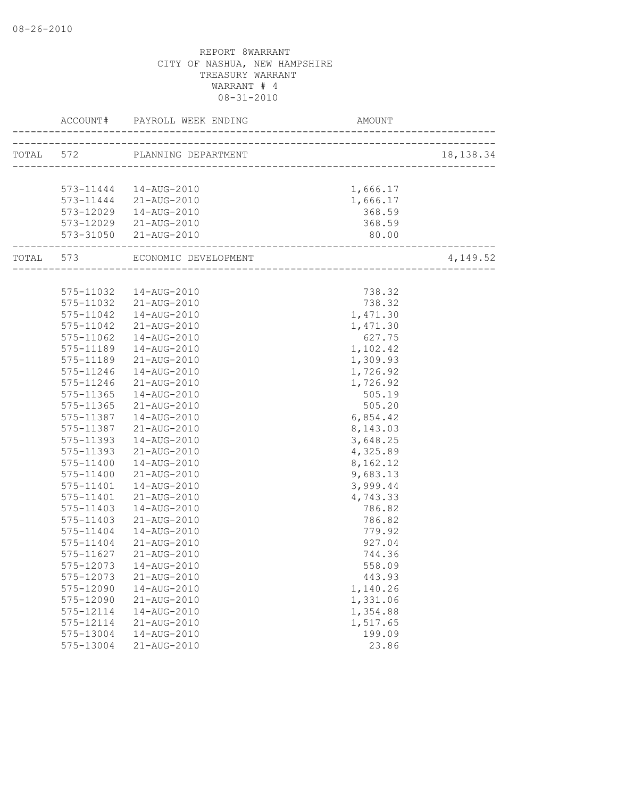|                            |                                | AMOUNT   | 18, 138.34 |  |
|----------------------------|--------------------------------|----------|------------|--|
|                            | TOTAL 572 PLANNING DEPARTMENT  |          |            |  |
|                            |                                |          |            |  |
|                            | 573-11444  14-AUG-2010         | 1,666.17 |            |  |
|                            | 573-11444 21-AUG-2010          | 1,666.17 |            |  |
|                            | 573-12029  14-AUG-2010         | 368.59   |            |  |
|                            | 573-12029 21-AUG-2010          | 368.59   |            |  |
| -------------------------- | 573-31050 21-AUG-2010          | 80.00    |            |  |
|                            | TOTAL 573 ECONOMIC DEVELOPMENT |          | 4,149.52   |  |
|                            |                                |          |            |  |
|                            | 575-11032  14-AUG-2010         | 738.32   |            |  |
|                            | 575-11032 21-AUG-2010          | 738.32   |            |  |
|                            | 575-11042  14-AUG-2010         | 1,471.30 |            |  |
| 575-11042                  | 21-AUG-2010                    | 1,471.30 |            |  |
| 575-11062                  | 14-AUG-2010                    | 627.75   |            |  |
| 575-11189                  | 14-AUG-2010                    | 1,102.42 |            |  |
| 575-11189                  | 21-AUG-2010                    | 1,309.93 |            |  |
| 575-11246                  | 14-AUG-2010                    | 1,726.92 |            |  |
| 575-11246                  | 21-AUG-2010                    | 1,726.92 |            |  |
| 575-11365                  | 14-AUG-2010                    | 505.19   |            |  |
| $575 - 11365$              | 21-AUG-2010                    | 505.20   |            |  |
| 575-11387                  | 14-AUG-2010                    | 6,854.42 |            |  |
| 575-11387                  | 21-AUG-2010                    | 8,143.03 |            |  |
| 575-11393                  | 14-AUG-2010                    | 3,648.25 |            |  |
| 575-11393                  | 21-AUG-2010                    | 4,325.89 |            |  |
| 575-11400                  | 14-AUG-2010                    | 8,162.12 |            |  |
| 575-11400                  | 21-AUG-2010                    | 9,683.13 |            |  |
| 575-11401                  | 14-AUG-2010                    | 3,999.44 |            |  |
| 575-11401                  | 21-AUG-2010                    | 4,743.33 |            |  |
| 575-11403                  | 14-AUG-2010                    | 786.82   |            |  |
| $575 - 11403$              | 21-AUG-2010                    | 786.82   |            |  |
| 575-11404                  | 14-AUG-2010                    | 779.92   |            |  |
| 575-11404                  | 21-AUG-2010                    | 927.04   |            |  |
| 575-11627                  | 21-AUG-2010                    | 744.36   |            |  |
|                            | 575-12073  14-AUG-2010         | 558.09   |            |  |
| 575-12073                  | 21-AUG-2010                    | 443.93   |            |  |
| 575-12090                  | 14-AUG-2010                    | 1,140.26 |            |  |
| 575-12090                  | 21-AUG-2010                    | 1,331.06 |            |  |
| 575-12114                  | 14-AUG-2010                    | 1,354.88 |            |  |
| 575-12114                  | 21-AUG-2010                    | 1,517.65 |            |  |
| 575-13004                  | 14-AUG-2010                    | 199.09   |            |  |
| 575-13004                  | 21-AUG-2010                    | 23.86    |            |  |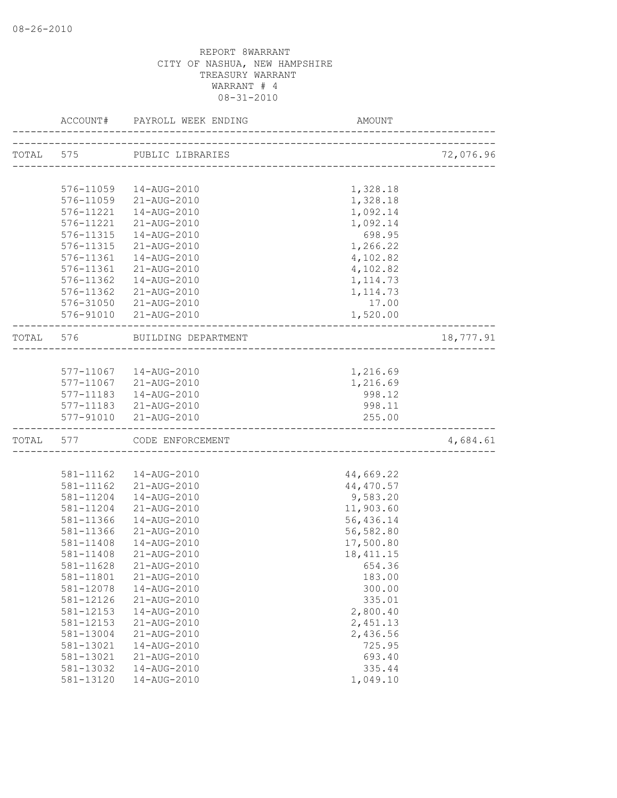|           | ACCOUNT#  | PAYROLL WEEK ENDING        | AMOUNT                               |           |
|-----------|-----------|----------------------------|--------------------------------------|-----------|
| TOTAL 575 |           | PUBLIC LIBRARIES           |                                      | 72,076.96 |
|           |           |                            | ------------------------------------ |           |
|           | 576-11059 | 14-AUG-2010                | 1,328.18                             |           |
|           | 576-11059 | 21-AUG-2010                | 1,328.18                             |           |
|           | 576-11221 | 14-AUG-2010                | 1,092.14                             |           |
|           | 576-11221 | 21-AUG-2010                | 1,092.14                             |           |
|           | 576-11315 | 14-AUG-2010                | 698.95                               |           |
|           | 576-11315 | 21-AUG-2010                | 1,266.22                             |           |
|           | 576-11361 | 14-AUG-2010                | 4,102.82                             |           |
|           | 576-11361 | 21-AUG-2010                | 4,102.82                             |           |
|           | 576-11362 | 14-AUG-2010                | 1, 114.73                            |           |
|           | 576-11362 | 21-AUG-2010                | 1, 114.73                            |           |
|           | 576-31050 | 21-AUG-2010                | 17.00                                |           |
|           |           | 576-91010 21-AUG-2010      | 1,520.00                             |           |
| TOTAL     | 576       | BUILDING DEPARTMENT        |                                      | 18,777.91 |
|           |           |                            | ___________________________          |           |
|           |           | 577-11067  14-AUG-2010     | 1,216.69                             |           |
|           |           | 577-11067 21-AUG-2010      | 1,216.69                             |           |
|           |           | 577-11183  14-AUG-2010     | 998.12                               |           |
|           |           | 577-11183 21-AUG-2010      | 998.11                               |           |
|           | 577-91010 | 21-AUG-2010                | 255.00                               |           |
|           |           | TOTAL 577 CODE ENFORCEMENT | _________________________            | 4,684.61  |
|           |           |                            |                                      |           |
|           | 581-11162 | 14-AUG-2010                | 44,669.22                            |           |
|           | 581-11162 | 21-AUG-2010                | 44,470.57                            |           |
|           | 581-11204 | 14-AUG-2010                | 9,583.20                             |           |
|           | 581-11204 | 21-AUG-2010                | 11,903.60                            |           |
|           | 581-11366 | 14-AUG-2010                | 56,436.14                            |           |
|           | 581-11366 | 21-AUG-2010                | 56,582.80                            |           |
|           | 581-11408 | 14-AUG-2010                | 17,500.80                            |           |
|           | 581-11408 | 21-AUG-2010                | 18, 411.15                           |           |
|           | 581-11628 | 21-AUG-2010                | 654.36                               |           |
|           | 581-11801 | 21-AUG-2010                | 183.00                               |           |
|           | 581-12078 | 14-AUG-2010                | 300.00                               |           |
|           | 581-12126 | 21-AUG-2010                | 335.01                               |           |
|           | 581-12153 | 14-AUG-2010                | 2,800.40                             |           |
|           | 581-12153 | 21-AUG-2010                | 2,451.13                             |           |
|           | 581-13004 | 21-AUG-2010                | 2,436.56                             |           |
|           | 581-13021 | 14-AUG-2010                | 725.95                               |           |
|           | 581-13021 | 21-AUG-2010                | 693.40                               |           |
|           | 581-13032 | 14-AUG-2010                | 335.44                               |           |
|           | 581-13120 | 14-AUG-2010                | 1,049.10                             |           |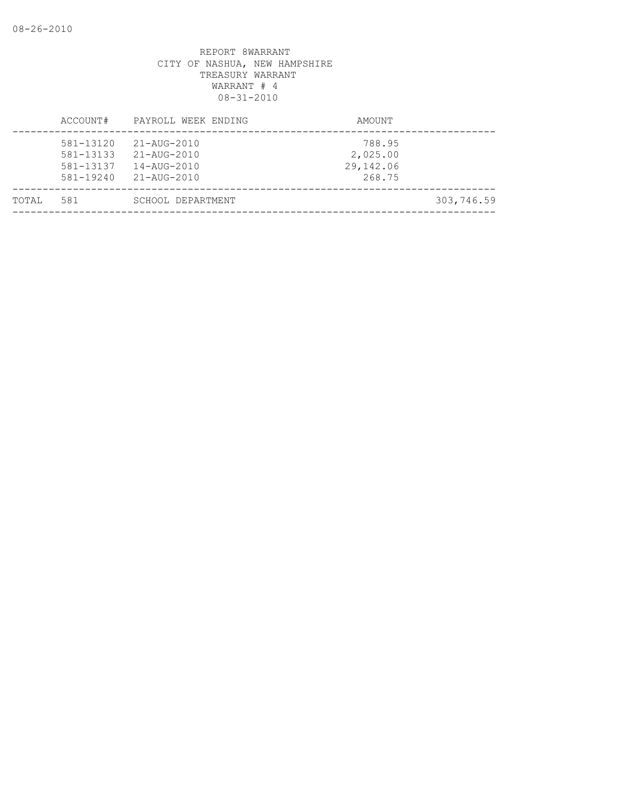|       | ACCOUNT#                                             | PAYROLL WEEK ENDING                                                                             | AMOUNT                                    |            |
|-------|------------------------------------------------------|-------------------------------------------------------------------------------------------------|-------------------------------------------|------------|
|       | 581-13120<br>581-13133<br>581-13137<br>$581 - 19240$ | $21 - \text{AUG} - 2010$<br>$21 - \text{AUG} - 2010$<br>$14 - \text{AUG} - 2010$<br>21-AUG-2010 | 788.95<br>2,025.00<br>29,142.06<br>268.75 |            |
| TOTAL | 581                                                  | SCHOOL DEPARTMENT                                                                               |                                           | 303,746.59 |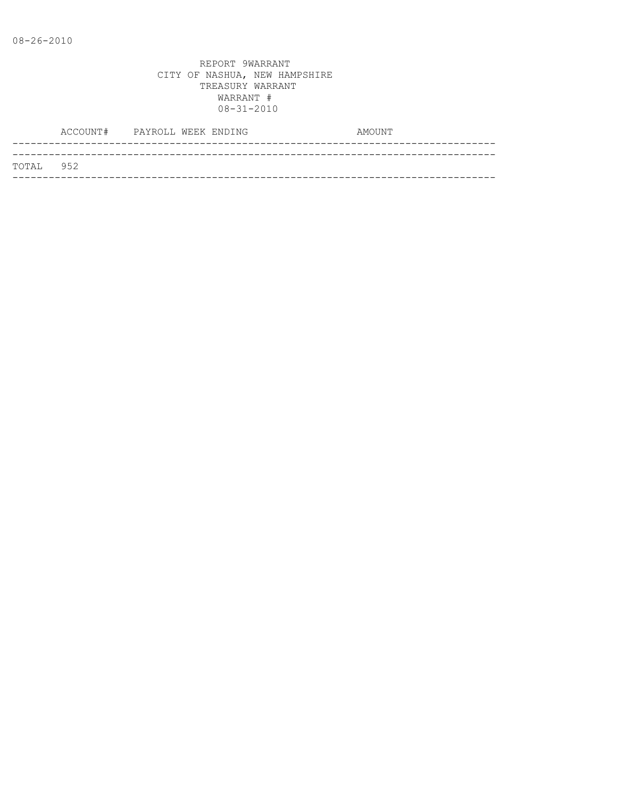|           | ACCOUNT# PAYROLL WEEK ENDING |  |  | AMOUNT |
|-----------|------------------------------|--|--|--------|
|           |                              |  |  |        |
| TOTAL 952 |                              |  |  |        |
|           |                              |  |  |        |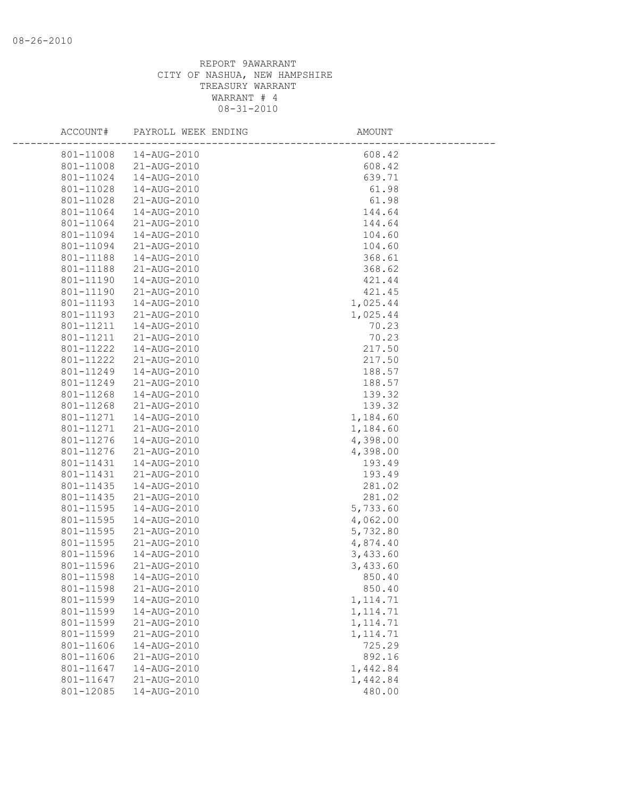| ACCOUNT#               | PAYROLL WEEK ENDING        | AMOUNT               |  |
|------------------------|----------------------------|----------------------|--|
| 801-11008              | 14-AUG-2010                | 608.42               |  |
| 801-11008              | 21-AUG-2010                | 608.42               |  |
| 801-11024              | 14-AUG-2010                | 639.71               |  |
| 801-11028              | 14-AUG-2010                | 61.98                |  |
| 801-11028              | 21-AUG-2010                | 61.98                |  |
| 801-11064              | 14-AUG-2010                | 144.64               |  |
| 801-11064              | 21-AUG-2010                | 144.64               |  |
| 801-11094              | 14-AUG-2010                | 104.60               |  |
| 801-11094              | 21-AUG-2010                | 104.60               |  |
| 801-11188              | 14-AUG-2010                | 368.61               |  |
| 801-11188              | 21-AUG-2010                | 368.62               |  |
| 801-11190              | 14-AUG-2010                | 421.44               |  |
| 801-11190              | 21-AUG-2010                | 421.45               |  |
| 801-11193              | 14-AUG-2010                | 1,025.44             |  |
| 801-11193              | 21-AUG-2010                | 1,025.44             |  |
| 801-11211              | 14-AUG-2010                | 70.23                |  |
| 801-11211              | 21-AUG-2010                | 70.23                |  |
| 801-11222              | 14-AUG-2010                | 217.50               |  |
| 801-11222              | 21-AUG-2010                | 217.50               |  |
| 801-11249              | 14-AUG-2010                | 188.57               |  |
| 801-11249              | 21-AUG-2010                | 188.57               |  |
| 801-11268              | 14-AUG-2010                | 139.32               |  |
| 801-11268              | 21-AUG-2010                | 139.32               |  |
| 801-11271              | 14-AUG-2010                | 1,184.60             |  |
| 801-11271              | 21-AUG-2010                | 1,184.60             |  |
| 801-11276              | 14-AUG-2010                | 4,398.00             |  |
| 801-11276              | 21-AUG-2010                | 4,398.00             |  |
| 801-11431              | 14-AUG-2010                | 193.49               |  |
| 801-11431              | 21-AUG-2010                | 193.49               |  |
| 801-11435              | 14-AUG-2010                | 281.02               |  |
| 801-11435              | 21-AUG-2010                | 281.02               |  |
| 801-11595              | 14-AUG-2010                | 5,733.60             |  |
| 801-11595              | 14-AUG-2010                | 4,062.00             |  |
| 801-11595              | 21-AUG-2010                | 5,732.80             |  |
| 801-11595              | 21-AUG-2010                | 4,874.40             |  |
| 801-11596              | 14-AUG-2010                | 3,433.60             |  |
| 801-11596              | 21-AUG-2010                | 3,433.60             |  |
| 801-11598              | 14-AUG-2010                | 850.40               |  |
| 801-11598              | 21-AUG-2010                | 850.40               |  |
| 801-11599              | 14-AUG-2010                | 1, 114.71            |  |
| 801-11599              | 14-AUG-2010                | 1, 114.71            |  |
| 801-11599              | 21-AUG-2010                | 1, 114.71            |  |
| 801-11599              | 21-AUG-2010<br>14-AUG-2010 | 1, 114.71            |  |
| 801-11606              | 21-AUG-2010                | 725.29               |  |
| 801-11606<br>801-11647 |                            | 892.16               |  |
| 801-11647              | 14-AUG-2010<br>21-AUG-2010 | 1,442.84<br>1,442.84 |  |
| 801-12085              | 14-AUG-2010                | 480.00               |  |
|                        |                            |                      |  |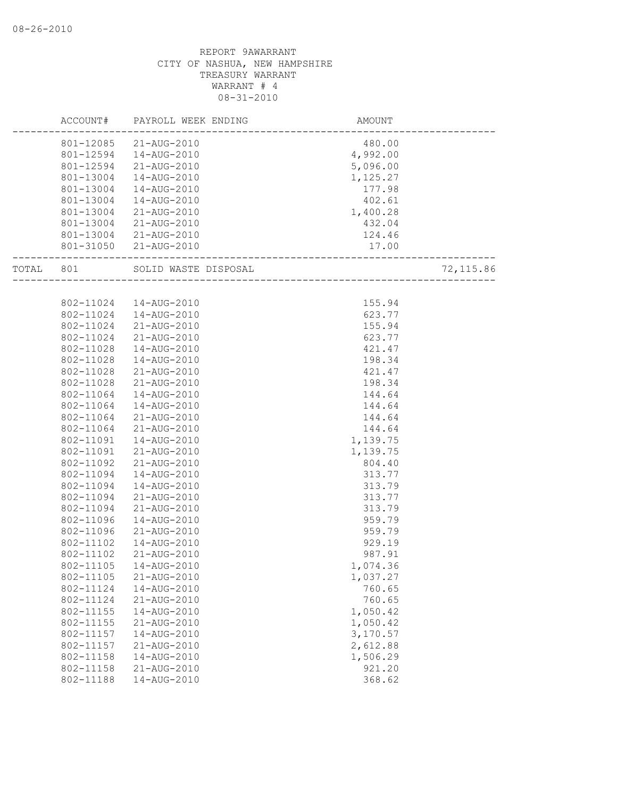|       | ACCOUNT#  | PAYROLL WEEK ENDING  | AMOUNT   |            |
|-------|-----------|----------------------|----------|------------|
|       | 801-12085 | 21-AUG-2010          | 480.00   |            |
|       | 801-12594 | 14-AUG-2010          | 4,992.00 |            |
|       | 801-12594 | 21-AUG-2010          | 5,096.00 |            |
|       | 801-13004 | 14-AUG-2010          | 1,125.27 |            |
|       | 801-13004 | 14-AUG-2010          | 177.98   |            |
|       | 801-13004 | 14-AUG-2010          | 402.61   |            |
|       | 801-13004 | 21-AUG-2010          | 1,400.28 |            |
|       | 801-13004 | 21-AUG-2010          | 432.04   |            |
|       | 801-13004 | 21-AUG-2010          | 124.46   |            |
|       | 801-31050 | 21-AUG-2010          | 17.00    |            |
| TOTAL | 801       | SOLID WASTE DISPOSAL |          | 72, 115.86 |
|       |           |                      |          |            |
|       | 802-11024 | 14-AUG-2010          | 155.94   |            |
|       | 802-11024 | 14-AUG-2010          | 623.77   |            |
|       | 802-11024 | 21-AUG-2010          | 155.94   |            |
|       | 802-11024 | 21-AUG-2010          | 623.77   |            |
|       | 802-11028 | 14-AUG-2010          | 421.47   |            |
|       | 802-11028 | 14-AUG-2010          | 198.34   |            |
|       | 802-11028 | 21-AUG-2010          | 421.47   |            |
|       | 802-11028 | 21-AUG-2010          | 198.34   |            |
|       | 802-11064 | 14-AUG-2010          | 144.64   |            |
|       | 802-11064 | 14-AUG-2010          | 144.64   |            |
|       | 802-11064 | 21-AUG-2010          | 144.64   |            |
|       | 802-11064 | 21-AUG-2010          | 144.64   |            |
|       | 802-11091 | 14-AUG-2010          | 1,139.75 |            |
|       | 802-11091 | 21-AUG-2010          | 1,139.75 |            |
|       | 802-11092 | 21-AUG-2010          | 804.40   |            |
|       | 802-11094 | 14-AUG-2010          | 313.77   |            |
|       | 802-11094 | 14-AUG-2010          | 313.79   |            |
|       | 802-11094 | 21-AUG-2010          | 313.77   |            |
|       | 802-11094 | 21-AUG-2010          | 313.79   |            |
|       | 802-11096 | 14-AUG-2010          | 959.79   |            |
|       | 802-11096 | 21-AUG-2010          | 959.79   |            |
|       | 802-11102 | 14-AUG-2010          | 929.19   |            |
|       | 802-11102 | 21-AUG-2010          | 987.91   |            |
|       | 802-11105 | 14-AUG-2010          | 1,074.36 |            |
|       | 802-11105 | 21-AUG-2010          | 1,037.27 |            |
|       | 802-11124 | 14-AUG-2010          | 760.65   |            |
|       | 802-11124 | 21-AUG-2010          | 760.65   |            |
|       | 802-11155 | 14-AUG-2010          | 1,050.42 |            |
|       | 802-11155 | 21-AUG-2010          | 1,050.42 |            |
|       | 802-11157 | 14-AUG-2010          | 3,170.57 |            |
|       | 802-11157 | 21-AUG-2010          | 2,612.88 |            |
|       | 802-11158 | 14-AUG-2010          | 1,506.29 |            |
|       | 802-11158 | 21-AUG-2010          | 921.20   |            |
|       | 802-11188 | 14-AUG-2010          | 368.62   |            |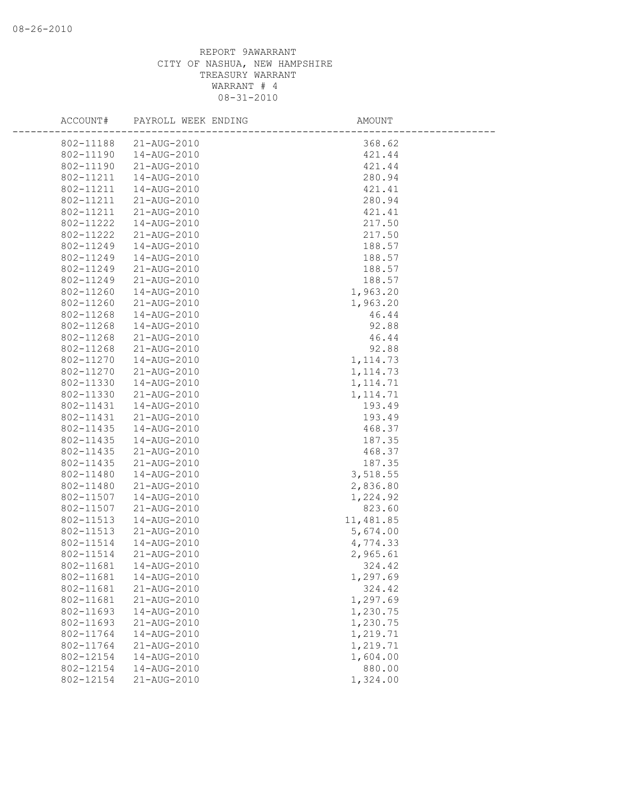| ACCOUNT#  | PAYROLL WEEK ENDING | AMOUNT    |
|-----------|---------------------|-----------|
| 802-11188 | 21-AUG-2010         | 368.62    |
| 802-11190 | 14-AUG-2010         | 421.44    |
| 802-11190 | 21-AUG-2010         | 421.44    |
| 802-11211 | 14-AUG-2010         | 280.94    |
| 802-11211 | 14-AUG-2010         | 421.41    |
| 802-11211 | 21-AUG-2010         | 280.94    |
| 802-11211 | 21-AUG-2010         | 421.41    |
| 802-11222 | 14-AUG-2010         | 217.50    |
| 802-11222 | 21-AUG-2010         | 217.50    |
| 802-11249 | 14-AUG-2010         | 188.57    |
| 802-11249 | 14-AUG-2010         | 188.57    |
| 802-11249 | 21-AUG-2010         | 188.57    |
| 802-11249 | 21-AUG-2010         | 188.57    |
| 802-11260 | 14-AUG-2010         | 1,963.20  |
| 802-11260 | 21-AUG-2010         | 1,963.20  |
| 802-11268 | 14-AUG-2010         | 46.44     |
| 802-11268 | 14-AUG-2010         | 92.88     |
| 802-11268 | 21-AUG-2010         | 46.44     |
| 802-11268 | 21-AUG-2010         | 92.88     |
| 802-11270 | 14-AUG-2010         | 1, 114.73 |
| 802-11270 | 21-AUG-2010         | 1, 114.73 |
| 802-11330 | 14-AUG-2010         | 1, 114.71 |
| 802-11330 | 21-AUG-2010         | 1, 114.71 |
| 802-11431 | 14-AUG-2010         | 193.49    |
| 802-11431 | 21-AUG-2010         | 193.49    |
| 802-11435 | 14-AUG-2010         | 468.37    |
| 802-11435 | 14-AUG-2010         | 187.35    |
| 802-11435 | 21-AUG-2010         | 468.37    |
| 802-11435 | 21-AUG-2010         | 187.35    |
| 802-11480 | 14-AUG-2010         | 3,518.55  |
| 802-11480 | 21-AUG-2010         | 2,836.80  |
| 802-11507 | 14-AUG-2010         | 1,224.92  |
| 802-11507 | 21-AUG-2010         | 823.60    |
| 802-11513 | 14-AUG-2010         | 11,481.85 |
| 802-11513 | 21-AUG-2010         | 5,674.00  |
| 802-11514 | 14-AUG-2010         | 4,774.33  |
| 802-11514 | 21-AUG-2010         | 2,965.61  |
| 802-11681 | 14-AUG-2010         | 324.42    |
| 802-11681 | 14-AUG-2010         | 1,297.69  |
| 802-11681 | 21-AUG-2010         | 324.42    |
| 802-11681 | 21-AUG-2010         | 1,297.69  |
| 802-11693 | 14-AUG-2010         | 1,230.75  |
| 802-11693 | 21-AUG-2010         | 1,230.75  |
| 802-11764 | 14-AUG-2010         | 1,219.71  |
| 802-11764 | 21-AUG-2010         | 1,219.71  |
| 802-12154 | 14-AUG-2010         | 1,604.00  |
| 802-12154 | 14-AUG-2010         | 880.00    |
| 802-12154 | 21-AUG-2010         | 1,324.00  |
|           |                     |           |